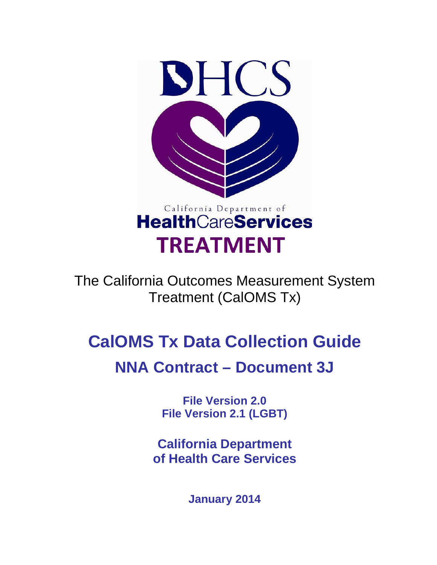

The California Outcomes Measurement System Treatment (CalOMS Tx)

# **CalOMS Tx Data Collection Guide**

### **NNA Contract – Document 3J**

**File Version 2.0 File Version 2.1 (LGBT)**

**California Department of Health Care Services**

**January 2014**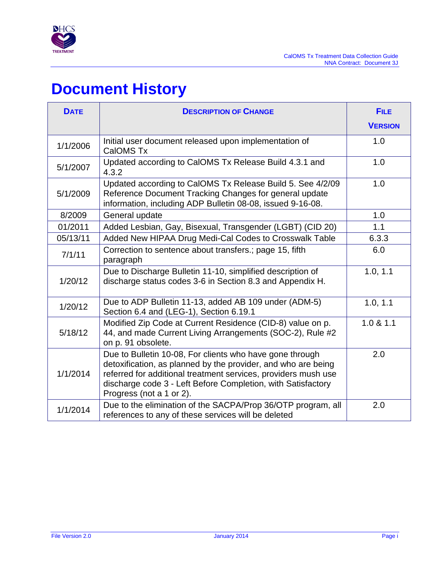

## **Document History**

| <b>DATE</b> | <b>DESCRIPTION OF CHANGE</b>                                                                                                                                                                                                                                                            | <b>FILE</b><br><b>VERSION</b> |  |  |
|-------------|-----------------------------------------------------------------------------------------------------------------------------------------------------------------------------------------------------------------------------------------------------------------------------------------|-------------------------------|--|--|
| 1/1/2006    | 1.0                                                                                                                                                                                                                                                                                     |                               |  |  |
| 5/1/2007    | 1.0                                                                                                                                                                                                                                                                                     |                               |  |  |
| 5/1/2009    | Updated according to CalOMS Tx Release Build 5. See 4/2/09<br>Reference Document Tracking Changes for general update<br>information, including ADP Bulletin 08-08, issued 9-16-08.                                                                                                      |                               |  |  |
| 8/2009      | General update                                                                                                                                                                                                                                                                          | 1.0                           |  |  |
| 01/2011     | Added Lesbian, Gay, Bisexual, Transgender (LGBT) (CID 20)                                                                                                                                                                                                                               | 1.1                           |  |  |
| 05/13/11    | Added New HIPAA Drug Medi-Cal Codes to Crosswalk Table                                                                                                                                                                                                                                  | 6.3.3                         |  |  |
| 7/1/11      | Correction to sentence about transfers.; page 15, fifth<br>paragraph                                                                                                                                                                                                                    | 6.0                           |  |  |
| 1/20/12     | Due to Discharge Bulletin 11-10, simplified description of<br>discharge status codes 3-6 in Section 8.3 and Appendix H.                                                                                                                                                                 |                               |  |  |
| 1/20/12     | Due to ADP Bulletin 11-13, added AB 109 under (ADM-5)<br>Section 6.4 and (LEG-1), Section 6.19.1                                                                                                                                                                                        | 1.0, 1.1                      |  |  |
| 5/18/12     | Modified Zip Code at Current Residence (CID-8) value on p.<br>44, and made Current Living Arrangements (SOC-2), Rule #2<br>on p. 91 obsolete.                                                                                                                                           | 1.0 & 1.1                     |  |  |
| 1/1/2014    | Due to Bulletin 10-08, For clients who have gone through<br>detoxification, as planned by the provider, and who are being<br>referred for additional treatment services, providers mush use<br>discharge code 3 - Left Before Completion, with Satisfactory<br>Progress (not a 1 or 2). | 2.0                           |  |  |
| 1/1/2014    | 2.0                                                                                                                                                                                                                                                                                     |                               |  |  |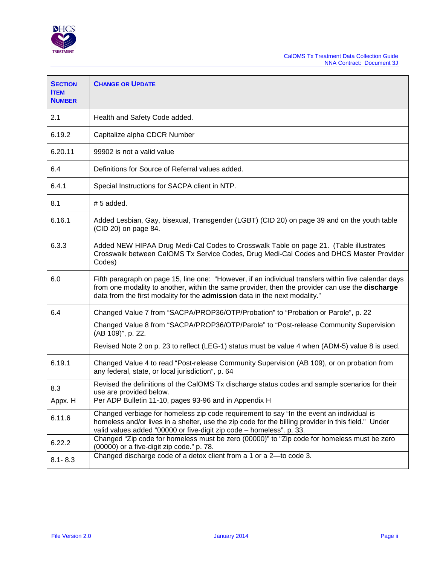

| <b>SECTION</b><br><b>ITEM</b><br><b>NUMBER</b> | <b>CHANGE OR UPDATE</b>                                                                                                                                                                                                                                                                      |  |  |
|------------------------------------------------|----------------------------------------------------------------------------------------------------------------------------------------------------------------------------------------------------------------------------------------------------------------------------------------------|--|--|
| 2.1                                            | Health and Safety Code added.                                                                                                                                                                                                                                                                |  |  |
| 6.19.2                                         | Capitalize alpha CDCR Number                                                                                                                                                                                                                                                                 |  |  |
| 6.20.11                                        | 99902 is not a valid value                                                                                                                                                                                                                                                                   |  |  |
| 6.4                                            | Definitions for Source of Referral values added.                                                                                                                                                                                                                                             |  |  |
| 6.4.1                                          | Special Instructions for SACPA client in NTP.                                                                                                                                                                                                                                                |  |  |
| 8.1                                            | $# 5$ added.                                                                                                                                                                                                                                                                                 |  |  |
| 6.16.1                                         | Added Lesbian, Gay, bisexual, Transgender (LGBT) (CID 20) on page 39 and on the youth table<br>(CID 20) on page 84.                                                                                                                                                                          |  |  |
| 6.3.3                                          | Added NEW HIPAA Drug Medi-Cal Codes to Crosswalk Table on page 21. (Table illustrates<br>Crosswalk between CalOMS Tx Service Codes, Drug Medi-Cal Codes and DHCS Master Provider<br>Codes)                                                                                                   |  |  |
| 6.0                                            | Fifth paragraph on page 15, line one: "However, if an individual transfers within five calendar days<br>from one modality to another, within the same provider, then the provider can use the discharge<br>data from the first modality for the <b>admission</b> data in the next modality." |  |  |
| 6.4                                            | Changed Value 7 from "SACPA/PROP36/OTP/Probation" to "Probation or Parole", p. 22                                                                                                                                                                                                            |  |  |
|                                                | Changed Value 8 from "SACPA/PROP36/OTP/Parole" to "Post-release Community Supervision<br>(AB 109)", p. 22.                                                                                                                                                                                   |  |  |
|                                                | Revised Note 2 on p. 23 to reflect (LEG-1) status must be value 4 when (ADM-5) value 8 is used.                                                                                                                                                                                              |  |  |
| 6.19.1                                         | Changed Value 4 to read "Post-release Community Supervision (AB 109), or on probation from<br>any federal, state, or local jurisdiction", p. 64                                                                                                                                              |  |  |
| 8.3                                            | Revised the definitions of the CalOMS Tx discharge status codes and sample scenarios for their<br>use are provided below.                                                                                                                                                                    |  |  |
| Appx. H                                        | Per ADP Bulletin 11-10, pages 93-96 and in Appendix H                                                                                                                                                                                                                                        |  |  |
| 6.11.6                                         | Changed verbiage for homeless zip code requirement to say "In the event an individual is<br>homeless and/or lives in a shelter, use the zip code for the billing provider in this field." Under<br>valid values added "00000 or five-digit zip code - homeless". p. 33.                      |  |  |
| 6.22.2                                         | Changed "Zip code for homeless must be zero (00000)" to "Zip code for homeless must be zero<br>(00000) or a five-digit zip code." p. 78.                                                                                                                                                     |  |  |
| $8.1 - 8.3$                                    | Changed discharge code of a detox client from a 1 or a 2-to code 3.                                                                                                                                                                                                                          |  |  |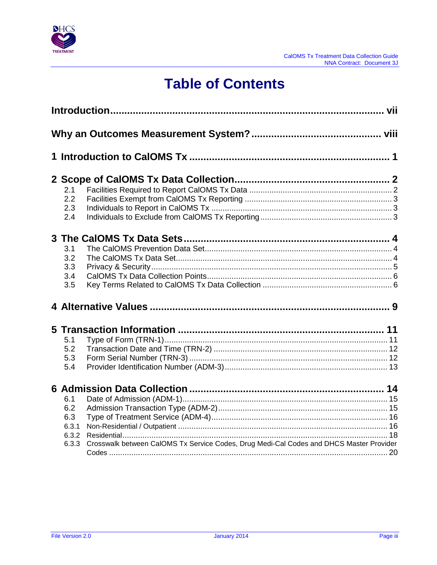

## **Table of Contents**

| 2.1   |                                                                                         |  |
|-------|-----------------------------------------------------------------------------------------|--|
| 2.2   |                                                                                         |  |
| 2.3   |                                                                                         |  |
| 2.4   |                                                                                         |  |
|       |                                                                                         |  |
| 3.1   |                                                                                         |  |
| 3.2   |                                                                                         |  |
| 3.3   |                                                                                         |  |
| 3.4   |                                                                                         |  |
| 3.5   |                                                                                         |  |
|       |                                                                                         |  |
|       |                                                                                         |  |
| 5.1   |                                                                                         |  |
| 5.2   |                                                                                         |  |
| 5.3   |                                                                                         |  |
| 5.4   |                                                                                         |  |
|       |                                                                                         |  |
| 6.1   |                                                                                         |  |
| 6.2   |                                                                                         |  |
| 6.3   |                                                                                         |  |
| 6.3.1 |                                                                                         |  |
| 6.3.2 |                                                                                         |  |
| 6.3.3 | Crosswalk between CalOMS Tx Service Codes, Drug Medi-Cal Codes and DHCS Master Provider |  |
|       |                                                                                         |  |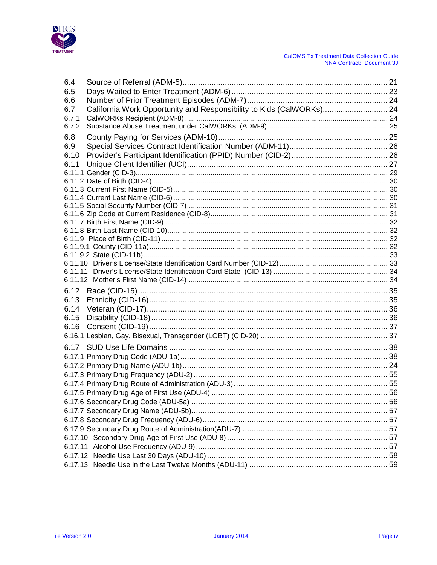

| 6.4   |                                                                      |  |
|-------|----------------------------------------------------------------------|--|
| 6.5   |                                                                      |  |
| 6.6   |                                                                      |  |
| 6.7   | California Work Opportunity and Responsibility to Kids (CalWORKs) 24 |  |
| 6.7.1 |                                                                      |  |
| 6.7.2 |                                                                      |  |
| 6.8   |                                                                      |  |
| 6.9   |                                                                      |  |
| 6.10  |                                                                      |  |
| 6.11  |                                                                      |  |
|       |                                                                      |  |
|       |                                                                      |  |
|       |                                                                      |  |
|       |                                                                      |  |
|       |                                                                      |  |
|       |                                                                      |  |
|       |                                                                      |  |
|       |                                                                      |  |
|       |                                                                      |  |
|       |                                                                      |  |
|       |                                                                      |  |
|       |                                                                      |  |
|       |                                                                      |  |
| 6.12  |                                                                      |  |
| 6.13  |                                                                      |  |
| 6.14  |                                                                      |  |
| 6.15  |                                                                      |  |
| 6.16  |                                                                      |  |
|       |                                                                      |  |
| 6.17  |                                                                      |  |
|       |                                                                      |  |
|       |                                                                      |  |
|       |                                                                      |  |
|       |                                                                      |  |
|       |                                                                      |  |
|       |                                                                      |  |
|       |                                                                      |  |
|       |                                                                      |  |
|       |                                                                      |  |
|       |                                                                      |  |
|       |                                                                      |  |
|       |                                                                      |  |
|       |                                                                      |  |
|       |                                                                      |  |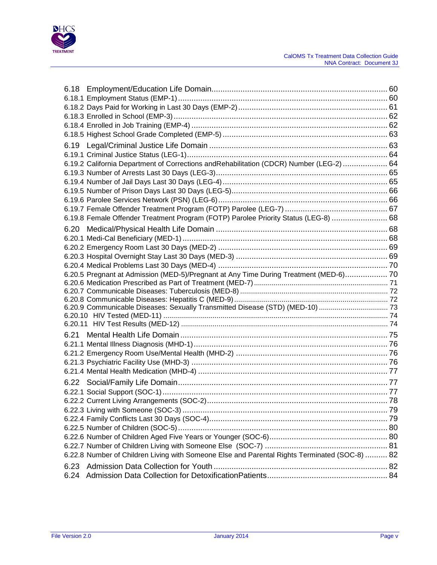

| 6.18 |                                                                                               |  |
|------|-----------------------------------------------------------------------------------------------|--|
|      |                                                                                               |  |
|      |                                                                                               |  |
|      |                                                                                               |  |
|      |                                                                                               |  |
|      |                                                                                               |  |
|      |                                                                                               |  |
|      |                                                                                               |  |
|      | 6.19.2 California Department of Corrections andRehabilitation (CDCR) Number (LEG-2)  64       |  |
|      |                                                                                               |  |
|      |                                                                                               |  |
|      |                                                                                               |  |
|      |                                                                                               |  |
|      |                                                                                               |  |
|      | 6.19.8 Female Offender Treatment Program (FOTP) Parolee Priority Status (LEG-8)  68           |  |
| 6.20 |                                                                                               |  |
|      |                                                                                               |  |
|      |                                                                                               |  |
|      |                                                                                               |  |
|      |                                                                                               |  |
|      | 6.20.5 Pregnant at Admission (MED-5)/Pregnant at Any Time During Treatment (MED-6) 70         |  |
|      |                                                                                               |  |
|      |                                                                                               |  |
|      |                                                                                               |  |
|      | 6.20.9 Communicable Diseases: Sexually Transmitted Disease (STD) (MED-10)  73                 |  |
|      |                                                                                               |  |
|      |                                                                                               |  |
|      |                                                                                               |  |
|      |                                                                                               |  |
|      |                                                                                               |  |
|      |                                                                                               |  |
|      |                                                                                               |  |
|      |                                                                                               |  |
|      |                                                                                               |  |
|      |                                                                                               |  |
|      |                                                                                               |  |
|      |                                                                                               |  |
|      |                                                                                               |  |
|      |                                                                                               |  |
|      |                                                                                               |  |
|      | 6.22.8 Number of Children Living with Someone Else and Parental Rights Terminated (SOC-8)  82 |  |
| 6.23 |                                                                                               |  |
| 6.24 |                                                                                               |  |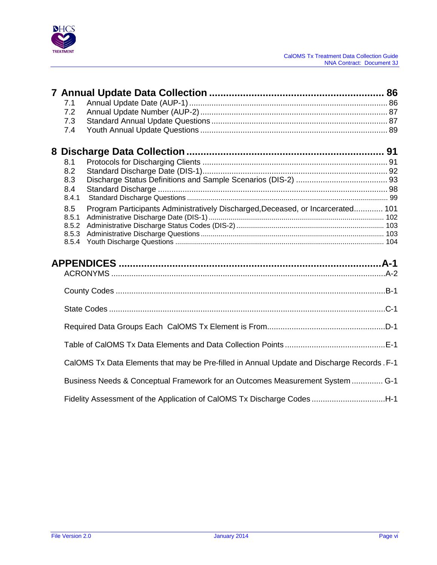

| 7.1          |                                                                                            |  |
|--------------|--------------------------------------------------------------------------------------------|--|
| 7.2          |                                                                                            |  |
| 7.3          |                                                                                            |  |
| 7.4          |                                                                                            |  |
|              |                                                                                            |  |
| 8.1          |                                                                                            |  |
| 8.2          |                                                                                            |  |
| 8.3          |                                                                                            |  |
| 8.4          |                                                                                            |  |
| 8.4.1        |                                                                                            |  |
| 8.5<br>8.5.1 | Program Participants Administratively Discharged, Deceased, or Incarcerated 101            |  |
| 8.5.2        |                                                                                            |  |
| 8.5.3        |                                                                                            |  |
| 8.5.4        |                                                                                            |  |
|              |                                                                                            |  |
|              |                                                                                            |  |
|              |                                                                                            |  |
|              |                                                                                            |  |
|              |                                                                                            |  |
|              |                                                                                            |  |
|              |                                                                                            |  |
|              | CalOMS Tx Data Elements that may be Pre-filled in Annual Update and Discharge Records. F-1 |  |
|              | Business Needs & Conceptual Framework for an Outcomes Measurement System  G-1              |  |
|              | Fidelity Assessment of the Application of CalOMS Tx Discharge Codes H-1                    |  |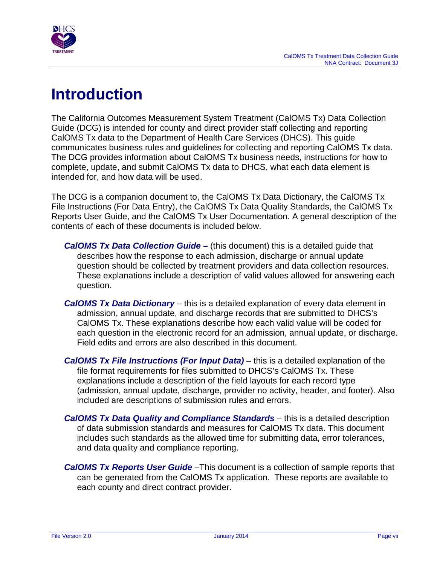

## <span id="page-7-0"></span>**Introduction**

The California Outcomes Measurement System Treatment (CalOMS Tx) Data Collection Guide (DCG) is intended for county and direct provider staff collecting and reporting CalOMS Tx data to the Department of Health Care Services (DHCS). This guide communicates business rules and guidelines for collecting and reporting CalOMS Tx data. The DCG provides information about CalOMS Tx business needs, instructions for how to complete, update, and submit CalOMS Tx data to DHCS, what each data element is intended for, and how data will be used.

The DCG is a companion document to, the CalOMS Tx Data Dictionary, the CalOMS Tx File Instructions (For Data Entry), the CalOMS Tx Data Quality Standards, the CalOMS Tx Reports User Guide, and the CalOMS Tx User Documentation. A general description of the contents of each of these documents is included below.

- *CalOMS Tx Data Collection Guide –* (this document) this is a detailed guide that describes how the response to each admission, discharge or annual update question should be collected by treatment providers and data collection resources. These explanations include a description of valid values allowed for answering each question.
- *CalOMS Tx Data Dictionary* this is a detailed explanation of every data element in admission, annual update, and discharge records that are submitted to DHCS's CalOMS Tx. These explanations describe how each valid value will be coded for each question in the electronic record for an admission, annual update, or discharge. Field edits and errors are also described in this document.
- *CalOMS Tx File Instructions (For Input Data)* this is a detailed explanation of the file format requirements for files submitted to DHCS's CalOMS Tx. These explanations include a description of the field layouts for each record type (admission, annual update, discharge, provider no activity, header, and footer). Also included are descriptions of submission rules and errors.
- *CalOMS Tx Data Quality and Compliance Standards* this is a detailed description of data submission standards and measures for CalOMS Tx data. This document includes such standards as the allowed time for submitting data, error tolerances, and data quality and compliance reporting.
- *CalOMS Tx Reports User Guide* –This document is a collection of sample reports that can be generated from the CalOMS Tx application. These reports are available to each county and direct contract provider.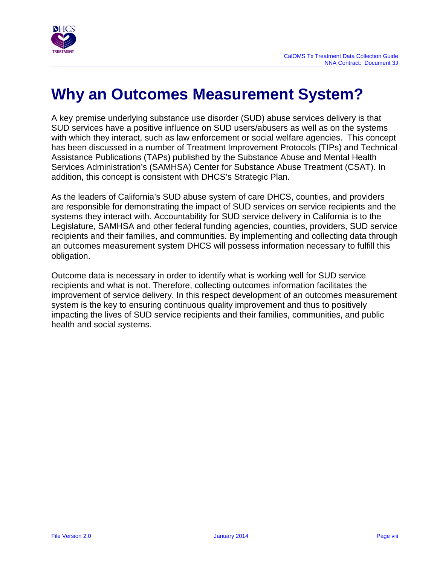

## <span id="page-8-0"></span>**Why an Outcomes Measurement System?**

A key premise underlying substance use disorder (SUD) abuse services delivery is that SUD services have a positive influence on SUD users/abusers as well as on the systems with which they interact, such as law enforcement or social welfare agencies. This concept has been discussed in a number of Treatment Improvement Protocols (TIPs) and Technical Assistance Publications (TAPs) published by the Substance Abuse and Mental Health Services Administration's (SAMHSA) Center for Substance Abuse Treatment (CSAT). In addition, this concept is consistent with DHCS's Strategic Plan.

As the leaders of California's SUD abuse system of care DHCS, counties, and providers are responsible for demonstrating the impact of SUD services on service recipients and the systems they interact with. Accountability for SUD service delivery in California is to the Legislature, SAMHSA and other federal funding agencies, counties, providers, SUD service recipients and their families, and communities. By implementing and collecting data through an outcomes measurement system DHCS will possess information necessary to fulfill this obligation.

Outcome data is necessary in order to identify what is working well for SUD service recipients and what is not. Therefore, collecting outcomes information facilitates the improvement of service delivery. In this respect development of an outcomes measurement system is the key to ensuring continuous quality improvement and thus to positively impacting the lives of SUD service recipients and their families, communities, and public health and social systems.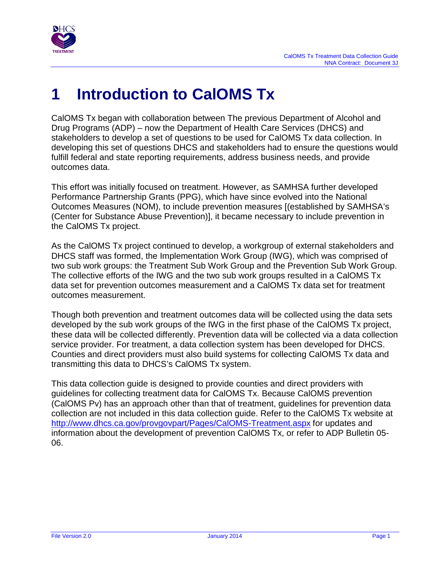

## <span id="page-9-0"></span>**1 Introduction to CalOMS Tx**

CalOMS Tx began with collaboration between The previous Department of Alcohol and Drug Programs (ADP) – now the Department of Health Care Services (DHCS) and stakeholders to develop a set of questions to be used for CalOMS Tx data collection. In developing this set of questions DHCS and stakeholders had to ensure the questions would fulfill federal and state reporting requirements, address business needs, and provide outcomes data.

This effort was initially focused on treatment. However, as SAMHSA further developed Performance Partnership Grants (PPG), which have since evolved into the National Outcomes Measures (NOM), to include prevention measures [(established by SAMHSA's (Center for Substance Abuse Prevention)], it became necessary to include prevention in the CalOMS Tx project.

As the CalOMS Tx project continued to develop, a workgroup of external stakeholders and DHCS staff was formed, the Implementation Work Group (IWG), which was comprised of two sub work groups: the Treatment Sub Work Group and the Prevention Sub Work Group. The collective efforts of the IWG and the two sub work groups resulted in a CalOMS Tx data set for prevention outcomes measurement and a CalOMS Tx data set for treatment outcomes measurement.

Though both prevention and treatment outcomes data will be collected using the data sets developed by the sub work groups of the IWG in the first phase of the CalOMS Tx project, these data will be collected differently. Prevention data will be collected via a data collection service provider. For treatment, a data collection system has been developed for DHCS. Counties and direct providers must also build systems for collecting CalOMS Tx data and transmitting this data to DHCS's CalOMS Tx system.

This data collection guide is designed to provide counties and direct providers with guidelines for collecting treatment data for CalOMS Tx. Because CalOMS prevention (CalOMS Pv) has an approach other than that of treatment, guidelines for prevention data collection are not included in this data collection guide. Refer to the CalOMS Tx website at <http://www.dhcs.ca.gov/provgovpart/Pages/CalOMS-Treatment.aspx> for updates and information about the development of prevention CalOMS Tx, or refer to ADP Bulletin 05- 06.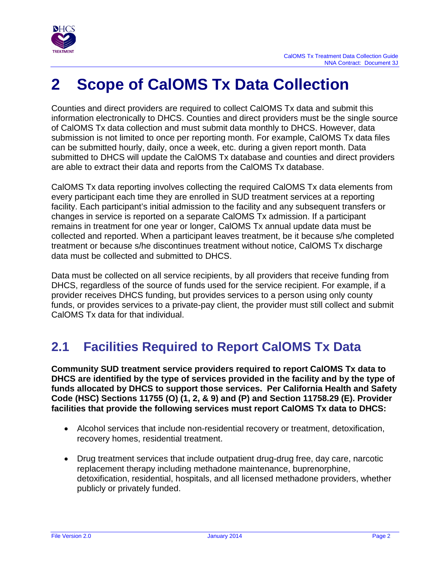

## <span id="page-10-0"></span>**2 Scope of CalOMS Tx Data Collection**

Counties and direct providers are required to collect CalOMS Tx data and submit this information electronically to DHCS. Counties and direct providers must be the single source of CalOMS Tx data collection and must submit data monthly to DHCS. However, data submission is not limited to once per reporting month. For example, CalOMS Tx data files can be submitted hourly, daily, once a week, etc. during a given report month. Data submitted to DHCS will update the CalOMS Tx database and counties and direct providers are able to extract their data and reports from the CalOMS Tx database.

CalOMS Tx data reporting involves collecting the required CalOMS Tx data elements from every participant each time they are enrolled in SUD treatment services at a reporting facility. Each participant's initial admission to the facility and any subsequent transfers or changes in service is reported on a separate CalOMS Tx admission. If a participant remains in treatment for one year or longer, CalOMS Tx annual update data must be collected and reported. When a participant leaves treatment, be it because s/he completed treatment or because s/he discontinues treatment without notice, CalOMS Tx discharge data must be collected and submitted to DHCS.

Data must be collected on all service recipients, by all providers that receive funding from DHCS, regardless of the source of funds used for the service recipient. For example, if a provider receives DHCS funding, but provides services to a person using only county funds, or provides services to a private-pay client, the provider must still collect and submit CalOMS Tx data for that individual.

### <span id="page-10-1"></span>**2.1 Facilities Required to Report CalOMS Tx Data**

**Community SUD treatment service providers required to report CalOMS Tx data to DHCS are identified by the type of services provided in the facility and by the type of funds allocated by DHCS to support those services. Per California Health and Safety Code (HSC) Sections 11755 (O) (1, 2, & 9) and (P) and Section 11758.29 (E). Provider facilities that provide the following services must report CalOMS Tx data to DHCS:**

- Alcohol services that include non-residential recovery or treatment, detoxification, recovery homes, residential treatment.
- Drug treatment services that include outpatient drug-drug free, day care, narcotic replacement therapy including methadone maintenance, buprenorphine, detoxification, residential, hospitals, and all licensed methadone providers, whether publicly or privately funded.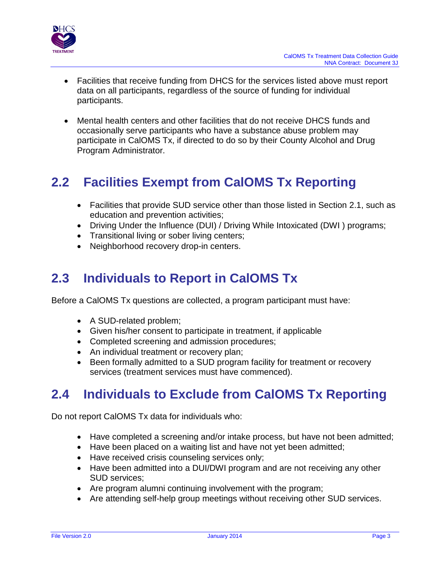

- Facilities that receive funding from DHCS for the services listed above must report data on all participants, regardless of the source of funding for individual participants.
- Mental health centers and other facilities that do not receive DHCS funds and occasionally serve participants who have a substance abuse problem may participate in CalOMS Tx, if directed to do so by their County Alcohol and Drug Program Administrator.

### <span id="page-11-0"></span>**2.2 Facilities Exempt from CalOMS Tx Reporting**

- Facilities that provide SUD service other than those listed in Section 2.1, such as education and prevention activities;
- Driving Under the Influence (DUI) / Driving While Intoxicated (DWI ) programs;
- Transitional living or sober living centers;
- Neighborhood recovery drop-in centers.

### <span id="page-11-1"></span>**2.3 Individuals to Report in CalOMS Tx**

Before a CalOMS Tx questions are collected, a program participant must have:

- A SUD-related problem;
- Given his/her consent to participate in treatment, if applicable
- Completed screening and admission procedures;
- An individual treatment or recovery plan;
- Been formally admitted to a SUD program facility for treatment or recovery services (treatment services must have commenced).

### <span id="page-11-2"></span>**2.4 Individuals to Exclude from CalOMS Tx Reporting**

Do not report CalOMS Tx data for individuals who:

- Have completed a screening and/or intake process, but have not been admitted;
- Have been placed on a waiting list and have not yet been admitted;
- Have received crisis counseling services only;
- Have been admitted into a DUI/DWI program and are not receiving any other SUD services;
- Are program alumni continuing involvement with the program;
- Are attending self-help group meetings without receiving other SUD services.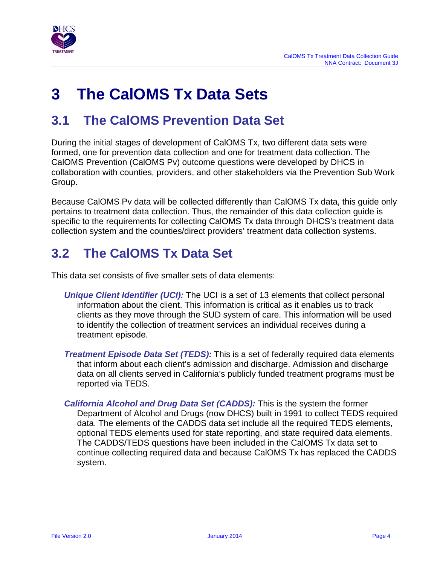

## <span id="page-12-0"></span>**3 The CalOMS Tx Data Sets**

### <span id="page-12-1"></span>**3.1 The CalOMS Prevention Data Set**

During the initial stages of development of CalOMS Tx, two different data sets were formed, one for prevention data collection and one for treatment data collection. The CalOMS Prevention (CalOMS Pv) outcome questions were developed by DHCS in collaboration with counties, providers, and other stakeholders via the Prevention Sub Work Group.

Because CalOMS Pv data will be collected differently than CalOMS Tx data, this guide only pertains to treatment data collection. Thus, the remainder of this data collection guide is specific to the requirements for collecting CalOMS Tx data through DHCS's treatment data collection system and the counties/direct providers' treatment data collection systems.

### <span id="page-12-2"></span>**3.2 The CalOMS Tx Data Set**

This data set consists of five smaller sets of data elements:

- *Unique Client Identifier (UCI):* The UCI is a set of 13 elements that collect personal information about the client. This information is critical as it enables us to track clients as they move through the SUD system of care. This information will be used to identify the collection of treatment services an individual receives during a treatment episode.
- *Treatment Episode Data Set (TEDS):* This is a set of federally required data elements that inform about each client's admission and discharge. Admission and discharge data on all clients served in California's publicly funded treatment programs must be reported via TEDS.
- *California Alcohol and Drug Data Set (CADDS):* This is the system the former Department of Alcohol and Drugs (now DHCS) built in 1991 to collect TEDS required data. The elements of the CADDS data set include all the required TEDS elements, optional TEDS elements used for state reporting, and state required data elements. The CADDS/TEDS questions have been included in the CalOMS Tx data set to continue collecting required data and because CalOMS Tx has replaced the CADDS system.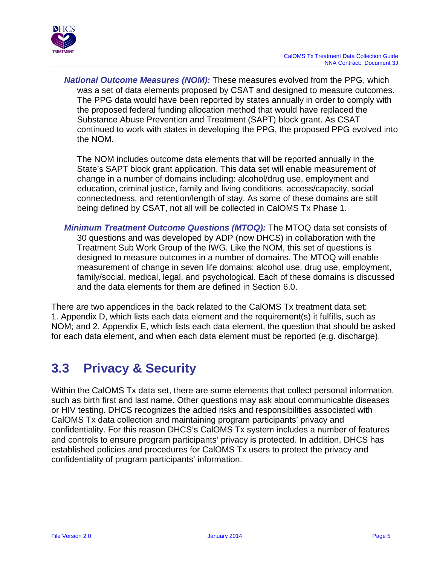

*National Outcome Measures (NOM):* These measures evolved from the PPG, which was a set of data elements proposed by CSAT and designed to measure outcomes. The PPG data would have been reported by states annually in order to comply with the proposed federal funding allocation method that would have replaced the Substance Abuse Prevention and Treatment (SAPT) block grant. As CSAT continued to work with states in developing the PPG, the proposed PPG evolved into the NOM.

The NOM includes outcome data elements that will be reported annually in the State's SAPT block grant application. This data set will enable measurement of change in a number of domains including: alcohol/drug use, employment and education, criminal justice, family and living conditions, access/capacity, social connectedness, and retention/length of stay. As some of these domains are still being defined by CSAT, not all will be collected in CalOMS Tx Phase 1.

*Minimum Treatment Outcome Questions (MTOQ):* The MTOQ data set consists of 30 questions and was developed by ADP (now DHCS) in collaboration with the Treatment Sub Work Group of the IWG. Like the NOM, this set of questions is designed to measure outcomes in a number of domains. The MTOQ will enable measurement of change in seven life domains: alcohol use, drug use, employment, family/social, medical, legal, and psychological. Each of these domains is discussed and the data elements for them are defined in Section 6.0.

There are two appendices in the back related to the CalOMS Tx treatment data set: 1. Appendix D, which lists each data element and the requirement(s) it fulfills, such as NOM; and 2. Appendix E, which lists each data element, the question that should be asked for each data element, and when each data element must be reported (e.g. discharge).

### <span id="page-13-0"></span>**3.3 Privacy & Security**

Within the CalOMS Tx data set, there are some elements that collect personal information, such as birth first and last name. Other questions may ask about communicable diseases or HIV testing. DHCS recognizes the added risks and responsibilities associated with CalOMS Tx data collection and maintaining program participants' privacy and confidentiality. For this reason DHCS's CalOMS Tx system includes a number of features and controls to ensure program participants' privacy is protected. In addition, DHCS has established policies and procedures for CalOMS Tx users to protect the privacy and confidentiality of program participants' information.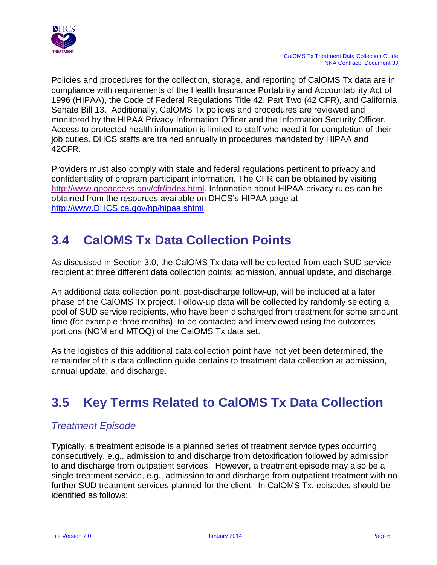

Policies and procedures for the collection, storage, and reporting of CalOMS Tx data are in compliance with requirements of the Health Insurance Portability and Accountability Act of 1996 (HIPAA), the Code of Federal Regulations Title 42, Part Two (42 CFR), and California Senate Bill 13. Additionally, CalOMS Tx policies and procedures are reviewed and monitored by the HIPAA Privacy Information Officer and the Information Security Officer. Access to protected health information is limited to staff who need it for completion of their job duties. DHCS staffs are trained annually in procedures mandated by HIPAA and 42CFR.

Providers must also comply with state and federal regulations pertinent to privacy and confidentiality of program participant information. The CFR can be obtained by visiting [http://www.gpoaccess.gov/cfr/index.html.](http://www.gpoaccess.gov/cfr/index.html) Information about HIPAA privacy rules can be obtained from the resources available on DHCS's HIPAA page at [http://www.DHCS.ca.gov/hp/hipaa.shtml.](http://www.adp.ca.gov/hp/hipaa.shtml)

### <span id="page-14-0"></span>**3.4 CalOMS Tx Data Collection Points**

As discussed in Section 3.0, the CalOMS Tx data will be collected from each SUD service recipient at three different data collection points: admission, annual update, and discharge.

An additional data collection point, post-discharge follow-up, will be included at a later phase of the CalOMS Tx project. Follow-up data will be collected by randomly selecting a pool of SUD service recipients, who have been discharged from treatment for some amount time (for example three months), to be contacted and interviewed using the outcomes portions (NOM and MTOQ) of the CalOMS Tx data set.

As the logistics of this additional data collection point have not yet been determined, the remainder of this data collection guide pertains to treatment data collection at admission, annual update, and discharge.

### <span id="page-14-1"></span>**3.5 Key Terms Related to CalOMS Tx Data Collection**

#### *Treatment Episode*

Typically, a treatment episode is a planned series of treatment service types occurring consecutively, e.g., admission to and discharge from detoxification followed by admission to and discharge from outpatient services. However, a treatment episode may also be a single treatment service, e.g., admission to and discharge from outpatient treatment with no further SUD treatment services planned for the client. In CalOMS Tx, episodes should be identified as follows: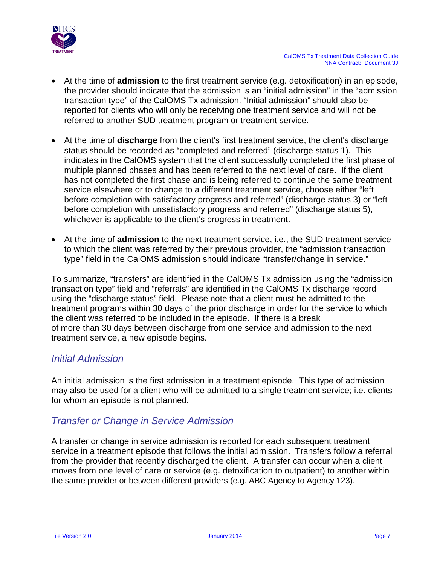

- At the time of **admission** to the first treatment service (e.g. detoxification) in an episode, the provider should indicate that the admission is an "initial admission" in the "admission transaction type" of the CalOMS Tx admission. "Initial admission" should also be reported for clients who will only be receiving one treatment service and will not be referred to another SUD treatment program or treatment service.
- At the time of **discharge** from the client's first treatment service, the client's discharge status should be recorded as "completed and referred" (discharge status 1). This indicates in the CalOMS system that the client successfully completed the first phase of multiple planned phases and has been referred to the next level of care. If the client has not completed the first phase and is being referred to continue the same treatment service elsewhere or to change to a different treatment service, choose either "left before completion with satisfactory progress and referred" (discharge status 3) or "left before completion with unsatisfactory progress and referred" (discharge status 5), whichever is applicable to the client's progress in treatment.
- At the time of **admission** to the next treatment service, i.e., the SUD treatment service to which the client was referred by their previous provider, the "admission transaction type" field in the CalOMS admission should indicate "transfer/change in service."

To summarize, "transfers" are identified in the CalOMS Tx admission using the "admission transaction type" field and "referrals" are identified in the CalOMS Tx discharge record using the "discharge status" field. Please note that a client must be admitted to the treatment programs within 30 days of the prior discharge in order for the service to which the client was referred to be included in the episode. If there is a break of more than 30 days between discharge from one service and admission to the next treatment service, a new episode begins.

#### *Initial Admission*

An initial admission is the first admission in a treatment episode. This type of admission may also be used for a client who will be admitted to a single treatment service; i.e. clients for whom an episode is not planned.

#### *Transfer or Change in Service Admission*

A transfer or change in service admission is reported for each subsequent treatment service in a treatment episode that follows the initial admission. Transfers follow a referral from the provider that recently discharged the client. A transfer can occur when a client moves from one level of care or service (e.g. detoxification to outpatient) to another within the same provider or between different providers (e.g. ABC Agency to Agency 123).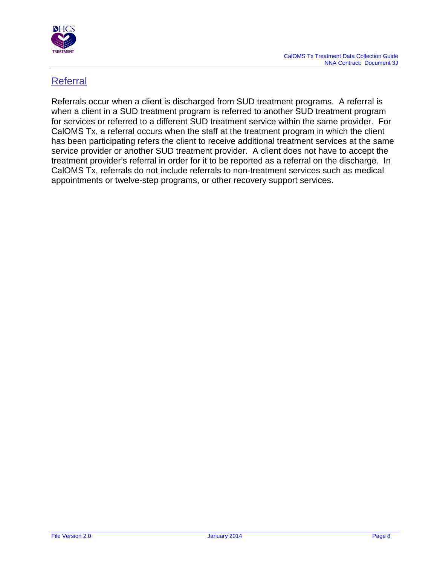

#### Referral

Referrals occur when a client is discharged from SUD treatment programs. A referral is when a client in a SUD treatment program is referred to another SUD treatment program for services or referred to a different SUD treatment service within the same provider. For CalOMS Tx, a referral occurs when the staff at the treatment program in which the client has been participating refers the client to receive additional treatment services at the same service provider or another SUD treatment provider. A client does not have to accept the treatment provider's referral in order for it to be reported as a referral on the discharge. In CalOMS Tx, referrals do not include referrals to non-treatment services such as medical appointments or twelve-step programs, or other recovery support services.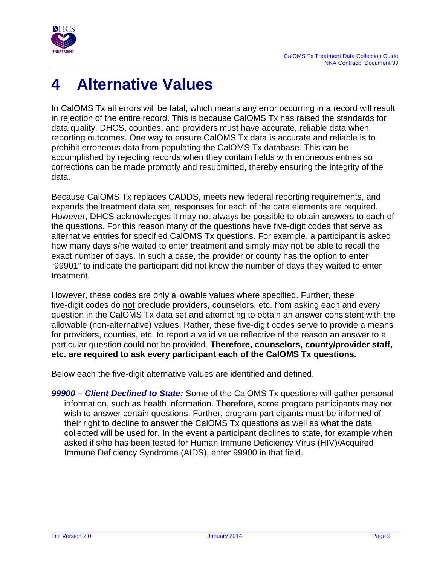

## <span id="page-17-0"></span>**4 Alternative Values**

In CalOMS Tx all errors will be fatal, which means any error occurring in a record will result in rejection of the entire record. This is because CalOMS Tx has raised the standards for data quality. DHCS, counties, and providers must have accurate, reliable data when reporting outcomes. One way to ensure CalOMS Tx data is accurate and reliable is to prohibit erroneous data from populating the CalOMS Tx database. This can be accomplished by rejecting records when they contain fields with erroneous entries so corrections can be made promptly and resubmitted, thereby ensuring the integrity of the data.

Because CalOMS Tx replaces CADDS, meets new federal reporting requirements, and expands the treatment data set, responses for each of the data elements are required. However, DHCS acknowledges it may not always be possible to obtain answers to each of the questions. For this reason many of the questions have five-digit codes that serve as alternative entries for specified CalOMS Tx questions. For example, a participant is asked how many days s/he waited to enter treatment and simply may not be able to recall the exact number of days. In such a case, the provider or county has the option to enter "99901" to indicate the participant did not know the number of days they waited to enter treatment.

However, these codes are only allowable values where specified. Further, these five-digit codes do not preclude providers, counselors, etc. from asking each and every question in the CalOMS Tx data set and attempting to obtain an answer consistent with the allowable (non-alternative) values. Rather, these five-digit codes serve to provide a means for providers, counties, etc. to report a valid value reflective of the reason an answer to a particular question could not be provided. **Therefore, counselors, county/provider staff, etc. are required to ask every participant each of the CalOMS Tx questions.**

Below each the five-digit alternative values are identified and defined.

*99900 – Client Declined to State:* Some of the CalOMS Tx questions will gather personal information, such as health information. Therefore, some program participants may not wish to answer certain questions. Further, program participants must be informed of their right to decline to answer the CalOMS Tx questions as well as what the data collected will be used for. In the event a participant declines to state, for example when asked if s/he has been tested for Human Immune Deficiency Virus (HIV)/Acquired Immune Deficiency Syndrome (AIDS), enter 99900 in that field.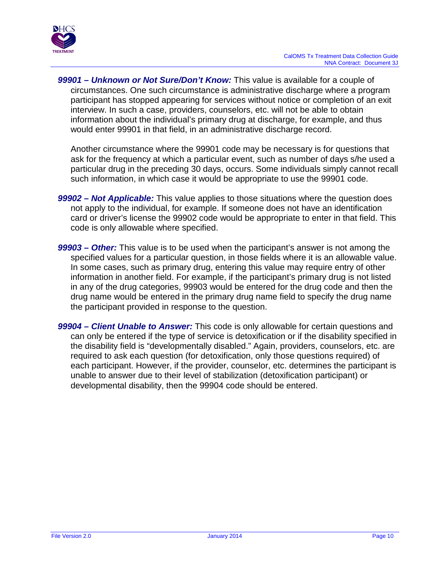

*99901 – Unknown or Not Sure/Don't Know:* This value is available for a couple of circumstances. One such circumstance is administrative discharge where a program participant has stopped appearing for services without notice or completion of an exit interview. In such a case, providers, counselors, etc. will not be able to obtain information about the individual's primary drug at discharge, for example, and thus would enter 99901 in that field, in an administrative discharge record.

Another circumstance where the 99901 code may be necessary is for questions that ask for the frequency at which a particular event, such as number of days s/he used a particular drug in the preceding 30 days, occurs. Some individuals simply cannot recall such information, in which case it would be appropriate to use the 99901 code.

- *99902 – Not Applicable:* This value applies to those situations where the question does not apply to the individual, for example. If someone does not have an identification card or driver's license the 99902 code would be appropriate to enter in that field. This code is only allowable where specified.
- *99903 – Other:* This value is to be used when the participant's answer is not among the specified values for a particular question, in those fields where it is an allowable value. In some cases, such as primary drug, entering this value may require entry of other information in another field. For example, if the participant's primary drug is not listed in any of the drug categories, 99903 would be entered for the drug code and then the drug name would be entered in the primary drug name field to specify the drug name the participant provided in response to the question.
- *99904 – Client Unable to Answer:* This code is only allowable for certain questions and can only be entered if the type of service is detoxification or if the disability specified in the disability field is "developmentally disabled." Again, providers, counselors, etc. are required to ask each question (for detoxification, only those questions required) of each participant. However, if the provider, counselor, etc. determines the participant is unable to answer due to their level of stabilization (detoxification participant) or developmental disability, then the 99904 code should be entered.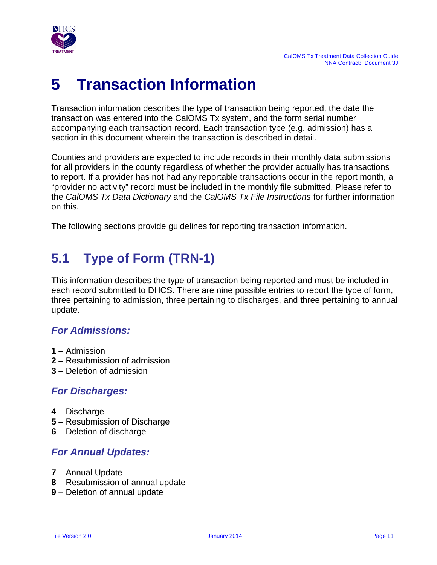

## <span id="page-19-0"></span>**5 Transaction Information**

Transaction information describes the type of transaction being reported, the date the transaction was entered into the CalOMS Tx system, and the form serial number accompanying each transaction record. Each transaction type (e.g. admission) has a section in this document wherein the transaction is described in detail.

Counties and providers are expected to include records in their monthly data submissions for all providers in the county regardless of whether the provider actually has transactions to report. If a provider has not had any reportable transactions occur in the report month, a "provider no activity" record must be included in the monthly file submitted. Please refer to the *CalOMS Tx Data Dictionary* and the *CalOMS Tx File Instructions* for further information on this.

The following sections provide guidelines for reporting transaction information.

### <span id="page-19-1"></span>**5.1 Type of Form (TRN-1)**

This information describes the type of transaction being reported and must be included in each record submitted to DHCS. There are nine possible entries to report the type of form, three pertaining to admission, three pertaining to discharges, and three pertaining to annual update.

#### *For Admissions:*

- **1** Admission
- **2** Resubmission of admission
- **3** Deletion of admission

#### *For Discharges:*

- **4** Discharge
- **5** Resubmission of Discharge
- **6** Deletion of discharge

#### *For Annual Updates:*

- **7** Annual Update
- **8** Resubmission of annual update
- **9** Deletion of annual update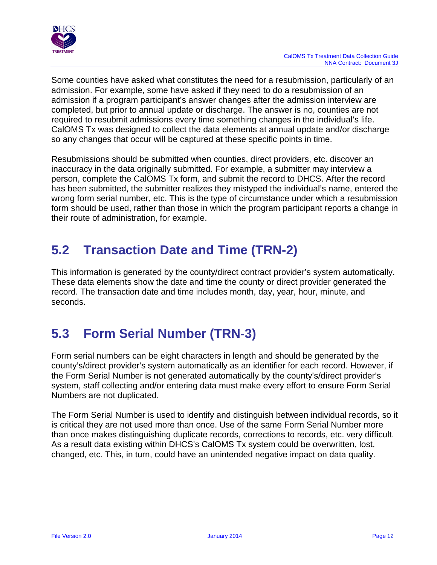

Some counties have asked what constitutes the need for a resubmission, particularly of an admission. For example, some have asked if they need to do a resubmission of an admission if a program participant's answer changes after the admission interview are completed, but prior to annual update or discharge. The answer is no, counties are not required to resubmit admissions every time something changes in the individual's life. CalOMS Tx was designed to collect the data elements at annual update and/or discharge so any changes that occur will be captured at these specific points in time.

Resubmissions should be submitted when counties, direct providers, etc. discover an inaccuracy in the data originally submitted. For example, a submitter may interview a person, complete the CalOMS Tx form, and submit the record to DHCS. After the record has been submitted, the submitter realizes they mistyped the individual's name, entered the wrong form serial number, etc. This is the type of circumstance under which a resubmission form should be used, rather than those in which the program participant reports a change in their route of administration, for example.

### <span id="page-20-0"></span>**5.2 Transaction Date and Time (TRN-2)**

This information is generated by the county/direct contract provider's system automatically. These data elements show the date and time the county or direct provider generated the record. The transaction date and time includes month, day, year, hour, minute, and seconds.

### <span id="page-20-1"></span>**5.3 Form Serial Number (TRN-3)**

Form serial numbers can be eight characters in length and should be generated by the county's/direct provider's system automatically as an identifier for each record. However, if the Form Serial Number is not generated automatically by the county's/direct provider's system, staff collecting and/or entering data must make every effort to ensure Form Serial Numbers are not duplicated.

The Form Serial Number is used to identify and distinguish between individual records, so it is critical they are not used more than once. Use of the same Form Serial Number more than once makes distinguishing duplicate records, corrections to records, etc. very difficult. As a result data existing within DHCS's CalOMS Tx system could be overwritten, lost, changed, etc. This, in turn, could have an unintended negative impact on data quality.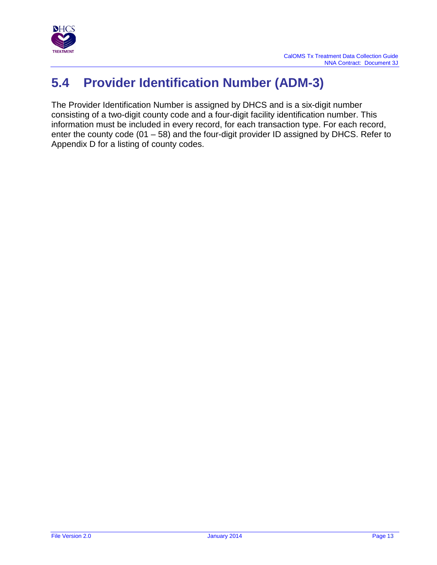

### <span id="page-21-0"></span>**5.4 Provider Identification Number (ADM-3)**

The Provider Identification Number is assigned by DHCS and is a six-digit number consisting of a two-digit county code and a four-digit facility identification number. This information must be included in every record, for each transaction type. For each record, enter the county code  $(01 - 58)$  and the four-digit provider ID assigned by DHCS. Refer to Appendix D for a listing of county codes.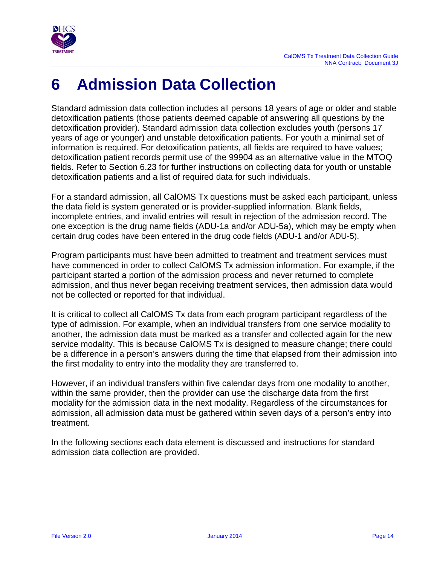

## <span id="page-22-0"></span>**6 Admission Data Collection**

Standard admission data collection includes all persons 18 years of age or older and stable detoxification patients (those patients deemed capable of answering all questions by the detoxification provider). Standard admission data collection excludes youth (persons 17 years of age or younger) and unstable detoxification patients. For youth a minimal set of information is required. For detoxification patients, all fields are required to have values; detoxification patient records permit use of the 99904 as an alternative value in the MTOQ fields. Refer to Section 6.23 for further instructions on collecting data for youth or unstable detoxification patients and a list of required data for such individuals.

For a standard admission, all CalOMS Tx questions must be asked each participant, unless the data field is system generated or is provider-supplied information. Blank fields, incomplete entries, and invalid entries will result in rejection of the admission record. The one exception is the drug name fields (ADU-1a and/or ADU-5a), which may be empty when certain drug codes have been entered in the drug code fields (ADU-1 and/or ADU-5).

Program participants must have been admitted to treatment and treatment services must have commenced in order to collect CalOMS Tx admission information. For example, if the participant started a portion of the admission process and never returned to complete admission, and thus never began receiving treatment services, then admission data would not be collected or reported for that individual.

It is critical to collect all CalOMS Tx data from each program participant regardless of the type of admission. For example, when an individual transfers from one service modality to another, the admission data must be marked as a transfer and collected again for the new service modality. This is because CalOMS Tx is designed to measure change; there could be a difference in a person's answers during the time that elapsed from their admission into the first modality to entry into the modality they are transferred to.

However, if an individual transfers within five calendar days from one modality to another, within the same provider, then the provider can use the discharge data from the first modality for the admission data in the next modality. Regardless of the circumstances for admission, all admission data must be gathered within seven days of a person's entry into treatment.

In the following sections each data element is discussed and instructions for standard admission data collection are provided.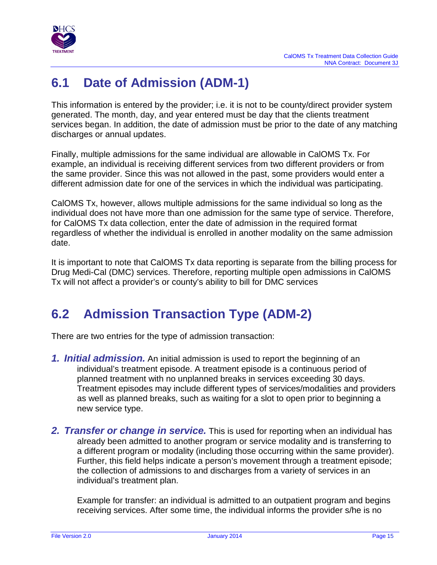

### <span id="page-23-0"></span>**6.1 Date of Admission (ADM-1)**

This information is entered by the provider; i.e. it is not to be county/direct provider system generated. The month, day, and year entered must be day that the clients treatment services began. In addition, the date of admission must be prior to the date of any matching discharges or annual updates.

Finally, multiple admissions for the same individual are allowable in CalOMS Tx. For example, an individual is receiving different services from two different providers or from the same provider. Since this was not allowed in the past, some providers would enter a different admission date for one of the services in which the individual was participating.

CalOMS Tx, however, allows multiple admissions for the same individual so long as the individual does not have more than one admission for the same type of service. Therefore, for CalOMS Tx data collection, enter the date of admission in the required format regardless of whether the individual is enrolled in another modality on the same admission date.

It is important to note that CalOMS Tx data reporting is separate from the billing process for Drug Medi-Cal (DMC) services. Therefore, reporting multiple open admissions in CalOMS Tx will not affect a provider's or county's ability to bill for DMC services

### <span id="page-23-1"></span>**6.2 Admission Transaction Type (ADM-2)**

There are two entries for the type of admission transaction:

- *1. Initial admission.* An initial admission is used to report the beginning of an individual's treatment episode. A treatment episode is a continuous period of planned treatment with no unplanned breaks in services exceeding 30 days. Treatment episodes may include different types of services/modalities and providers as well as planned breaks, such as waiting for a slot to open prior to beginning a new service type.
- *2. Transfer or change in service.* This is used for reporting when an individual has already been admitted to another program or service modality and is transferring to a different program or modality (including those occurring within the same provider). Further, this field helps indicate a person's movement through a treatment episode; the collection of admissions to and discharges from a variety of services in an individual's treatment plan.

Example for transfer: an individual is admitted to an outpatient program and begins receiving services. After some time, the individual informs the provider s/he is no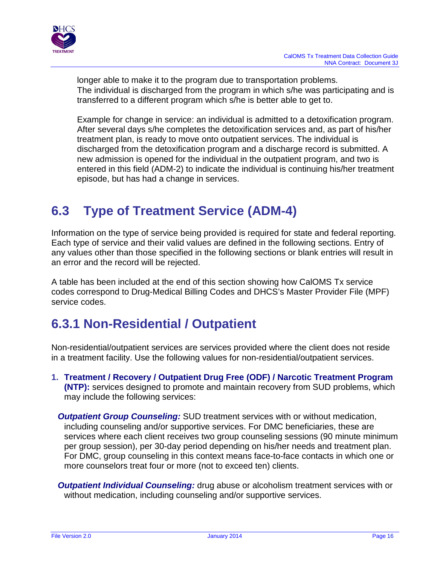

longer able to make it to the program due to transportation problems. The individual is discharged from the program in which s/he was participating and is transferred to a different program which s/he is better able to get to.

Example for change in service: an individual is admitted to a detoxification program. After several days s/he completes the detoxification services and, as part of his/her treatment plan, is ready to move onto outpatient services. The individual is discharged from the detoxification program and a discharge record is submitted. A new admission is opened for the individual in the outpatient program, and two is entered in this field (ADM-2) to indicate the individual is continuing his/her treatment episode, but has had a change in services.

### <span id="page-24-0"></span>**6.3 Type of Treatment Service (ADM-4)**

Information on the type of service being provided is required for state and federal reporting. Each type of service and their valid values are defined in the following sections. Entry of any values other than those specified in the following sections or blank entries will result in an error and the record will be rejected.

A table has been included at the end of this section showing how CalOMS Tx service codes correspond to Drug-Medical Billing Codes and DHCS's Master Provider File (MPF) service codes.

### <span id="page-24-1"></span>**6.3.1 Non-Residential / Outpatient**

Non-residential/outpatient services are services provided where the client does not reside in a treatment facility. Use the following values for non-residential/outpatient services.

**1. Treatment / Recovery / Outpatient Drug Free (ODF) / Narcotic Treatment Program (NTP):** services designed to promote and maintain recovery from SUD problems, which may include the following services:

*Outpatient Group Counseling:* SUD treatment services with or without medication, including counseling and/or supportive services. For DMC beneficiaries, these are services where each client receives two group counseling sessions (90 minute minimum per group session), per 30-day period depending on his/her needs and treatment plan. For DMC, group counseling in this context means face-to-face contacts in which one or more counselors treat four or more (not to exceed ten) clients.

*Outpatient Individual Counseling:* drug abuse or alcoholism treatment services with or without medication, including counseling and/or supportive services.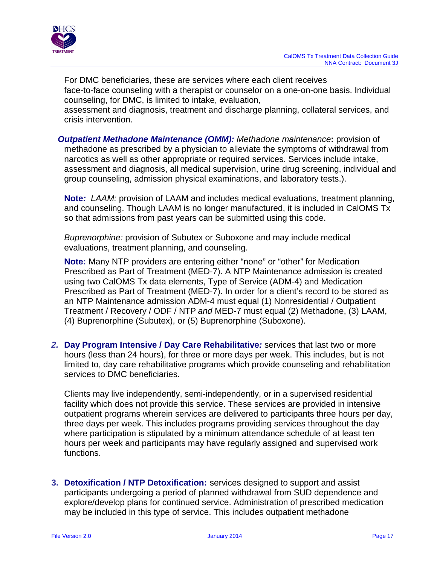

For DMC beneficiaries, these are services where each client receives face-to-face counseling with a therapist or counselor on a one-on-one basis. Individual counseling, for DMC, is limited to intake, evaluation, assessment and diagnosis, treatment and discharge planning, collateral services, and crisis intervention.

*Outpatient Methadone Maintenance (OMM): Methadone maintenance***:** provision of methadone as prescribed by a physician to alleviate the symptoms of withdrawal from narcotics as well as other appropriate or required services. Services include intake, assessment and diagnosis, all medical supervision, urine drug screening, individual and group counseling, admission physical examinations, and laboratory tests.).

**Note***: LAAM:* provision of LAAM and includes medical evaluations, treatment planning, and counseling. Though LAAM is no longer manufactured, it is included in CalOMS Tx so that admissions from past years can be submitted using this code.

*Buprenorphine:* provision of Subutex or Suboxone and may include medical evaluations, treatment planning, and counseling.

**Note:** Many NTP providers are entering either "none" or "other" for Medication Prescribed as Part of Treatment (MED-7). A NTP Maintenance admission is created using two CalOMS Tx data elements, Type of Service (ADM-4) and Medication Prescribed as Part of Treatment (MED-7). In order for a client's record to be stored as an NTP Maintenance admission ADM-4 must equal (1) Nonresidential / Outpatient Treatment / Recovery / ODF / NTP *and* MED-7 must equal (2) Methadone, (3) LAAM, (4) Buprenorphine (Subutex), or (5) Buprenorphine (Suboxone).

*2.* **Day Program Intensive / Day Care Rehabilitative***:* services that last two or more hours (less than 24 hours), for three or more days per week. This includes, but is not limited to, day care rehabilitative programs which provide counseling and rehabilitation services to DMC beneficiaries.

Clients may live independently, semi-independently, or in a supervised residential facility which does not provide this service. These services are provided in intensive outpatient programs wherein services are delivered to participants three hours per day, three days per week. This includes programs providing services throughout the day where participation is stipulated by a minimum attendance schedule of at least ten hours per week and participants may have regularly assigned and supervised work functions.

**3. Detoxification / NTP Detoxification:** services designed to support and assist participants undergoing a period of planned withdrawal from SUD dependence and explore/develop plans for continued service. Administration of prescribed medication may be included in this type of service. This includes outpatient methadone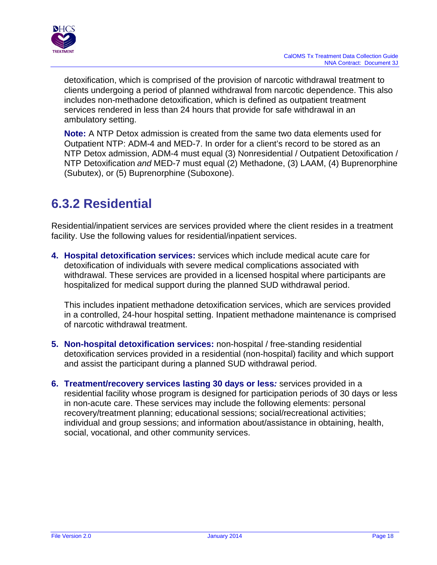

detoxification, which is comprised of the provision of narcotic withdrawal treatment to clients undergoing a period of planned withdrawal from narcotic dependence. This also includes non-methadone detoxification, which is defined as outpatient treatment services rendered in less than 24 hours that provide for safe withdrawal in an ambulatory setting.

**Note:** A NTP Detox admission is created from the same two data elements used for Outpatient NTP: ADM-4 and MED-7. In order for a client's record to be stored as an NTP Detox admission, ADM-4 must equal (3) Nonresidential / Outpatient Detoxification / NTP Detoxification *and* MED-7 must equal (2) Methadone, (3) LAAM, (4) Buprenorphine (Subutex), or (5) Buprenorphine (Suboxone).

### <span id="page-26-0"></span>**6.3.2 Residential**

Residential/inpatient services are services provided where the client resides in a treatment facility. Use the following values for residential/inpatient services.

**4. Hospital detoxification services:** services which include medical acute care for detoxification of individuals with severe medical complications associated with withdrawal. These services are provided in a licensed hospital where participants are hospitalized for medical support during the planned SUD withdrawal period.

This includes inpatient methadone detoxification services, which are services provided in a controlled, 24-hour hospital setting. Inpatient methadone maintenance is comprised of narcotic withdrawal treatment.

- **5. Non-hospital detoxification services:** non-hospital / free-standing residential detoxification services provided in a residential (non-hospital) facility and which support and assist the participant during a planned SUD withdrawal period.
- **6. Treatment/recovery services lasting 30 days or less***:* services provided in a residential facility whose program is designed for participation periods of 30 days or less in non-acute care. These services may include the following elements: personal recovery/treatment planning; educational sessions; social/recreational activities; individual and group sessions; and information about/assistance in obtaining, health, social, vocational, and other community services.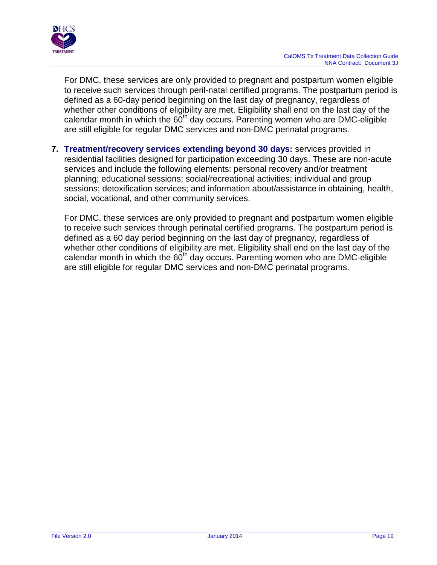

For DMC, these services are only provided to pregnant and postpartum women eligible to receive such services through peril-natal certified programs. The postpartum period is defined as a 60-day period beginning on the last day of pregnancy, regardless of whether other conditions of eligibility are met. Eligibility shall end on the last day of the calendar month in which the  $60<sup>th</sup>$  day occurs. Parenting women who are DMC-eligible are still eligible for regular DMC services and non-DMC perinatal programs.

**7. Treatment/recovery services extending beyond 30 days:** services provided in residential facilities designed for participation exceeding 30 days. These are non-acute services and include the following elements: personal recovery and/or treatment planning; educational sessions; social/recreational activities; individual and group sessions; detoxification services; and information about/assistance in obtaining, health, social, vocational, and other community services.

For DMC, these services are only provided to pregnant and postpartum women eligible to receive such services through perinatal certified programs. The postpartum period is defined as a 60 day period beginning on the last day of pregnancy, regardless of whether other conditions of eligibility are met. Eligibility shall end on the last day of the calendar month in which the  $60<sup>th</sup>$  day occurs. Parenting women who are DMC-eligible are still eligible for regular DMC services and non-DMC perinatal programs.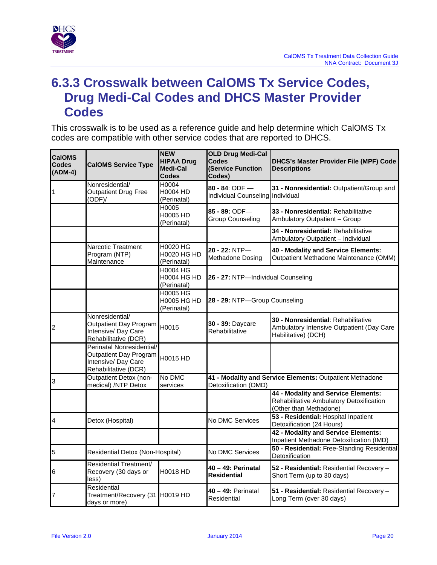

### <span id="page-28-0"></span>**6.3.3 Crosswalk between CalOMS Tx Service Codes, Drug Medi-Cal Codes and DHCS Master Provider Codes**

This crosswalk is to be used as a reference guide and help determine which CalOMS Tx codes are compatible with other service codes that are reported to DHCS.

| <b>CalOMS</b><br><b>Codes</b><br>$(ADM-4)$ | <b>CalOMS Service Type</b>                                                                         | <b>NEW</b><br><b>HIPAA Drug</b><br>Medi-Cal<br>Codes | <b>OLD Drug Medi-Cal</b><br><b>Codes</b><br><b>(Service Function</b><br>Codes)                                     | DHCS's Master Provider File (MPF) Code<br><b>Descriptions</b>                                             |  |
|--------------------------------------------|----------------------------------------------------------------------------------------------------|------------------------------------------------------|--------------------------------------------------------------------------------------------------------------------|-----------------------------------------------------------------------------------------------------------|--|
| 1                                          | Nonresidential/<br><b>Outpatient Drug Free</b><br>(ODF)/                                           | H0004<br>H0004 HD<br>(Perinatal)                     | $80 - 84$ : ODF -<br>Individual Counseling Individual                                                              | 31 - Nonresidential: Outpatient/Group and                                                                 |  |
|                                            |                                                                                                    | H0005<br>H0005 HD<br>(Perinatal)                     | 85 - 89: ODF-<br><b>Group Counseling</b>                                                                           | 33 - Nonresidential: Rehabilitative<br>Ambulatory Outpatient - Group                                      |  |
|                                            |                                                                                                    |                                                      |                                                                                                                    | 34 - Nonresidential: Rehabilitative<br>Ambulatory Outpatient - Individual                                 |  |
|                                            | Narcotic Treatment<br>Program (NTP)<br>Maintenance                                                 | H0020 HG<br>H0020 HG HD<br>(Perinatal)               | 20 - 22: NTP-<br>Methadone Dosing                                                                                  | 40 - Modality and Service Elements:<br>Outpatient Methadone Maintenance (OMM)                             |  |
|                                            |                                                                                                    | H0004 HG<br>H0004 HG HD<br>(Perinatal)               | 26 - 27: NTP-Individual Counseling                                                                                 |                                                                                                           |  |
|                                            |                                                                                                    | H0005 HG<br>H0005 HG HD<br>(Perinatal)               | 28 - 29: NTP-Group Counseling                                                                                      |                                                                                                           |  |
| 2                                          | Nonresidential/<br>Outpatient Day Program<br>Intensive/ Day Care<br>Rehabilitative (DCR)           | H0015                                                | 30 - 39: Daycare<br>Rehabilitative                                                                                 | 30 - Nonresidential: Rehabilitative<br>Ambulatory Intensive Outpatient (Day Care<br>Habilitative) (DCH)   |  |
|                                            | Perinatal Nonresidential/<br>Outpatient Day Program<br>Intensive/ Day Care<br>Rehabilitative (DCR) | H0015 HD                                             |                                                                                                                    |                                                                                                           |  |
| 3                                          | Outpatient Detox (non-<br>medical) /NTP Detox                                                      | No DMC<br>services                                   | 41 - Modality and Service Elements: Outpatient Methadone<br>Detoxification (OMD)                                   |                                                                                                           |  |
|                                            |                                                                                                    |                                                      |                                                                                                                    | 44 - Modality and Service Elements:<br>Rehabilitative Ambulatory Detoxification<br>(Other than Methadone) |  |
| 4                                          | Detox (Hospital)                                                                                   |                                                      | No DMC Services                                                                                                    | 53 - Residential: Hospital Inpatient<br>Detoxification (24 Hours)                                         |  |
|                                            |                                                                                                    |                                                      |                                                                                                                    | 42 - Modality and Service Elements:<br>Inpatient Methadone Detoxification (IMD)                           |  |
| 5                                          | Residential Detox (Non-Hospital)                                                                   |                                                      | No DMC Services                                                                                                    | 50 - Residential: Free-Standing Residential<br>Detoxification                                             |  |
| 6                                          | Residential Treatment/<br>Recovery (30 days or<br>less)                                            | H0018 HD                                             | 40 - 49: Perinatal<br>52 - Residential: Residential Recovery -<br><b>Residential</b><br>Short Term (up to 30 days) |                                                                                                           |  |
| 7                                          | Residential<br>Treatment/Recovery (31<br>days or more)                                             | H0019 HD                                             | 40 - 49: Perinatal<br>Residential                                                                                  | 51 - Residential: Residential Recovery -<br>Long Term (over 30 days)                                      |  |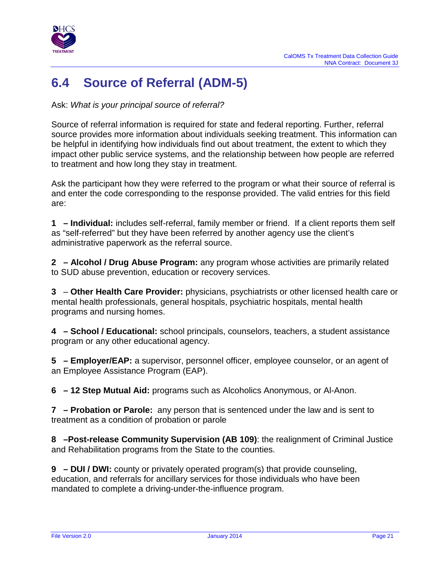

### <span id="page-29-0"></span>**6.4 Source of Referral (ADM-5)**

Ask: *What is your principal source of referral?*

Source of referral information is required for state and federal reporting. Further, referral source provides more information about individuals seeking treatment. This information can be helpful in identifying how individuals find out about treatment, the extent to which they impact other public service systems, and the relationship between how people are referred to treatment and how long they stay in treatment.

Ask the participant how they were referred to the program or what their source of referral is and enter the code corresponding to the response provided. The valid entries for this field are:

**1 – Individual:** includes self-referral, family member or friend. If a client reports them self as "self-referred" but they have been referred by another agency use the client's administrative paperwork as the referral source.

**2 – Alcohol / Drug Abuse Program:** any program whose activities are primarily related to SUD abuse prevention, education or recovery services.

**3** – **Other Health Care Provider:** physicians, psychiatrists or other licensed health care or mental health professionals, general hospitals, psychiatric hospitals, mental health programs and nursing homes.

**4 – School / Educational:** school principals, counselors, teachers, a student assistance program or any other educational agency.

**5 – Employer/EAP:** a supervisor, personnel officer, employee counselor, or an agent of an Employee Assistance Program (EAP).

**6 – 12 Step Mutual Aid:** programs such as Alcoholics Anonymous, or Al-Anon.

**7 – Probation or Parole:** any person that is sentenced under the law and is sent to treatment as a condition of probation or parole

**8 –Post-release Community Supervision (AB 109)**: the realignment of Criminal Justice and Rehabilitation programs from the State to the counties.

**9 – DUI / DWI:** county or privately operated program(s) that provide counseling, education, and referrals for ancillary services for those individuals who have been mandated to complete a driving-under-the-influence program.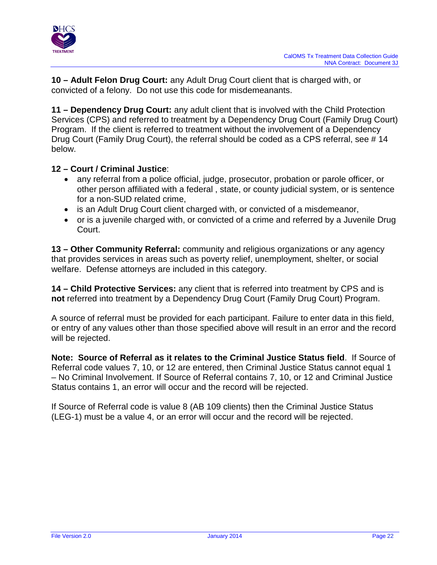

**10 – Adult Felon Drug Court:** any Adult Drug Court client that is charged with, or convicted of a felony. Do not use this code for misdemeanants.

**11 – Dependency Drug Court:** any adult client that is involved with the Child Protection Services (CPS) and referred to treatment by a Dependency Drug Court (Family Drug Court) Program. If the client is referred to treatment without the involvement of a Dependency Drug Court (Family Drug Court), the referral should be coded as a CPS referral, see # 14 below.

#### **12 – Court / Criminal Justice**:

- any referral from a police official, judge, prosecutor, probation or parole officer, or other person affiliated with a federal , state, or county judicial system, or is sentence for a non-SUD related crime,
- is an Adult Drug Court client charged with, or convicted of a misdemeanor,
- or is a juvenile charged with, or convicted of a crime and referred by a Juvenile Drug Court.

**13 – Other Community Referral:** community and religious organizations or any agency that provides services in areas such as poverty relief, unemployment, shelter, or social welfare. Defense attorneys are included in this category.

**14 – Child Protective Services:** any client that is referred into treatment by CPS and is **not** referred into treatment by a Dependency Drug Court (Family Drug Court) Program.

A source of referral must be provided for each participant. Failure to enter data in this field, or entry of any values other than those specified above will result in an error and the record will be rejected.

**Note: Source of Referral as it relates to the Criminal Justice Status field**. If Source of Referral code values 7, 10, or 12 are entered, then Criminal Justice Status cannot equal 1 – No Criminal Involvement. If Source of Referral contains 7, 10, or 12 and Criminal Justice Status contains 1, an error will occur and the record will be rejected.

If Source of Referral code is value 8 (AB 109 clients) then the Criminal Justice Status (LEG-1) must be a value 4, or an error will occur and the record will be rejected.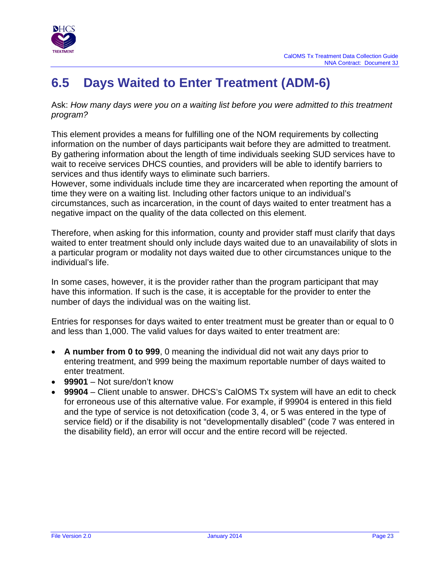

### <span id="page-31-0"></span>**6.5 Days Waited to Enter Treatment (ADM-6)**

Ask: *How many days were you on a waiting list before you were admitted to this treatment program?*

This element provides a means for fulfilling one of the NOM requirements by collecting information on the number of days participants wait before they are admitted to treatment. By gathering information about the length of time individuals seeking SUD services have to wait to receive services DHCS counties, and providers will be able to identify barriers to services and thus identify ways to eliminate such barriers.

However, some individuals include time they are incarcerated when reporting the amount of time they were on a waiting list. Including other factors unique to an individual's circumstances, such as incarceration, in the count of days waited to enter treatment has a negative impact on the quality of the data collected on this element.

Therefore, when asking for this information, county and provider staff must clarify that days waited to enter treatment should only include days waited due to an unavailability of slots in a particular program or modality not days waited due to other circumstances unique to the individual's life.

In some cases, however, it is the provider rather than the program participant that may have this information. If such is the case, it is acceptable for the provider to enter the number of days the individual was on the waiting list.

Entries for responses for days waited to enter treatment must be greater than or equal to 0 and less than 1,000. The valid values for days waited to enter treatment are:

- **A number from 0 to 999**, 0 meaning the individual did not wait any days prior to entering treatment, and 999 being the maximum reportable number of days waited to enter treatment.
- **99901** Not sure/don't know
- **99904** Client unable to answer. DHCS's CalOMS Tx system will have an edit to check for erroneous use of this alternative value. For example, if 99904 is entered in this field and the type of service is not detoxification (code 3, 4, or 5 was entered in the type of service field) or if the disability is not "developmentally disabled" (code 7 was entered in the disability field), an error will occur and the entire record will be rejected.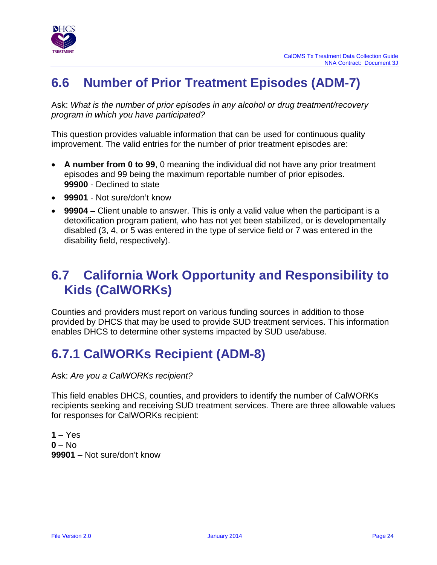

### <span id="page-32-0"></span>**6.6 Number of Prior Treatment Episodes (ADM-7)**

Ask: *What is the number of prior episodes in any alcohol or drug treatment/recovery program in which you have participated?*

This question provides valuable information that can be used for continuous quality improvement. The valid entries for the number of prior treatment episodes are:

- **A number from 0 to 99**, 0 meaning the individual did not have any prior treatment episodes and 99 being the maximum reportable number of prior episodes. **99900** - Declined to state
- **99901**  Not sure/don't know
- **99904** Client unable to answer. This is only a valid value when the participant is a detoxification program patient, who has not yet been stabilized, or is developmentally disabled (3, 4, or 5 was entered in the type of service field or 7 was entered in the disability field, respectively).

### <span id="page-32-1"></span>**6.7 California Work Opportunity and Responsibility to Kids (CalWORKs)**

Counties and providers must report on various funding sources in addition to those provided by DHCS that may be used to provide SUD treatment services. This information enables DHCS to determine other systems impacted by SUD use/abuse.

### <span id="page-32-2"></span>**6.7.1 CalWORKs Recipient (ADM-8)**

Ask: *Are you a CalWORKs recipient?*

This field enables DHCS, counties, and providers to identify the number of CalWORKs recipients seeking and receiving SUD treatment services. There are three allowable values for responses for CalWORKs recipient:

**1** – Yes **0** – No **99901** – Not sure/don't know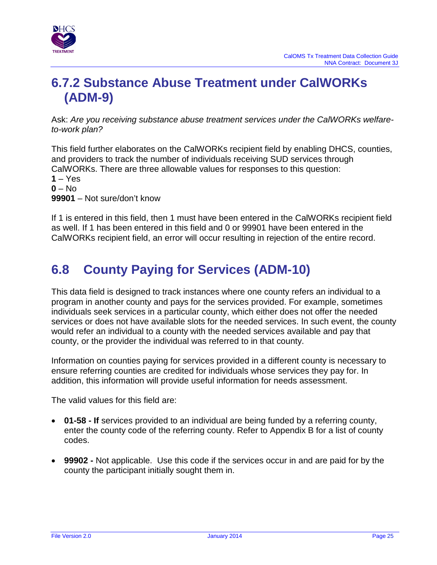

### <span id="page-33-0"></span>**6.7.2 Substance Abuse Treatment under CalWORKs (ADM-9)**

Ask: *Are you receiving substance abuse treatment services under the CalWORKs welfareto-work plan?*

This field further elaborates on the CalWORKs recipient field by enabling DHCS, counties, and providers to track the number of individuals receiving SUD services through CalWORKs. There are three allowable values for responses to this question:

**1** – Yes **0** – No **99901** – Not sure/don't know

If 1 is entered in this field, then 1 must have been entered in the CalWORKs recipient field as well. If 1 has been entered in this field and 0 or 99901 have been entered in the CalWORKs recipient field, an error will occur resulting in rejection of the entire record.

### <span id="page-33-1"></span>**6.8 County Paying for Services (ADM-10)**

This data field is designed to track instances where one county refers an individual to a program in another county and pays for the services provided. For example, sometimes individuals seek services in a particular county, which either does not offer the needed services or does not have available slots for the needed services. In such event, the county would refer an individual to a county with the needed services available and pay that county, or the provider the individual was referred to in that county.

Information on counties paying for services provided in a different county is necessary to ensure referring counties are credited for individuals whose services they pay for. In addition, this information will provide useful information for needs assessment.

The valid values for this field are:

- **01-58 - If** services provided to an individual are being funded by a referring county, enter the county code of the referring county. Refer to Appendix B for a list of county codes.
- **99902 -** Not applicable. Use this code if the services occur in and are paid for by the county the participant initially sought them in.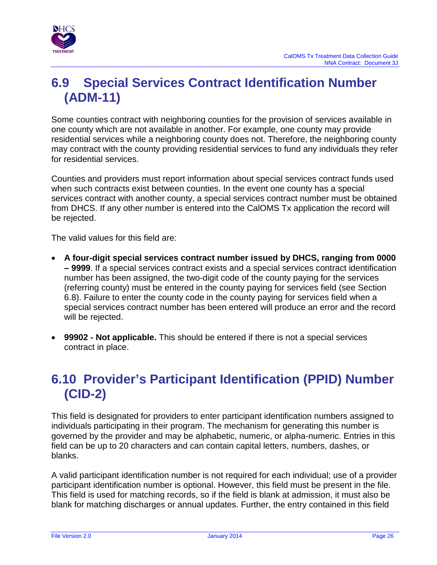

### <span id="page-34-0"></span>**6.9 Special Services Contract Identification Number (ADM-11)**

Some counties contract with neighboring counties for the provision of services available in one county which are not available in another. For example, one county may provide residential services while a neighboring county does not. Therefore, the neighboring county may contract with the county providing residential services to fund any individuals they refer for residential services.

Counties and providers must report information about special services contract funds used when such contracts exist between counties. In the event one county has a special services contract with another county, a special services contract number must be obtained from DHCS. If any other number is entered into the CalOMS Tx application the record will be rejected.

The valid values for this field are:

- **A four-digit special services contract number issued by DHCS, ranging from 0000 – 9999**. If a special services contract exists and a special services contract identification number has been assigned, the two-digit code of the county paying for the services (referring county) must be entered in the county paying for services field (see Section 6.8). Failure to enter the county code in the county paying for services field when a special services contract number has been entered will produce an error and the record will be rejected.
- **99902 - Not applicable.** This should be entered if there is not a special services contract in place.

### <span id="page-34-1"></span>**6.10 Provider's Participant Identification (PPID) Number (CID-2)**

This field is designated for providers to enter participant identification numbers assigned to individuals participating in their program. The mechanism for generating this number is governed by the provider and may be alphabetic, numeric, or alpha-numeric. Entries in this field can be up to 20 characters and can contain capital letters, numbers, dashes, or blanks.

A valid participant identification number is not required for each individual; use of a provider participant identification number is optional. However, this field must be present in the file. This field is used for matching records, so if the field is blank at admission, it must also be blank for matching discharges or annual updates. Further, the entry contained in this field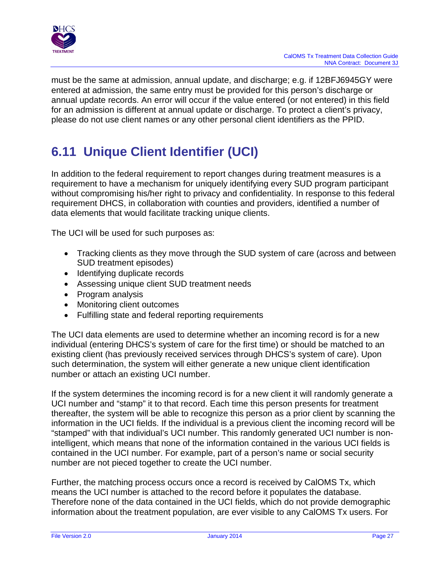

must be the same at admission, annual update, and discharge; e.g. if 12BFJ6945GY were entered at admission, the same entry must be provided for this person's discharge or annual update records. An error will occur if the value entered (or not entered) in this field for an admission is different at annual update or discharge. To protect a client's privacy, please do not use client names or any other personal client identifiers as the PPID.

### <span id="page-35-0"></span>**6.11 Unique Client Identifier (UCI)**

In addition to the federal requirement to report changes during treatment measures is a requirement to have a mechanism for uniquely identifying every SUD program participant without compromising his/her right to privacy and confidentiality. In response to this federal requirement DHCS, in collaboration with counties and providers, identified a number of data elements that would facilitate tracking unique clients.

The UCI will be used for such purposes as:

- Tracking clients as they move through the SUD system of care (across and between SUD treatment episodes)
- Identifying duplicate records
- Assessing unique client SUD treatment needs
- Program analysis
- Monitoring client outcomes
- Fulfilling state and federal reporting requirements

The UCI data elements are used to determine whether an incoming record is for a new individual (entering DHCS's system of care for the first time) or should be matched to an existing client (has previously received services through DHCS's system of care). Upon such determination, the system will either generate a new unique client identification number or attach an existing UCI number.

If the system determines the incoming record is for a new client it will randomly generate a UCI number and "stamp" it to that record. Each time this person presents for treatment thereafter, the system will be able to recognize this person as a prior client by scanning the information in the UCI fields. If the individual is a previous client the incoming record will be "stamped" with that individual's UCI number. This randomly generated UCI number is nonintelligent, which means that none of the information contained in the various UCI fields is contained in the UCI number. For example, part of a person's name or social security number are not pieced together to create the UCI number.

Further, the matching process occurs once a record is received by CalOMS Tx, which means the UCI number is attached to the record before it populates the database. Therefore none of the data contained in the UCI fields, which do not provide demographic information about the treatment population, are ever visible to any CalOMS Tx users. For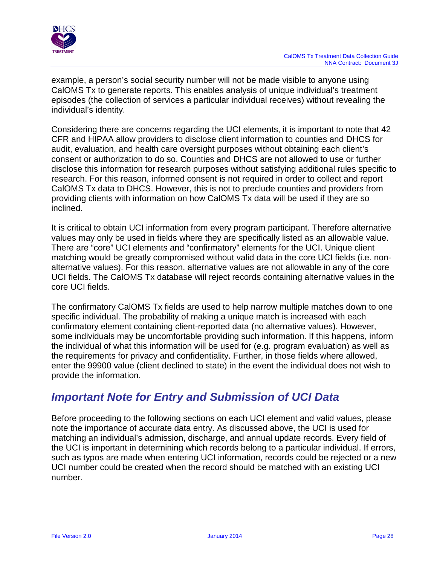

example, a person's social security number will not be made visible to anyone using CalOMS Tx to generate reports. This enables analysis of unique individual's treatment episodes (the collection of services a particular individual receives) without revealing the individual's identity.

Considering there are concerns regarding the UCI elements, it is important to note that 42 CFR and HIPAA allow providers to disclose client information to counties and DHCS for audit, evaluation, and health care oversight purposes without obtaining each client's consent or authorization to do so. Counties and DHCS are not allowed to use or further disclose this information for research purposes without satisfying additional rules specific to research. For this reason, informed consent is not required in order to collect and report CalOMS Tx data to DHCS. However, this is not to preclude counties and providers from providing clients with information on how CalOMS Tx data will be used if they are so inclined.

It is critical to obtain UCI information from every program participant. Therefore alternative values may only be used in fields where they are specifically listed as an allowable value. There are "core" UCI elements and "confirmatory" elements for the UCI. Unique client matching would be greatly compromised without valid data in the core UCI fields (i.e. nonalternative values). For this reason, alternative values are not allowable in any of the core UCI fields. The CalOMS Tx database will reject records containing alternative values in the core UCI fields.

The confirmatory CalOMS Tx fields are used to help narrow multiple matches down to one specific individual. The probability of making a unique match is increased with each confirmatory element containing client-reported data (no alternative values). However, some individuals may be uncomfortable providing such information. If this happens, inform the individual of what this information will be used for (e.g. program evaluation) as well as the requirements for privacy and confidentiality. Further, in those fields where allowed, enter the 99900 value (client declined to state) in the event the individual does not wish to provide the information.

## *Important Note for Entry and Submission of UCI Data*

Before proceeding to the following sections on each UCI element and valid values, please note the importance of accurate data entry. As discussed above, the UCI is used for matching an individual's admission, discharge, and annual update records. Every field of the UCI is important in determining which records belong to a particular individual. If errors, such as typos are made when entering UCI information, records could be rejected or a new UCI number could be created when the record should be matched with an existing UCI number.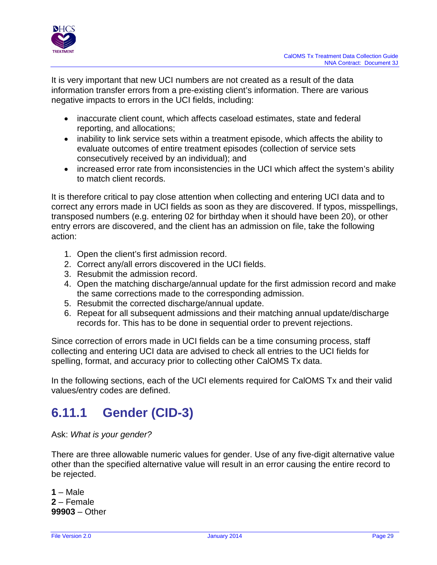

It is very important that new UCI numbers are not created as a result of the data information transfer errors from a pre-existing client's information. There are various negative impacts to errors in the UCI fields, including:

- inaccurate client count, which affects caseload estimates, state and federal reporting, and allocations;
- inability to link service sets within a treatment episode, which affects the ability to evaluate outcomes of entire treatment episodes (collection of service sets consecutively received by an individual); and
- increased error rate from inconsistencies in the UCI which affect the system's ability to match client records.

It is therefore critical to pay close attention when collecting and entering UCI data and to correct any errors made in UCI fields as soon as they are discovered. If typos, misspellings, transposed numbers (e.g. entering 02 for birthday when it should have been 20), or other entry errors are discovered, and the client has an admission on file, take the following action:

- 1. Open the client's first admission record.
- 2. Correct any/all errors discovered in the UCI fields.
- 3. Resubmit the admission record.
- 4. Open the matching discharge/annual update for the first admission record and make the same corrections made to the corresponding admission.
- 5. Resubmit the corrected discharge/annual update.
- 6. Repeat for all subsequent admissions and their matching annual update/discharge records for. This has to be done in sequential order to prevent rejections.

Since correction of errors made in UCI fields can be a time consuming process, staff collecting and entering UCI data are advised to check all entries to the UCI fields for spelling, format, and accuracy prior to collecting other CalOMS Tx data.

In the following sections, each of the UCI elements required for CalOMS Tx and their valid values/entry codes are defined.

## **6.11.1 Gender (CID-3)**

Ask: *What is your gender?*

There are three allowable numeric values for gender. Use of any five-digit alternative value other than the specified alternative value will result in an error causing the entire record to be rejected.

**1** – Male **2** – Female **99903** – Other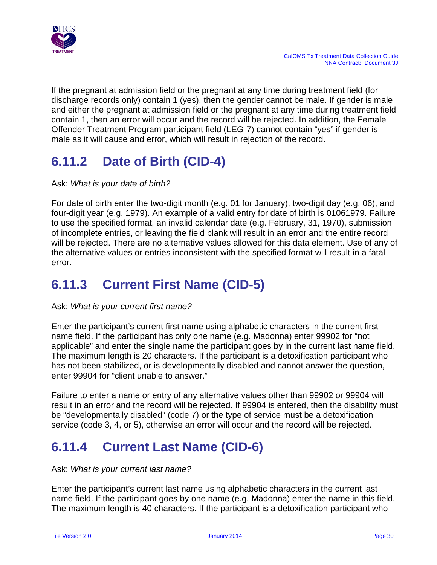

If the pregnant at admission field or the pregnant at any time during treatment field (for discharge records only) contain 1 (yes), then the gender cannot be male. If gender is male and either the pregnant at admission field or the pregnant at any time during treatment field contain 1, then an error will occur and the record will be rejected. In addition, the Female Offender Treatment Program participant field (LEG-7) cannot contain "yes" if gender is male as it will cause and error, which will result in rejection of the record.

# **6.11.2 Date of Birth (CID-4)**

#### Ask: *What is your date of birth?*

For date of birth enter the two-digit month (e.g. 01 for January), two-digit day (e.g. 06), and four-digit year (e.g. 1979). An example of a valid entry for date of birth is 01061979. Failure to use the specified format, an invalid calendar date (e.g. February, 31, 1970), submission of incomplete entries, or leaving the field blank will result in an error and the entire record will be rejected. There are no alternative values allowed for this data element. Use of any of the alternative values or entries inconsistent with the specified format will result in a fatal error.

## **6.11.3 Current First Name (CID-5)**

#### Ask: *What is your current first name?*

Enter the participant's current first name using alphabetic characters in the current first name field. If the participant has only one name (e.g. Madonna) enter 99902 for "not applicable" and enter the single name the participant goes by in the current last name field. The maximum length is 20 characters. If the participant is a detoxification participant who has not been stabilized, or is developmentally disabled and cannot answer the question, enter 99904 for "client unable to answer."

Failure to enter a name or entry of any alternative values other than 99902 or 99904 will result in an error and the record will be rejected. If 99904 is entered, then the disability must be "developmentally disabled" (code 7) or the type of service must be a detoxification service (code 3, 4, or 5), otherwise an error will occur and the record will be rejected.

## **6.11.4 Current Last Name (CID-6)**

#### Ask: *What is your current last name?*

Enter the participant's current last name using alphabetic characters in the current last name field. If the participant goes by one name (e.g. Madonna) enter the name in this field. The maximum length is 40 characters. If the participant is a detoxification participant who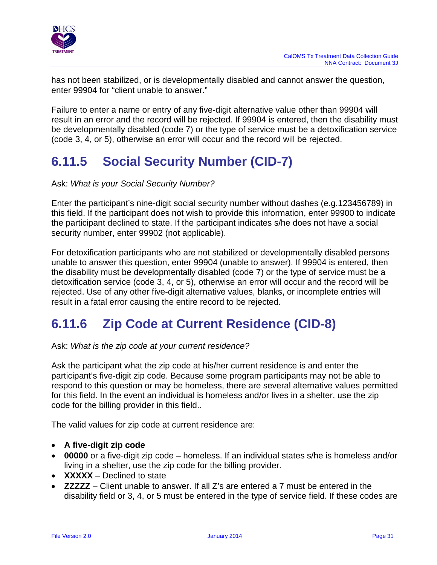

has not been stabilized, or is developmentally disabled and cannot answer the question, enter 99904 for "client unable to answer."

Failure to enter a name or entry of any five-digit alternative value other than 99904 will result in an error and the record will be rejected. If 99904 is entered, then the disability must be developmentally disabled (code 7) or the type of service must be a detoxification service (code 3, 4, or 5), otherwise an error will occur and the record will be rejected.

# **6.11.5 Social Security Number (CID-7)**

Ask: *What is your Social Security Number?*

Enter the participant's nine-digit social security number without dashes (e.g.123456789) in this field. If the participant does not wish to provide this information, enter 99900 to indicate the participant declined to state. If the participant indicates s/he does not have a social security number, enter 99902 (not applicable).

For detoxification participants who are not stabilized or developmentally disabled persons unable to answer this question, enter 99904 (unable to answer). If 99904 is entered, then the disability must be developmentally disabled (code 7) or the type of service must be a detoxification service (code 3, 4, or 5), otherwise an error will occur and the record will be rejected. Use of any other five-digit alternative values, blanks, or incomplete entries will result in a fatal error causing the entire record to be rejected.

## **6.11.6 Zip Code at Current Residence (CID-8)**

Ask: *What is the zip code at your current residence?*

Ask the participant what the zip code at his/her current residence is and enter the participant's five-digit zip code. Because some program participants may not be able to respond to this question or may be homeless, there are several alternative values permitted for this field. In the event an individual is homeless and/or lives in a shelter, use the zip code for the billing provider in this field..

The valid values for zip code at current residence are:

- **A five-digit zip code**
- **00000** or a five-digit zip code homeless. If an individual states s/he is homeless and/or living in a shelter, use the zip code for the billing provider.
- **XXXXX** Declined to state
- **ZZZZZ** Client unable to answer. If all Z's are entered a 7 must be entered in the disability field or 3, 4, or 5 must be entered in the type of service field. If these codes are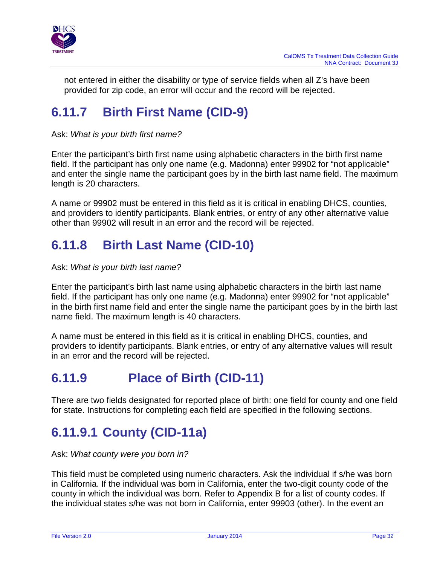

not entered in either the disability or type of service fields when all Z's have been provided for zip code, an error will occur and the record will be rejected.

## **6.11.7 Birth First Name (CID-9)**

Ask: *What is your birth first name?*

Enter the participant's birth first name using alphabetic characters in the birth first name field. If the participant has only one name (e.g. Madonna) enter 99902 for "not applicable" and enter the single name the participant goes by in the birth last name field. The maximum length is 20 characters.

A name or 99902 must be entered in this field as it is critical in enabling DHCS, counties, and providers to identify participants. Blank entries, or entry of any other alternative value other than 99902 will result in an error and the record will be rejected.

## **6.11.8 Birth Last Name (CID-10)**

Ask: *What is your birth last name?*

Enter the participant's birth last name using alphabetic characters in the birth last name field. If the participant has only one name (e.g. Madonna) enter 99902 for "not applicable" in the birth first name field and enter the single name the participant goes by in the birth last name field. The maximum length is 40 characters.

A name must be entered in this field as it is critical in enabling DHCS, counties, and providers to identify participants. Blank entries, or entry of any alternative values will result in an error and the record will be rejected.

## **6.11.9 Place of Birth (CID-11)**

There are two fields designated for reported place of birth: one field for county and one field for state. Instructions for completing each field are specified in the following sections.

## **6.11.9.1 County (CID-11a)**

Ask: *What county were you born in?*

This field must be completed using numeric characters. Ask the individual if s/he was born in California. If the individual was born in California, enter the two-digit county code of the county in which the individual was born. Refer to Appendix B for a list of county codes. If the individual states s/he was not born in California, enter 99903 (other). In the event an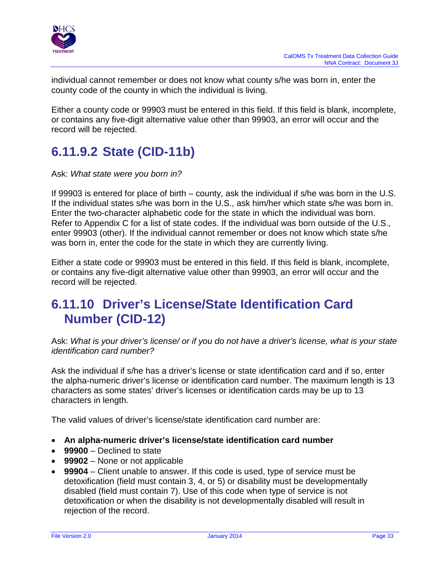

individual cannot remember or does not know what county s/he was born in, enter the county code of the county in which the individual is living.

Either a county code or 99903 must be entered in this field. If this field is blank, incomplete, or contains any five-digit alternative value other than 99903, an error will occur and the record will be rejected.

## **6.11.9.2 State (CID-11b)**

Ask: *What state were you born in?*

If 99903 is entered for place of birth – county, ask the individual if s/he was born in the U.S. If the individual states s/he was born in the U.S., ask him/her which state s/he was born in. Enter the two-character alphabetic code for the state in which the individual was born. Refer to Appendix C for a list of state codes. If the individual was born outside of the U.S., enter 99903 (other). If the individual cannot remember or does not know which state s/he was born in, enter the code for the state in which they are currently living.

Either a state code or 99903 must be entered in this field. If this field is blank, incomplete, or contains any five-digit alternative value other than 99903, an error will occur and the record will be rejected.

## **6.11.10 Driver's License/State Identification Card Number (CID-12)**

Ask: *What is your driver's license/ or if you do not have a driver's license, what is your state identification card number?*

Ask the individual if s/he has a driver's license or state identification card and if so, enter the alpha-numeric driver's license or identification card number. The maximum length is 13 characters as some states' driver's licenses or identification cards may be up to 13 characters in length.

The valid values of driver's license/state identification card number are:

- **An alpha-numeric driver's license/state identification card number**
- **99900**  Declined to state
- **99902**  None or not applicable
- **99904**  Client unable to answer. If this code is used, type of service must be detoxification (field must contain 3, 4, or 5) or disability must be developmentally disabled (field must contain 7). Use of this code when type of service is not detoxification or when the disability is not developmentally disabled will result in rejection of the record.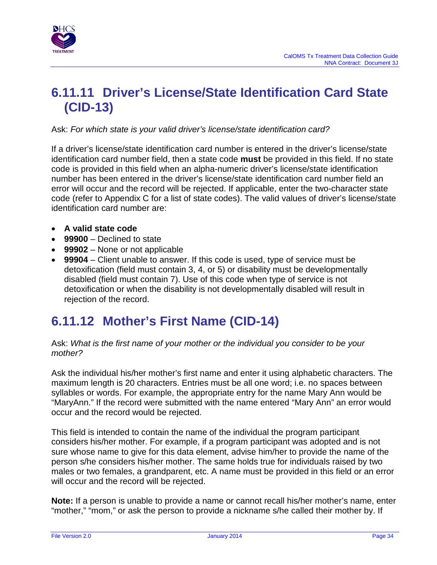

# **6.11.11 Driver's License/State Identification Card State (CID-13)**

Ask: *For which state is your valid driver's license/state identification card?*

If a driver's license/state identification card number is entered in the driver's license/state identification card number field, then a state code **must** be provided in this field. If no state code is provided in this field when an alpha-numeric driver's license/state identification number has been entered in the driver's license/state identification card number field an error will occur and the record will be rejected. If applicable, enter the two-character state code (refer to Appendix C for a list of state codes). The valid values of driver's license/state identification card number are:

- **A valid state code**
- **99900** Declined to state
- **99902** None or not applicable
- **99904** Client unable to answer. If this code is used, type of service must be detoxification (field must contain 3, 4, or 5) or disability must be developmentally disabled (field must contain 7). Use of this code when type of service is not detoxification or when the disability is not developmentally disabled will result in rejection of the record.

## **6.11.12 Mother's First Name (CID-14)**

Ask: *What is the first name of your mother or the individual you consider to be your mother?*

Ask the individual his/her mother's first name and enter it using alphabetic characters. The maximum length is 20 characters. Entries must be all one word; i.e. no spaces between syllables or words. For example, the appropriate entry for the name Mary Ann would be "MaryAnn." If the record were submitted with the name entered "Mary Ann" an error would occur and the record would be rejected.

This field is intended to contain the name of the individual the program participant considers his/her mother. For example, if a program participant was adopted and is not sure whose name to give for this data element, advise him/her to provide the name of the person s/he considers his/her mother. The same holds true for individuals raised by two males or two females, a grandparent, etc. A name must be provided in this field or an error will occur and the record will be rejected.

**Note:** If a person is unable to provide a name or cannot recall his/her mother's name, enter "mother," "mom," or ask the person to provide a nickname s/he called their mother by. If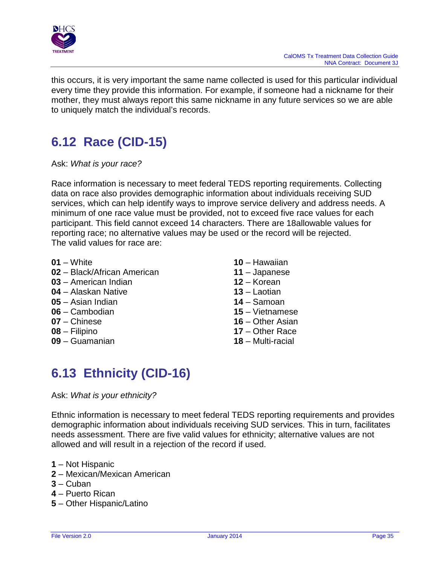

this occurs, it is very important the same name collected is used for this particular individual every time they provide this information. For example, if someone had a nickname for their mother, they must always report this same nickname in any future services so we are able to uniquely match the individual's records.

# **6.12 Race (CID-15)**

Ask: *What is your race?*

Race information is necessary to meet federal TEDS reporting requirements. Collecting data on race also provides demographic information about individuals receiving SUD services, which can help identify ways to improve service delivery and address needs. A minimum of one race value must be provided, not to exceed five race values for each participant. This field cannot exceed 14 characters. There are 18allowable values for reporting race; no alternative values may be used or the record will be rejected. The valid values for race are:

- **01** White
- **02**  Black/African American
- **03**  American Indian
- **04** Alaskan Native
- **05** Asian Indian
- **06** Cambodian
- **07**  Chinese
- **08** Filipino
- **09** Guamanian
- **10** Hawaiian
- **11** Japanese
- **12**  Korean
- **13** Laotian
- **14** Samoan
- **15** Vietnamese
- **16** Other Asian
- **17** Other Race
- **18** Multi-racial

# **6.13 Ethnicity (CID-16)**

Ask: *What is your ethnicity?*

Ethnic information is necessary to meet federal TEDS reporting requirements and provides demographic information about individuals receiving SUD services. This in turn, facilitates needs assessment. There are five valid values for ethnicity; alternative values are not allowed and will result in a rejection of the record if used.

- **1** Not Hispanic
- **2** Mexican/Mexican American
- **3** Cuban
- **4** Puerto Rican
- **5** Other Hispanic/Latino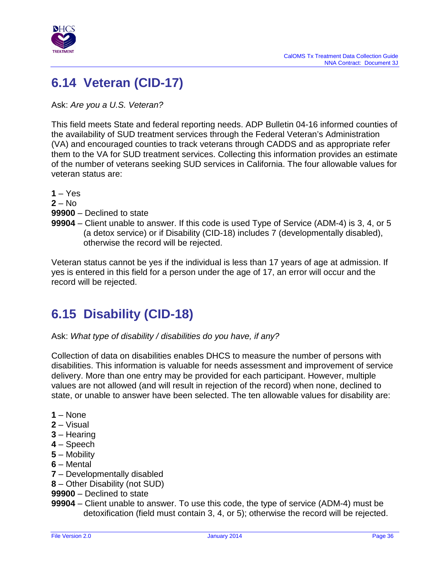

# **6.14 Veteran (CID-17)**

Ask: *Are you a U.S. Veteran?*

This field meets State and federal reporting needs. ADP Bulletin 04-16 informed counties of the availability of SUD treatment services through the Federal Veteran's Administration (VA) and encouraged counties to track veterans through CADDS and as appropriate refer them to the VA for SUD treatment services. Collecting this information provides an estimate of the number of veterans seeking SUD services in California. The four allowable values for veteran status are:

- **1** Yes
- **2** No
- **99900** Declined to state
- **99904** Client unable to answer. If this code is used Type of Service (ADM-4) is 3, 4, or 5 (a detox service) or if Disability (CID-18) includes 7 (developmentally disabled), otherwise the record will be rejected.

Veteran status cannot be yes if the individual is less than 17 years of age at admission. If yes is entered in this field for a person under the age of 17, an error will occur and the record will be rejected.

## **6.15 Disability (CID-18)**

Ask: *What type of disability / disabilities do you have, if any?*

Collection of data on disabilities enables DHCS to measure the number of persons with disabilities. This information is valuable for needs assessment and improvement of service delivery. More than one entry may be provided for each participant. However, multiple values are not allowed (and will result in rejection of the record) when none, declined to state, or unable to answer have been selected. The ten allowable values for disability are:

- **1** None
- **2**  Visual
- **3** Hearing
- **4** Speech
- **5** Mobility
- **6** Mental
- **7** Developmentally disabled
- **8** Other Disability (not SUD)
- **99900** Declined to state
- **99904** Client unable to answer. To use this code, the type of service (ADM-4) must be detoxification (field must contain 3, 4, or 5); otherwise the record will be rejected.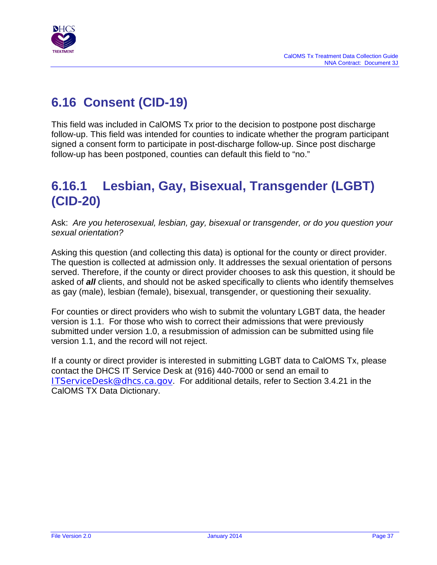

## **6.16 Consent (CID-19)**

This field was included in CalOMS Tx prior to the decision to postpone post discharge follow-up. This field was intended for counties to indicate whether the program participant signed a consent form to participate in post-discharge follow-up. Since post discharge follow-up has been postponed, counties can default this field to "no."

## **6.16.1 Lesbian, Gay, Bisexual, Transgender (LGBT) (CID-20)**

Ask: *Are you heterosexual, lesbian, gay, bisexual or transgender, or do you question your sexual orientation?*

Asking this question (and collecting this data) is optional for the county or direct provider. The question is collected at admission only. It addresses the sexual orientation of persons served. Therefore, if the county or direct provider chooses to ask this question, it should be asked of *all* clients, and should not be asked specifically to clients who identify themselves as gay (male), lesbian (female), bisexual, transgender, or questioning their sexuality.

For counties or direct providers who wish to submit the voluntary LGBT data, the header version is 1.1. For those who wish to correct their admissions that were previously submitted under version 1.0, a resubmission of admission can be submitted using file version 1.1, and the record will not reject.

If a county or direct provider is interested in submitting LGBT data to CalOMS Tx, please contact the DHCS IT Service Desk at (916) 440-7000 or send an email to [ITServiceDesk@dhcs.ca.gov](mailto:calomshelp@adp.ca.gov). For additional details, refer to Section 3.4.21 in the CalOMS TX Data Dictionary.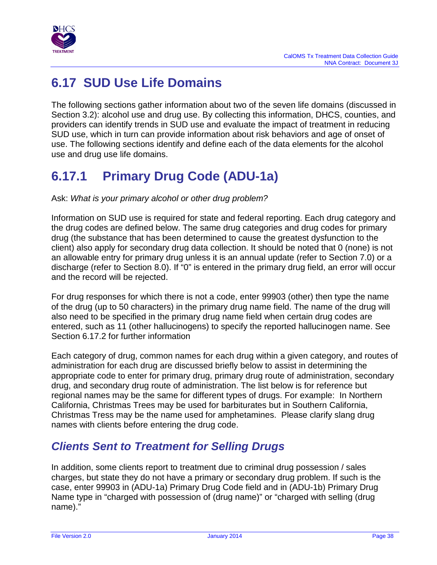

## **6.17 SUD Use Life Domains**

The following sections gather information about two of the seven life domains (discussed in Section 3.2): alcohol use and drug use. By collecting this information, DHCS, counties, and providers can identify trends in SUD use and evaluate the impact of treatment in reducing SUD use, which in turn can provide information about risk behaviors and age of onset of use. The following sections identify and define each of the data elements for the alcohol use and drug use life domains.

## **6.17.1 Primary Drug Code (ADU-1a)**

Ask: *What is your primary alcohol or other drug problem?*

Information on SUD use is required for state and federal reporting. Each drug category and the drug codes are defined below. The same drug categories and drug codes for primary drug (the substance that has been determined to cause the greatest dysfunction to the client) also apply for secondary drug data collection. It should be noted that 0 (none) is not an allowable entry for primary drug unless it is an annual update (refer to Section 7.0) or a discharge (refer to Section 8.0). If "0" is entered in the primary drug field, an error will occur and the record will be rejected.

For drug responses for which there is not a code, enter 99903 (other) then type the name of the drug (up to 50 characters) in the primary drug name field. The name of the drug will also need to be specified in the primary drug name field when certain drug codes are entered, such as 11 (other hallucinogens) to specify the reported hallucinogen name. See Section 6.17.2 for further information

Each category of drug, common names for each drug within a given category, and routes of administration for each drug are discussed briefly below to assist in determining the appropriate code to enter for primary drug, primary drug route of administration, secondary drug, and secondary drug route of administration. The list below is for reference but regional names may be the same for different types of drugs. For example: In Northern California, Christmas Trees may be used for barbiturates but in Southern California, Christmas Tress may be the name used for amphetamines. Please clarify slang drug names with clients before entering the drug code.

### *Clients Sent to Treatment for Selling Drugs*

In addition, some clients report to treatment due to criminal drug possession / sales charges, but state they do not have a primary or secondary drug problem. If such is the case, enter 99903 in (ADU-1a) Primary Drug Code field and in (ADU-1b) Primary Drug Name type in "charged with possession of (drug name)" or "charged with selling (drug name)."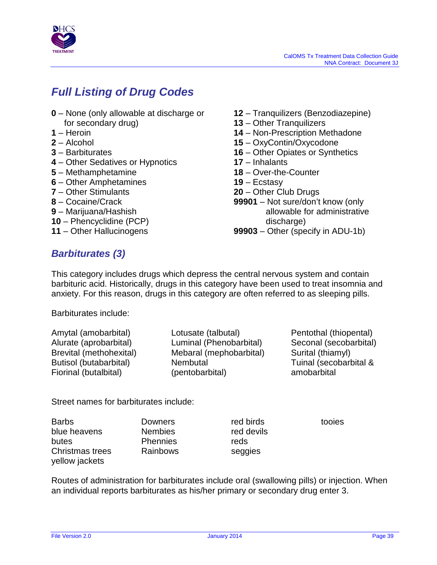

## *Full Listing of Drug Codes*

- **0** None (only allowable at discharge or for secondary drug)
- **1** Heroin
- **2** Alcohol
- **3** Barbiturates
- **4** Other Sedatives or Hypnotics
- **5** Methamphetamine
- **6** Other Amphetamines
- **7** Other Stimulants
- **8** Cocaine/Crack
- **9** Marijuana/Hashish
- **10** Phencyclidine (PCP)
- **11** Other Hallucinogens
- **12** Tranquilizers (Benzodiazepine)
- **13** Other Tranquilizers
- **14** Non-Prescription Methadone
- **15** OxyContin/Oxycodone
- **16** Other Opiates or Synthetics
- **17** Inhalants
- **18** Over-the-Counter
- **19** Ecstasy
- **20** Other Club Drugs
- **99901** Not sure/don't know (only allowable for administrative discharge)
- **99903** Other (specify in ADU-1b)

### *Barbiturates (3)*

This category includes drugs which depress the central nervous system and contain barbituric acid. Historically, drugs in this category have been used to treat insomnia and anxiety. For this reason, drugs in this category are often referred to as sleeping pills.

Barbiturates include:

| Amytal (amobarbital)    |
|-------------------------|
| Alurate (aprobarbital)  |
| Brevital (methohexital) |
| Butisol (butabarbital)  |
| Fiorinal (butalbital)   |

Lotusate (talbutal) Luminal (Phenobarbital) Mebaral (mephobarbital) **Nembutal** (pentobarbital)

Pentothal (thiopental) Seconal (secobarbital) Surital (thiamyl) Tuinal (secobarbital & amobarbital

Street names for barbiturates include:

| <b>Barbs</b>    | <b>Downers</b>  | red birds  | tooies |
|-----------------|-----------------|------------|--------|
| blue heavens    | <b>Nembies</b>  | red devils |        |
| butes           | <b>Phennies</b> | reds       |        |
| Christmas trees | <b>Rainbows</b> | seggies    |        |
| yellow jackets  |                 |            |        |

Routes of administration for barbiturates include oral (swallowing pills) or injection. When an individual reports barbiturates as his/her primary or secondary drug enter 3.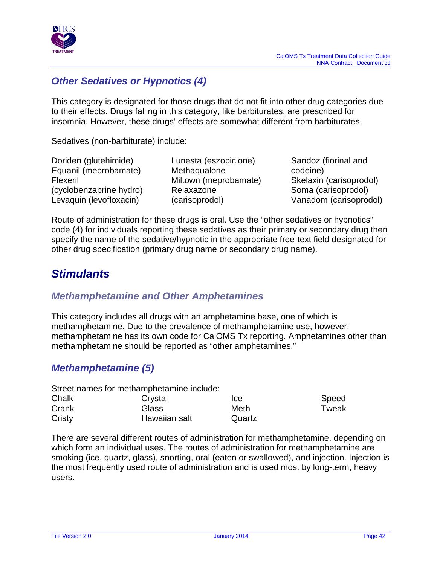

### *Other Sedatives or Hypnotics (4)*

This category is designated for those drugs that do not fit into other drug categories due to their effects. Drugs falling in this category, like barbiturates, are prescribed for insomnia. However, these drugs' effects are somewhat different from barbiturates.

Sedatives (non-barbiturate) include:

| Doriden (glutehimide)   |
|-------------------------|
| Equanil (meprobamate)   |
| Flexeril                |
| (cyclobenzaprine hydro) |
| Levaquin (levofloxacin) |

Lunesta (eszopicione) **Methaqualone** Miltown (meprobamate) Relaxazone (carisoprodol)

Sandoz (fiorinal and codeine) Skelaxin (carisoprodol) Soma (carisoprodol) Vanadom (carisoprodol)

Route of administration for these drugs is oral. Use the "other sedatives or hypnotics" code (4) for individuals reporting these sedatives as their primary or secondary drug then specify the name of the sedative/hypnotic in the appropriate free-text field designated for other drug specification (primary drug name or secondary drug name).

### *Stimulants*

#### *Methamphetamine and Other Amphetamines*

This category includes all drugs with an amphetamine base, one of which is methamphetamine. Due to the prevalence of methamphetamine use, however, methamphetamine has its own code for CalOMS Tx reporting. Amphetamines other than methamphetamine should be reported as "other amphetamines."

### *Methamphetamine (5)*

Street names for methamphetamine include:

|        | Street names for methamphetal line include. |        |       |
|--------|---------------------------------------------|--------|-------|
| Chalk  | Crystal                                     | Ice    | Speed |
| Crank  | <b>Glass</b>                                | Meth   | Tweak |
| Cristy | Hawaiian salt                               | Quartz |       |

There are several different routes of administration for methamphetamine, depending on which form an individual uses. The routes of administration for methamphetamine are smoking (ice, quartz, glass), snorting, oral (eaten or swallowed), and injection. Injection is the most frequently used route of administration and is used most by long-term, heavy users.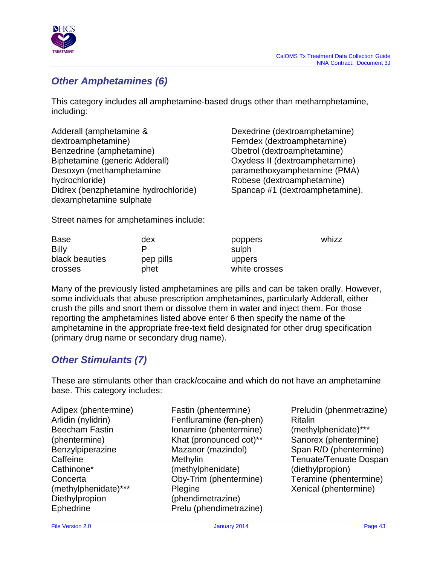

### *Other Amphetamines (6)*

This category includes all amphetamine-based drugs other than methamphetamine, including:

| Adderall (amphetamine &              |
|--------------------------------------|
| dextroamphetamine)                   |
| Benzedrine (amphetamine)             |
| Biphetamine (generic Adderall)       |
| Desoxyn (methamphetamine             |
| hydrochloride)                       |
| Didrex (benzphetamine hydrochloride) |
| dexamphetamine sulphate              |

Dexedrine (dextroamphetamine) Ferndex (dextroamphetamine) Obetrol (dextroamphetamine) Oxydess II (dextroamphetamine) paramethoxyamphetamine (PMA) Robese (dextroamphetamine) Spancap #1 (dextroamphetamine).

Street names for amphetamines include:

| <b>Base</b>    | dex       | poppers       | whizz |
|----------------|-----------|---------------|-------|
| Billy          |           | sulph         |       |
| black beauties | pep pills | uppers        |       |
| <b>Crosses</b> | phet      | white crosses |       |

Many of the previously listed amphetamines are pills and can be taken orally. However, some individuals that abuse prescription amphetamines, particularly Adderall, either crush the pills and snort them or dissolve them in water and inject them. For those reporting the amphetamines listed above enter 6 then specify the name of the amphetamine in the appropriate free-text field designated for other drug specification (primary drug name or secondary drug name).

### *Other Stimulants (7)*

These are stimulants other than crack/cocaine and which do not have an amphetamine base. This category includes:

Adipex (phentermine) Arlidin (nylidrin) Beecham Fastin (phentermine) Benzylpiperazine **Caffeine** Cathinone\* **Concerta** (methylphenidate)\*\*\* **Diethylpropion** Ephedrine

Fastin (phentermine) Fenfluramine (fen-phen) Ionamine (phentermine) Khat (pronounced cot)\*\* Mazanor (mazindol) Methylin (methylphenidate) Oby-Trim (phentermine) **Plegine** (phendimetrazine) Prelu (phendimetrazine)

Preludin (phenmetrazine) **Ritalin** (methylphenidate)\*\*\* Sanorex (phentermine) Span R/D (phentermine) Tenuate/Tenuate Dospan (diethylpropion) Teramine (phentermine) Xenical (phentermine)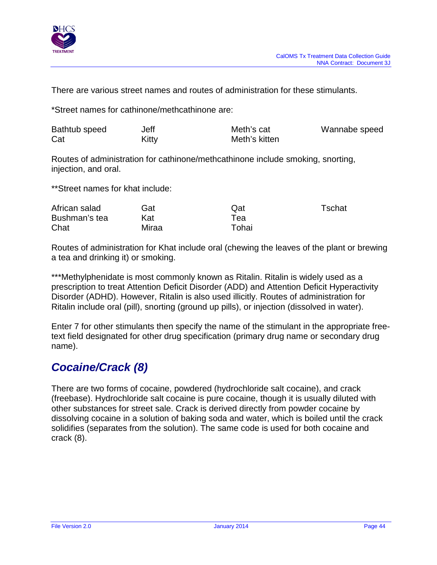

There are various street names and routes of administration for these stimulants.

\*Street names for cathinone/methcathinone are:

| Bathtub speed | Jeff  | Meth's cat    | Wannabe speed |
|---------------|-------|---------------|---------------|
| Cat           | Kitty | Meth's kitten |               |

Routes of administration for cathinone/methcathinone include smoking, snorting, injection, and oral.

\*\*Street names for khat include:

| African salad | Gat   | Qat   | Tschat |
|---------------|-------|-------|--------|
| Bushman's tea | Kat   | Tea   |        |
| Chat          | Miraa | Tohai |        |

Routes of administration for Khat include oral (chewing the leaves of the plant or brewing a tea and drinking it) or smoking.

\*\*\*Methylphenidate is most commonly known as Ritalin. Ritalin is widely used as a prescription to treat Attention Deficit Disorder (ADD) and Attention Deficit Hyperactivity Disorder (ADHD). However, Ritalin is also used illicitly. Routes of administration for Ritalin include oral (pill), snorting (ground up pills), or injection (dissolved in water).

Enter 7 for other stimulants then specify the name of the stimulant in the appropriate freetext field designated for other drug specification (primary drug name or secondary drug name).

### *Cocaine/Crack (8)*

There are two forms of cocaine, powdered (hydrochloride salt cocaine), and crack (freebase). Hydrochloride salt cocaine is pure cocaine, though it is usually diluted with other substances for street sale. Crack is derived directly from powder cocaine by dissolving cocaine in a solution of baking soda and water, which is boiled until the crack solidifies (separates from the solution). The same code is used for both cocaine and crack (8).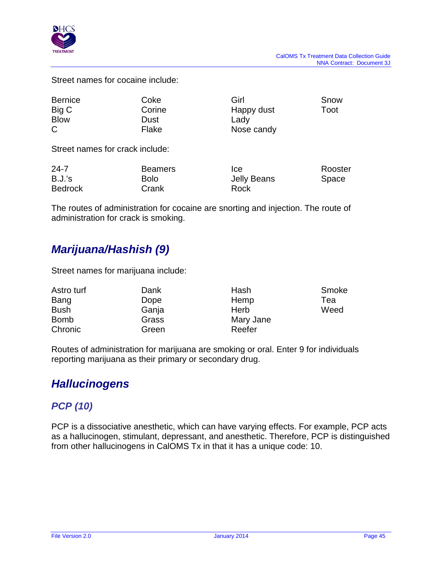

Street names for cocaine include:

| <b>Bernice</b> | Coke        | Girl       | Snow |
|----------------|-------------|------------|------|
| Big C          | Corine      | Happy dust | Toot |
| <b>Blow</b>    | <b>Dust</b> | Lady       |      |
| C              | Flake       | Nose candy |      |

Street names for crack include:

| $24 - 7$       | <b>Beamers</b> | Ice         | Rooster |
|----------------|----------------|-------------|---------|
| B.J.'s         | <b>Bolo</b>    | Jelly Beans | Space   |
| <b>Bedrock</b> | Crank          | Rock        |         |

The routes of administration for cocaine are snorting and injection. The route of administration for crack is smoking.

### *Marijuana/Hashish (9)*

Street names for marijuana include:

| Astro turf  | Dank  | Hash      | Smoke |
|-------------|-------|-----------|-------|
| Bang        | Dope  | Hemp      | Tea   |
| <b>Bush</b> | Ganja | Herb      | Weed  |
| <b>Bomb</b> | Grass | Mary Jane |       |
| Chronic     | Green | Reefer    |       |

Routes of administration for marijuana are smoking or oral. Enter 9 for individuals reporting marijuana as their primary or secondary drug.

### *Hallucinogens*

### *PCP (10)*

PCP is a dissociative anesthetic, which can have varying effects. For example, PCP acts as a hallucinogen, stimulant, depressant, and anesthetic. Therefore, PCP is distinguished from other hallucinogens in CalOMS Tx in that it has a unique code: 10.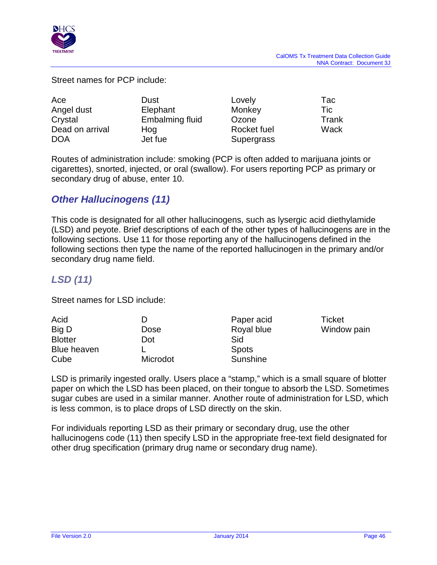

Street names for PCP include:

| Ace<br>Angel dust | Dust<br>Elephant       | Lovely<br>Monkey | Tac<br>Tic |
|-------------------|------------------------|------------------|------------|
| Crystal           | <b>Embalming fluid</b> | Ozone            | Trank      |
| Dead on arrival   | Hog                    | Rocket fuel      | Wack       |
| <b>DOA</b>        | Jet fue                | Supergrass       |            |

Routes of administration include: smoking (PCP is often added to marijuana joints or cigarettes), snorted, injected, or oral (swallow). For users reporting PCP as primary or secondary drug of abuse, enter 10.

#### *Other Hallucinogens (11)*

This code is designated for all other hallucinogens, such as lysergic acid diethylamide (LSD) and peyote. Brief descriptions of each of the other types of hallucinogens are in the following sections. Use 11 for those reporting any of the hallucinogens defined in the following sections then type the name of the reported hallucinogen in the primary and/or secondary drug name field.

#### *LSD (11)*

Street names for LSD include:

| Acid           |          | Paper acid   | Ticket      |
|----------------|----------|--------------|-------------|
| Big D          | Dose     | Royal blue   | Window pain |
| <b>Blotter</b> | Dot      | Sid          |             |
| Blue heaven    |          | <b>Spots</b> |             |
| Cube           | Microdot | Sunshine     |             |

LSD is primarily ingested orally. Users place a "stamp," which is a small square of blotter paper on which the LSD has been placed, on their tongue to absorb the LSD. Sometimes sugar cubes are used in a similar manner. Another route of administration for LSD, which is less common, is to place drops of LSD directly on the skin.

For individuals reporting LSD as their primary or secondary drug, use the other hallucinogens code (11) then specify LSD in the appropriate free-text field designated for other drug specification (primary drug name or secondary drug name).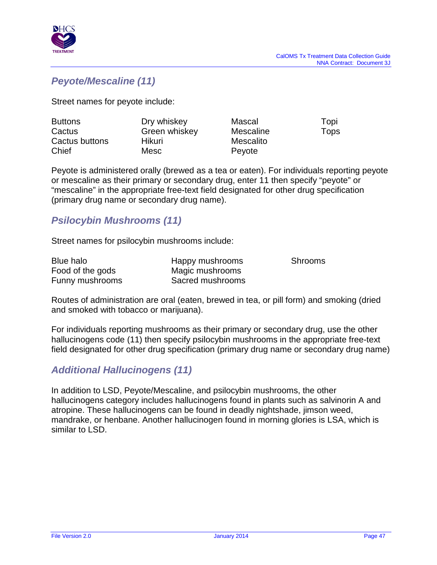

### *Peyote/Mescaline (11)*

Street names for peyote include:

| <b>Buttons</b> | Dry whiskey   | Mascal    | Topi        |
|----------------|---------------|-----------|-------------|
| Cactus         | Green whiskey | Mescaline | <b>Tops</b> |
| Cactus buttons | Hikuri        | Mescalito |             |
| Chief          | Mesc          | Peyote    |             |

Peyote is administered orally (brewed as a tea or eaten). For individuals reporting peyote or mescaline as their primary or secondary drug, enter 11 then specify "peyote" or "mescaline" in the appropriate free-text field designated for other drug specification (primary drug name or secondary drug name).

#### *Psilocybin Mushrooms (11)*

Street names for psilocybin mushrooms include:

| Blue halo        | Happy mushrooms  | Shrooms |
|------------------|------------------|---------|
| Food of the gods | Magic mushrooms  |         |
| Funny mushrooms  | Sacred mushrooms |         |

Routes of administration are oral (eaten, brewed in tea, or pill form) and smoking (dried and smoked with tobacco or marijuana).

For individuals reporting mushrooms as their primary or secondary drug, use the other hallucinogens code (11) then specify psilocybin mushrooms in the appropriate free-text field designated for other drug specification (primary drug name or secondary drug name)

#### *Additional Hallucinogens (11)*

In addition to LSD, Peyote/Mescaline, and psilocybin mushrooms, the other hallucinogens category includes hallucinogens found in plants such as salvinorin A and atropine. These hallucinogens can be found in deadly nightshade, jimson weed, mandrake, or henbane. Another hallucinogen found in morning glories is LSA, which is similar to LSD.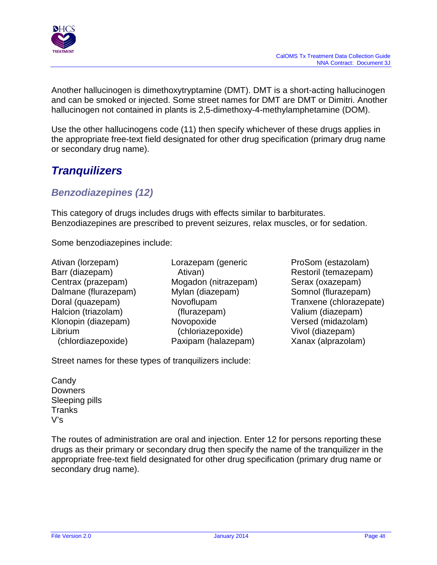

Another hallucinogen is dimethoxytryptamine (DMT). DMT is a short-acting hallucinogen and can be smoked or injected. Some street names for DMT are DMT or Dimitri. Another hallucinogen not contained in plants is 2,5-dimethoxy-4-methylamphetamine (DOM).

Use the other hallucinogens code (11) then specify whichever of these drugs applies in the appropriate free-text field designated for other drug specification (primary drug name or secondary drug name).

## *Tranquilizers*

### *Benzodiazepines (12)*

This category of drugs includes drugs with effects similar to barbiturates. Benzodiazepines are prescribed to prevent seizures, relax muscles, or for sedation.

Some benzodiazepines include:

- Lorazepam (generic Ativan) Mogadon (nitrazepam) Mylan (diazepam) Novoflupam (flurazepam) Novopoxide (chloriazepoxide) Paxipam (halazepam)
- ProSom (estazolam) Restoril (temazepam) Serax (oxazepam) Somnol (flurazepam) Tranxene (chlorazepate) Valium (diazepam) Versed (midazolam) Vivol (diazepam) Xanax (alprazolam)

Street names for these types of tranquilizers include:

**Candy Downers** Sleeping pills **Tranks** V's

The routes of administration are oral and injection. Enter 12 for persons reporting these drugs as their primary or secondary drug then specify the name of the tranquilizer in the appropriate free-text field designated for other drug specification (primary drug name or secondary drug name).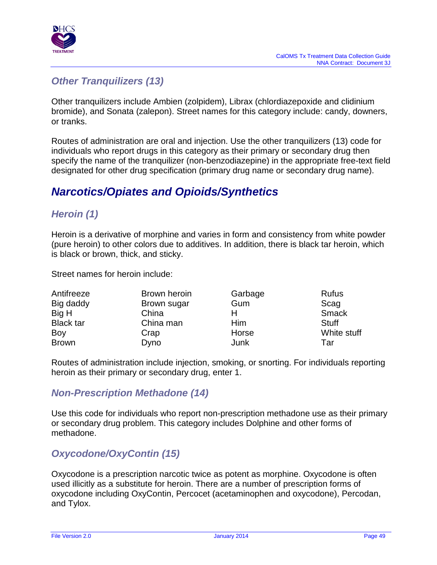

### *Other Tranquilizers (13)*

Other tranquilizers include Ambien (zolpidem), Librax (chlordiazepoxide and clidinium bromide), and Sonata (zalepon). Street names for this category include: candy, downers, or tranks.

Routes of administration are oral and injection. Use the other tranquilizers (13) code for individuals who report drugs in this category as their primary or secondary drug then specify the name of the tranquilizer (non-benzodiazepine) in the appropriate free-text field designated for other drug specification (primary drug name or secondary drug name).

### *Narcotics/Opiates and Opioids/Synthetics*

### *Heroin (1)*

Heroin is a derivative of morphine and varies in form and consistency from white powder (pure heroin) to other colors due to additives. In addition, there is black tar heroin, which is black or brown, thick, and sticky.

Street names for heroin include:

| Antifreeze       | Brown heroin | Garbage | <b>Rufus</b> |
|------------------|--------------|---------|--------------|
| Big daddy        | Brown sugar  | Gum     | Scag         |
| Big H            | China        | н       | Smack        |
| <b>Black tar</b> | China man    | Him     | <b>Stuff</b> |
| Boy              | Crap         | Horse   | White stuff  |
| <b>Brown</b>     | Dyno         | Junk    | Tar          |

Routes of administration include injection, smoking, or snorting. For individuals reporting heroin as their primary or secondary drug, enter 1.

#### *Non-Prescription Methadone (14)*

Use this code for individuals who report non-prescription methadone use as their primary or secondary drug problem. This category includes Dolphine and other forms of methadone.

### *Oxycodone/OxyContin (15)*

Oxycodone is a prescription narcotic twice as potent as morphine. Oxycodone is often used illicitly as a substitute for heroin. There are a number of prescription forms of oxycodone including OxyContin, Percocet (acetaminophen and oxycodone), Percodan, and Tylox.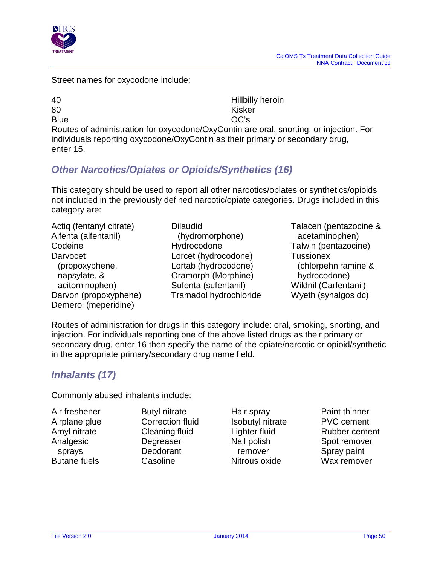

Street names for oxycodone include:

40 80 **Blue** Hillbilly heroin Kisker OC's Routes of administration for oxycodone/OxyContin are oral, snorting, or injection. For

individuals reporting oxycodone/OxyContin as their primary or secondary drug, enter 15.

### *Other Narcotics/Opiates or Opioids/Synthetics (16)*

This category should be used to report all other narcotics/opiates or synthetics/opioids not included in the previously defined narcotic/opiate categories. Drugs included in this category are:

- Dilaudid (hydromorphone) **Hydrocodone** Lorcet (hydrocodone) Lortab (hydrocodone) Oramorph (Morphine) Sufenta (sufentanil) Tramadol hydrochloride
- Talacen (pentazocine & acetaminophen) Talwin (pentazocine) **Tussionex** (chlorpehniramine & hydrocodone) Wildnil (Carfentanil) Wyeth (synalgos dc)

Routes of administration for drugs in this category include: oral, smoking, snorting, and injection. For individuals reporting one of the above listed drugs as their primary or secondary drug, enter 16 then specify the name of the opiate/narcotic or opioid/synthetic in the appropriate primary/secondary drug name field.

### *Inhalants (17)*

Commonly abused inhalants include:

| Air freshener       | <b>Butyl nitrate</b>    |
|---------------------|-------------------------|
| Airplane glue       | <b>Correction fluid</b> |
| Amyl nitrate        | <b>Cleaning fluid</b>   |
| Analgesic           | Degreaser               |
| sprays              | Deodorant               |
| <b>Butane fuels</b> | Gasoline                |
|                     |                         |

- Hair spray Isobutyl nitrate Lighter fluid Nail polish remover Nitrous oxide
- Paint thinner PVC cement Rubber cement Spot remover Spray paint Wax remover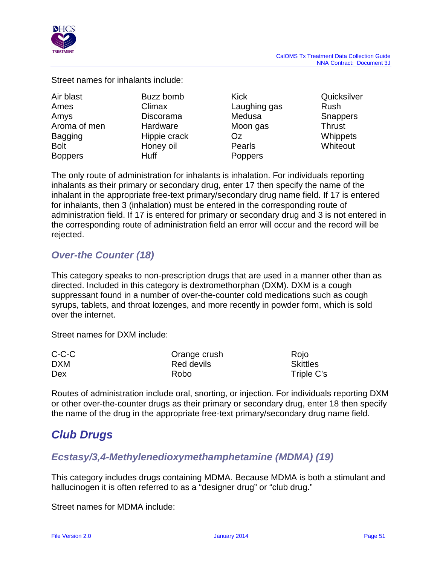

Street names for inhalants include:

| Air blast      | Buzz bomb    | <b>Kick</b>  | Quicksilver     |
|----------------|--------------|--------------|-----------------|
| Ames           | Climax       | Laughing gas | <b>Rush</b>     |
| Amys           | Discorama    | Medusa       | <b>Snappers</b> |
| Aroma of men   | Hardware     | Moon gas     | <b>Thrust</b>   |
| <b>Bagging</b> | Hippie crack | Oz           | <b>Whippets</b> |
| <b>Bolt</b>    | Honey oil    | Pearls       | Whiteout        |
| <b>Boppers</b> | Huff         | Poppers      |                 |

The only route of administration for inhalants is inhalation. For individuals reporting inhalants as their primary or secondary drug, enter 17 then specify the name of the inhalant in the appropriate free-text primary/secondary drug name field. If 17 is entered for inhalants, then 3 (inhalation) must be entered in the corresponding route of administration field. If 17 is entered for primary or secondary drug and 3 is not entered in the corresponding route of administration field an error will occur and the record will be rejected.

### *Over-the Counter (18)*

This category speaks to non-prescription drugs that are used in a manner other than as directed. Included in this category is dextromethorphan (DXM). DXM is a cough suppressant found in a number of over-the-counter cold medications such as cough syrups, tablets, and throat lozenges, and more recently in powder form, which is sold over the internet.

Street names for DXM include:

| $C-C-C$    | Orange crush | Rojo            |
|------------|--------------|-----------------|
| <b>DXM</b> | Red devils   | <b>Skittles</b> |
| Dex        | Robo         | Triple C's      |

Routes of administration include oral, snorting, or injection. For individuals reporting DXM or other over-the-counter drugs as their primary or secondary drug, enter 18 then specify the name of the drug in the appropriate free-text primary/secondary drug name field.

### *Club Drugs*

#### *Ecstasy/3,4-Methylenedioxymethamphetamine (MDMA) (19)*

This category includes drugs containing MDMA. Because MDMA is both a stimulant and hallucinogen it is often referred to as a "designer drug" or "club drug."

Street names for MDMA include: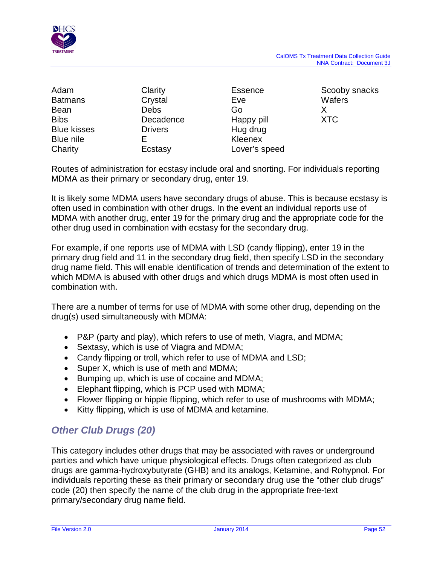

| Adam<br><b>Batmans</b><br><b>Bean</b><br><b>Bibs</b><br><b>Blue kisses</b><br>Blue nile | Clarity<br>Crystal<br><b>Debs</b><br>Decadence<br><b>Drivers</b> | <b>Essence</b><br>Eve<br>G٥<br>Happy pill<br>Hug drug<br>Kleenex | Scooby snacks<br>Wafers<br><b>XTC</b> |
|-----------------------------------------------------------------------------------------|------------------------------------------------------------------|------------------------------------------------------------------|---------------------------------------|
| Charity                                                                                 | Ecstasy                                                          | Lover's speed                                                    |                                       |

Routes of administration for ecstasy include oral and snorting. For individuals reporting MDMA as their primary or secondary drug, enter 19.

It is likely some MDMA users have secondary drugs of abuse. This is because ecstasy is often used in combination with other drugs. In the event an individual reports use of MDMA with another drug, enter 19 for the primary drug and the appropriate code for the other drug used in combination with ecstasy for the secondary drug.

For example, if one reports use of MDMA with LSD (candy flipping), enter 19 in the primary drug field and 11 in the secondary drug field, then specify LSD in the secondary drug name field. This will enable identification of trends and determination of the extent to which MDMA is abused with other drugs and which drugs MDMA is most often used in combination with.

There are a number of terms for use of MDMA with some other drug, depending on the drug(s) used simultaneously with MDMA:

- P&P (party and play), which refers to use of meth, Viagra, and MDMA;
- Sextasy, which is use of Viagra and MDMA;
- Candy flipping or troll, which refer to use of MDMA and LSD;
- Super X, which is use of meth and MDMA;
- Bumping up, which is use of cocaine and MDMA;
- Elephant flipping, which is PCP used with MDMA;
- Flower flipping or hippie flipping, which refer to use of mushrooms with MDMA;
- Kitty flipping, which is use of MDMA and ketamine.

### *Other Club Drugs (20)*

This category includes other drugs that may be associated with raves or underground parties and which have unique physiological effects. Drugs often categorized as club drugs are gamma-hydroxybutyrate (GHB) and its analogs, Ketamine, and Rohypnol. For individuals reporting these as their primary or secondary drug use the "other club drugs" code (20) then specify the name of the club drug in the appropriate free-text primary/secondary drug name field.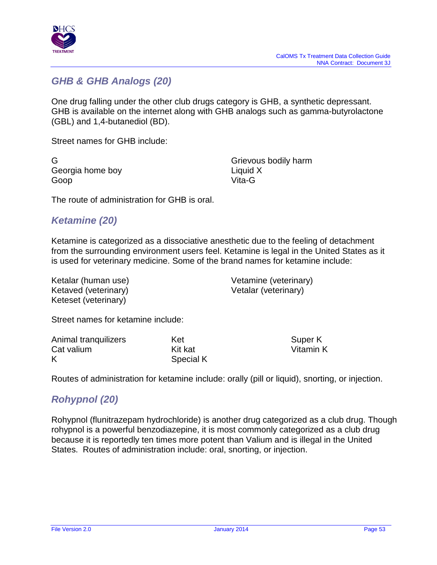

### *GHB & GHB Analogs (20)*

One drug falling under the other club drugs category is GHB, a synthetic depressant. GHB is available on the internet along with GHB analogs such as gamma-butyrolactone (GBL) and 1,4-butanediol (BD).

Street names for GHB include:

G Georgia home boy Goop

Grievous bodily harm Liquid X Vita-G

The route of administration for GHB is oral.

### *Ketamine (20)*

Ketamine is categorized as a dissociative anesthetic due to the feeling of detachment from the surrounding environment users feel. Ketamine is legal in the United States as it is used for veterinary medicine. Some of the brand names for ketamine include:

Ketalar (human use) Ketaved (veterinary) Keteset (veterinary)

Vetamine (veterinary) Vetalar (veterinary)

Street names for ketamine include:

| Animal tranguilizers | Ket              | Super K   |
|----------------------|------------------|-----------|
| Cat valium           | Kit kat          | Vitamin K |
|                      | <b>Special K</b> |           |

Routes of administration for ketamine include: orally (pill or liquid), snorting, or injection.

### *Rohypnol (20)*

Rohypnol (flunitrazepam hydrochloride) is another drug categorized as a club drug. Though rohypnol is a powerful benzodiazepine, it is most commonly categorized as a club drug because it is reportedly ten times more potent than Valium and is illegal in the United States. Routes of administration include: oral, snorting, or injection.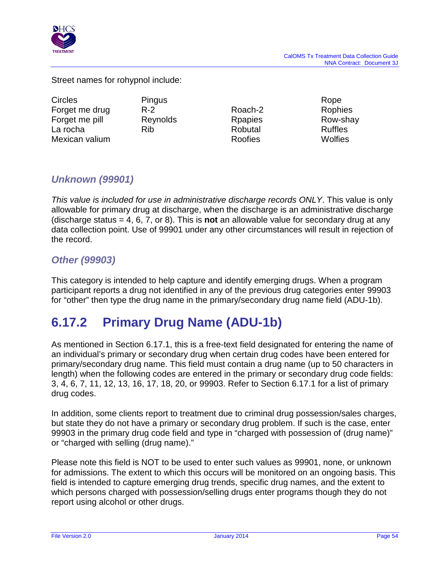

Street names for rohypnol include:

| <b>Circles</b> | <b>Pingus</b>   | Roach-2        | Rope           |
|----------------|-----------------|----------------|----------------|
| Forget me drug | $R-2$           |                | Rophies        |
| Forget me pill | <b>Reynolds</b> | <b>Rpapies</b> | Row-shay       |
| La rocha       | Rib             | Robutal        | <b>Ruffles</b> |
| Mexican valium |                 | Roofies        | Wolfies        |

### *Unknown (99901)*

*This value is included for use in administrative discharge records ONLY*. This value is only allowable for primary drug at discharge, when the discharge is an administrative discharge (discharge status = 4, 6, 7, or 8). This is **not** an allowable value for secondary drug at any data collection point. Use of 99901 under any other circumstances will result in rejection of the record.

#### *Other (99903)*

This category is intended to help capture and identify emerging drugs. When a program participant reports a drug not identified in any of the previous drug categories enter 99903 for "other" then type the drug name in the primary/secondary drug name field (ADU-1b).

## **6.17.2 Primary Drug Name (ADU-1b)**

As mentioned in Section 6.17.1, this is a free-text field designated for entering the name of an individual's primary or secondary drug when certain drug codes have been entered for primary/secondary drug name. This field must contain a drug name (up to 50 characters in length) when the following codes are entered in the primary or secondary drug code fields: 3, 4, 6, 7, 11, 12, 13, 16, 17, 18, 20, or 99903. Refer to Section 6.17.1 for a list of primary drug codes.

In addition, some clients report to treatment due to criminal drug possession/sales charges, but state they do not have a primary or secondary drug problem. If such is the case, enter 99903 in the primary drug code field and type in "charged with possession of (drug name)" or "charged with selling (drug name)."

Please note this field is NOT to be used to enter such values as 99901, none, or unknown for admissions. The extent to which this occurs will be monitored on an ongoing basis. This field is intended to capture emerging drug trends, specific drug names, and the extent to which persons charged with possession/selling drugs enter programs though they do not report using alcohol or other drugs.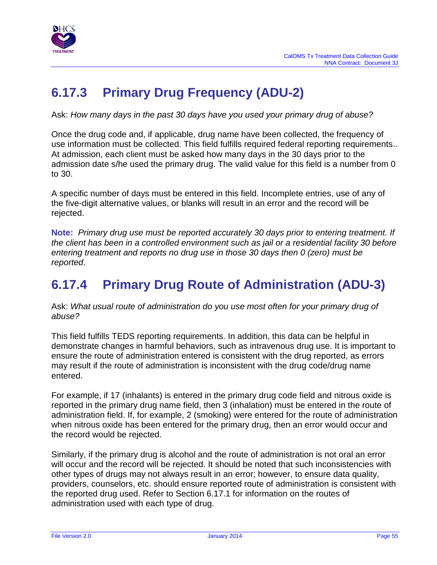

## **6.17.3 Primary Drug Frequency (ADU-2)**

Ask: *How many days in the past 30 days have you used your primary drug of abuse?*

Once the drug code and, if applicable, drug name have been collected, the frequency of use information must be collected. This field fulfills required federal reporting requirements.. At admission, each client must be asked how many days in the 30 days prior to the admission date s/he used the primary drug. The valid value for this field is a number from 0 to 30.

A specific number of days must be entered in this field. Incomplete entries, use of any of the five-digit alternative values, or blanks will result in an error and the record will be rejected.

**Note:** *Primary drug use must be reported accurately 30 days prior to entering treatment. If the client has been in a controlled environment such as jail or a residential facility 30 before entering treatment and reports no drug use in those 30 days then 0 (zero) must be reported*.

## **6.17.4 Primary Drug Route of Administration (ADU-3)**

Ask: *What usual route of administration do you use most often for your primary drug of abuse?*

This field fulfills TEDS reporting requirements. In addition, this data can be helpful in demonstrate changes in harmful behaviors, such as intravenous drug use. It is important to ensure the route of administration entered is consistent with the drug reported, as errors may result if the route of administration is inconsistent with the drug code/drug name entered.

For example, if 17 (inhalants) is entered in the primary drug code field and nitrous oxide is reported in the primary drug name field, then 3 (inhalation) must be entered in the route of administration field. If, for example, 2 (smoking) were entered for the route of administration when nitrous oxide has been entered for the primary drug, then an error would occur and the record would be rejected.

Similarly, if the primary drug is alcohol and the route of administration is not oral an error will occur and the record will be rejected. It should be noted that such inconsistencies with other types of drugs may not always result in an error; however, to ensure data quality, providers, counselors, etc. should ensure reported route of administration is consistent with the reported drug used. Refer to Section 6.17.1 for information on the routes of administration used with each type of drug.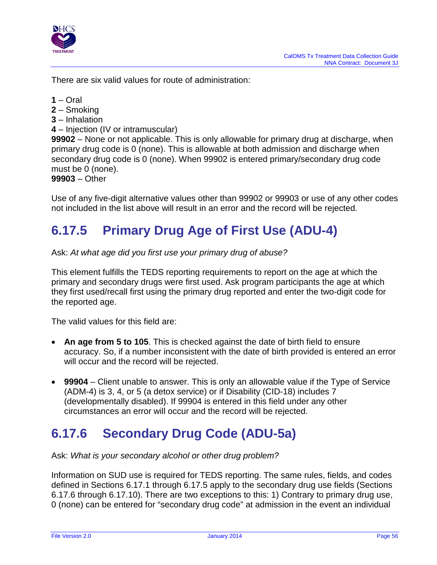

There are six valid values for route of administration:

```
1 – Oral
```
- **2** Smoking
- **3**  Inhalation
- **4** Injection (IV or intramuscular)

**99902** – None or not applicable. This is only allowable for primary drug at discharge, when primary drug code is 0 (none). This is allowable at both admission and discharge when secondary drug code is 0 (none). When 99902 is entered primary/secondary drug code must be 0 (none).

**99903** – Other

Use of any five-digit alternative values other than 99902 or 99903 or use of any other codes not included in the list above will result in an error and the record will be rejected.

## **6.17.5 Primary Drug Age of First Use (ADU-4)**

Ask: *At what age did you first use your primary drug of abuse?*

This element fulfills the TEDS reporting requirements to report on the age at which the primary and secondary drugs were first used. Ask program participants the age at which they first used/recall first using the primary drug reported and enter the two-digit code for the reported age.

The valid values for this field are:

- **An age from 5 to 105**. This is checked against the date of birth field to ensure accuracy. So, if a number inconsistent with the date of birth provided is entered an error will occur and the record will be rejected.
- **99904** Client unable to answer. This is only an allowable value if the Type of Service (ADM-4) is 3, 4, or 5 (a detox service) or if Disability (CID-18) includes 7 (developmentally disabled). If 99904 is entered in this field under any other circumstances an error will occur and the record will be rejected.

## **6.17.6 Secondary Drug Code (ADU-5a)**

Ask: *What is your secondary alcohol or other drug problem?*

Information on SUD use is required for TEDS reporting. The same rules, fields, and codes defined in Sections 6.17.1 through 6.17.5 apply to the secondary drug use fields (Sections 6.17.6 through 6.17.10). There are two exceptions to this: 1) Contrary to primary drug use, 0 (none) can be entered for "secondary drug code" at admission in the event an individual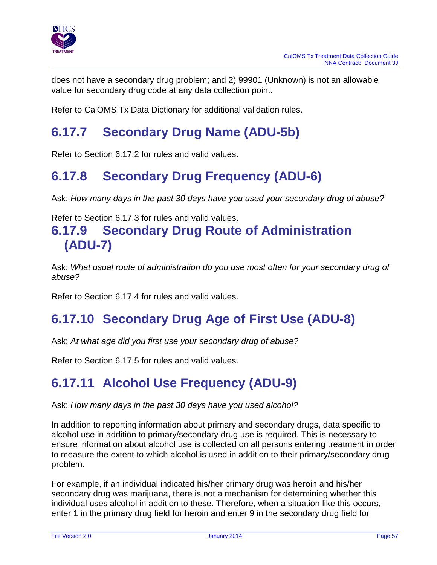

does not have a secondary drug problem; and 2) 99901 (Unknown) is not an allowable value for secondary drug code at any data collection point.

Refer to CalOMS Tx Data Dictionary for additional validation rules.

## **6.17.7 Secondary Drug Name (ADU-5b)**

Refer to Section 6.17.2 for rules and valid values.

## **6.17.8 Secondary Drug Frequency (ADU-6)**

Ask: *How many days in the past 30 days have you used your secondary drug of abuse?*

Refer to Section 6.17.3 for rules and valid values.

## **6.17.9 Secondary Drug Route of Administration (ADU-7)**

Ask: *What usual route of administration do you use most often for your secondary drug of abuse?*

Refer to Section 6.17.4 for rules and valid values.

## **6.17.10 Secondary Drug Age of First Use (ADU-8)**

Ask: *At what age did you first use your secondary drug of abuse?*

Refer to Section 6.17.5 for rules and valid values.

## **6.17.11 Alcohol Use Frequency (ADU-9)**

Ask: *How many days in the past 30 days have you used alcohol?*

In addition to reporting information about primary and secondary drugs, data specific to alcohol use in addition to primary/secondary drug use is required. This is necessary to ensure information about alcohol use is collected on all persons entering treatment in order to measure the extent to which alcohol is used in addition to their primary/secondary drug problem.

For example, if an individual indicated his/her primary drug was heroin and his/her secondary drug was marijuana, there is not a mechanism for determining whether this individual uses alcohol in addition to these. Therefore, when a situation like this occurs, enter 1 in the primary drug field for heroin and enter 9 in the secondary drug field for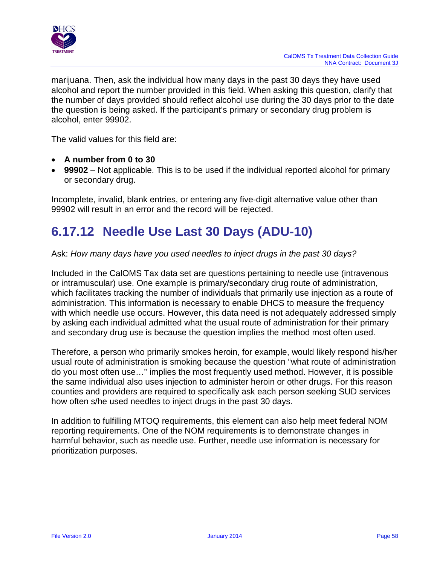

marijuana. Then, ask the individual how many days in the past 30 days they have used alcohol and report the number provided in this field. When asking this question, clarify that the number of days provided should reflect alcohol use during the 30 days prior to the date the question is being asked. If the participant's primary or secondary drug problem is alcohol, enter 99902.

The valid values for this field are:

- **A number from 0 to 30**
- **99902** Not applicable. This is to be used if the individual reported alcohol for primary or secondary drug.

Incomplete, invalid, blank entries, or entering any five-digit alternative value other than 99902 will result in an error and the record will be rejected.

## **6.17.12 Needle Use Last 30 Days (ADU-10)**

#### Ask: *How many days have you used needles to inject drugs in the past 30 days?*

Included in the CalOMS Tax data set are questions pertaining to needle use (intravenous or intramuscular) use. One example is primary/secondary drug route of administration, which facilitates tracking the number of individuals that primarily use injection as a route of administration. This information is necessary to enable DHCS to measure the frequency with which needle use occurs. However, this data need is not adequately addressed simply by asking each individual admitted what the usual route of administration for their primary and secondary drug use is because the question implies the method most often used.

Therefore, a person who primarily smokes heroin, for example, would likely respond his/her usual route of administration is smoking because the question "what route of administration do you most often use…" implies the most frequently used method. However, it is possible the same individual also uses injection to administer heroin or other drugs. For this reason counties and providers are required to specifically ask each person seeking SUD services how often s/he used needles to inject drugs in the past 30 days.

In addition to fulfilling MTOQ requirements, this element can also help meet federal NOM reporting requirements. One of the NOM requirements is to demonstrate changes in harmful behavior, such as needle use. Further, needle use information is necessary for prioritization purposes.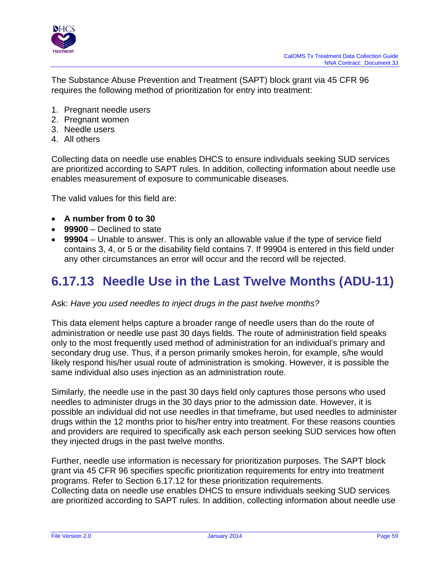

The Substance Abuse Prevention and Treatment (SAPT) block grant via 45 CFR 96 requires the following method of prioritization for entry into treatment:

- 1. Pregnant needle users
- 2. Pregnant women
- 3. Needle users
- 4. All others

Collecting data on needle use enables DHCS to ensure individuals seeking SUD services are prioritized according to SAPT rules. In addition, collecting information about needle use enables measurement of exposure to communicable diseases.

The valid values for this field are:

- **A number from 0 to 30**
- **99900** Declined to state
- **99904** Unable to answer. This is only an allowable value if the type of service field contains 3, 4, or 5 or the disability field contains 7. If 99904 is entered in this field under any other circumstances an error will occur and the record will be rejected.

## **6.17.13 Needle Use in the Last Twelve Months (ADU-11)**

#### Ask: *Have you used needles to inject drugs in the past twelve months?*

This data element helps capture a broader range of needle users than do the route of administration or needle use past 30 days fields. The route of administration field speaks only to the most frequently used method of administration for an individual's primary and secondary drug use. Thus, if a person primarily smokes heroin, for example, s/he would likely respond his/her usual route of administration is smoking. However, it is possible the same individual also uses injection as an administration route.

Similarly, the needle use in the past 30 days field only captures those persons who used needles to administer drugs in the 30 days prior to the admission date. However, it is possible an individual did not use needles in that timeframe, but used needles to administer drugs within the 12 months prior to his/her entry into treatment. For these reasons counties and providers are required to specifically ask each person seeking SUD services how often they injected drugs in the past twelve months.

Further, needle use information is necessary for prioritization purposes. The SAPT block grant via 45 CFR 96 specifies specific prioritization requirements for entry into treatment programs. Refer to Section 6.17.12 for these prioritization requirements. Collecting data on needle use enables DHCS to ensure individuals seeking SUD services are prioritized according to SAPT rules. In addition, collecting information about needle use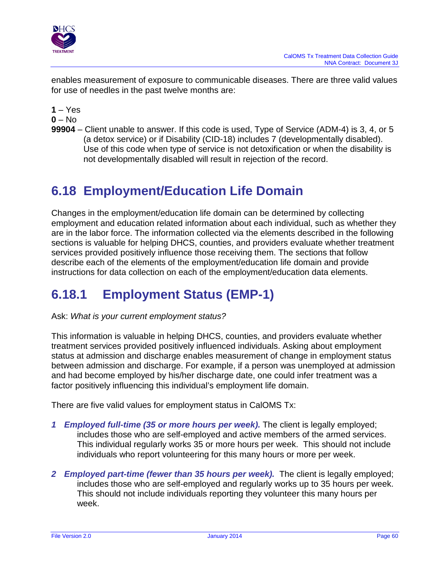

enables measurement of exposure to communicable diseases. There are three valid values for use of needles in the past twelve months are:

 $1 - Yes$ 

**0** – No

**99904** – Client unable to answer. If this code is used, Type of Service (ADM-4) is 3, 4, or 5 (a detox service) or if Disability (CID-18) includes 7 (developmentally disabled). Use of this code when type of service is not detoxification or when the disability is not developmentally disabled will result in rejection of the record.

## **6.18 Employment/Education Life Domain**

Changes in the employment/education life domain can be determined by collecting employment and education related information about each individual, such as whether they are in the labor force. The information collected via the elements described in the following sections is valuable for helping DHCS, counties, and providers evaluate whether treatment services provided positively influence those receiving them. The sections that follow describe each of the elements of the employment/education life domain and provide instructions for data collection on each of the employment/education data elements.

## **6.18.1 Employment Status (EMP-1)**

Ask: *What is your current employment status?*

This information is valuable in helping DHCS, counties, and providers evaluate whether treatment services provided positively influenced individuals. Asking about employment status at admission and discharge enables measurement of change in employment status between admission and discharge. For example, if a person was unemployed at admission and had become employed by his/her discharge date, one could infer treatment was a factor positively influencing this individual's employment life domain.

There are five valid values for employment status in CalOMS Tx:

- *1 Employed full-time (35 or more hours per week).* The client is legally employed; includes those who are self-employed and active members of the armed services. This individual regularly works 35 or more hours per week. This should not include individuals who report volunteering for this many hours or more per week.
- *2 Employed part-time (fewer than 35 hours per week).* The client is legally employed; includes those who are self-employed and regularly works up to 35 hours per week. This should not include individuals reporting they volunteer this many hours per week.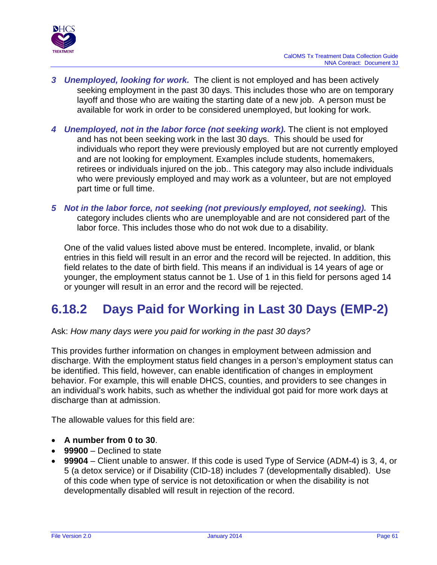

- *3 Unemployed, looking for work.* The client is not employed and has been actively seeking employment in the past 30 days. This includes those who are on temporary layoff and those who are waiting the starting date of a new job. A person must be available for work in order to be considered unemployed, but looking for work.
- *4 Unemployed, not in the labor force (not seeking work).* The client is not employed and has not been seeking work in the last 30 days. This should be used for individuals who report they were previously employed but are not currently employed and are not looking for employment. Examples include students, homemakers, retirees or individuals injured on the job.. This category may also include individuals who were previously employed and may work as a volunteer, but are not employed part time or full time.
- *5 Not in the labor force, not seeking (not previously employed, not seeking).* This category includes clients who are unemployable and are not considered part of the labor force. This includes those who do not wok due to a disability.

One of the valid values listed above must be entered. Incomplete, invalid, or blank entries in this field will result in an error and the record will be rejected. In addition, this field relates to the date of birth field. This means if an individual is 14 years of age or younger, the employment status cannot be 1. Use of 1 in this field for persons aged 14 or younger will result in an error and the record will be rejected.

## **6.18.2 Days Paid for Working in Last 30 Days (EMP-2)**

Ask: *How many days were you paid for working in the past 30 days?*

This provides further information on changes in employment between admission and discharge. With the employment status field changes in a person's employment status can be identified. This field, however, can enable identification of changes in employment behavior. For example, this will enable DHCS, counties, and providers to see changes in an individual's work habits, such as whether the individual got paid for more work days at discharge than at admission.

The allowable values for this field are:

- **A number from 0 to 30**.
- **99900** Declined to state
- **99904**  Client unable to answer. If this code is used Type of Service (ADM-4) is 3, 4, or 5 (a detox service) or if Disability (CID-18) includes 7 (developmentally disabled). Use of this code when type of service is not detoxification or when the disability is not developmentally disabled will result in rejection of the record.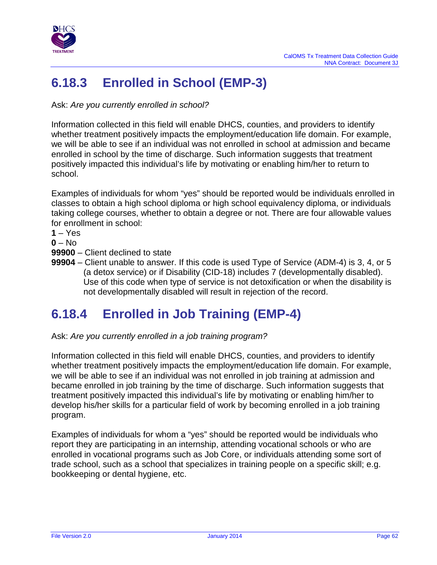

# **6.18.3 Enrolled in School (EMP-3)**

Ask: *Are you currently enrolled in school?*

Information collected in this field will enable DHCS, counties, and providers to identify whether treatment positively impacts the employment/education life domain. For example, we will be able to see if an individual was not enrolled in school at admission and became enrolled in school by the time of discharge. Such information suggests that treatment positively impacted this individual's life by motivating or enabling him/her to return to school.

Examples of individuals for whom "yes" should be reported would be individuals enrolled in classes to obtain a high school diploma or high school equivalency diploma, or individuals taking college courses, whether to obtain a degree or not. There are four allowable values for enrollment in school:

- **1** Yes
- **0** No
- **99900** Client declined to state
- **99904** Client unable to answer. If this code is used Type of Service (ADM-4) is 3, 4, or 5 (a detox service) or if Disability (CID-18) includes 7 (developmentally disabled). Use of this code when type of service is not detoxification or when the disability is not developmentally disabled will result in rejection of the record.

## **6.18.4 Enrolled in Job Training (EMP-4)**

Ask: *Are you currently enrolled in a job training program?*

Information collected in this field will enable DHCS, counties, and providers to identify whether treatment positively impacts the employment/education life domain. For example, we will be able to see if an individual was not enrolled in job training at admission and became enrolled in job training by the time of discharge. Such information suggests that treatment positively impacted this individual's life by motivating or enabling him/her to develop his/her skills for a particular field of work by becoming enrolled in a job training program.

Examples of individuals for whom a "yes" should be reported would be individuals who report they are participating in an internship, attending vocational schools or who are enrolled in vocational programs such as Job Core, or individuals attending some sort of trade school, such as a school that specializes in training people on a specific skill; e.g. bookkeeping or dental hygiene, etc.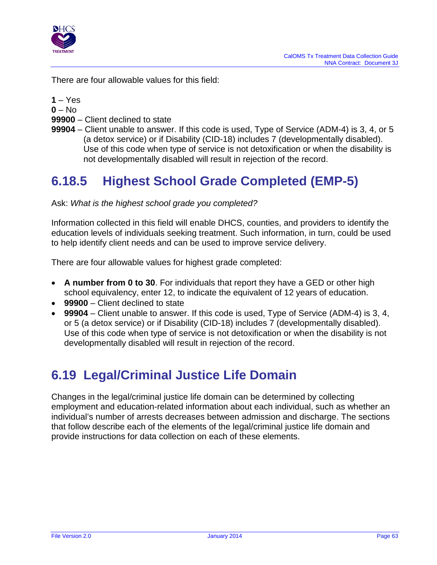

There are four allowable values for this field:

 $1 - Yes$ 

**0** – No

- **99900** Client declined to state
- **99904** Client unable to answer. If this code is used, Type of Service (ADM-4) is 3, 4, or 5 (a detox service) or if Disability (CID-18) includes 7 (developmentally disabled). Use of this code when type of service is not detoxification or when the disability is not developmentally disabled will result in rejection of the record.

## **6.18.5 Highest School Grade Completed (EMP-5)**

Ask: *What is the highest school grade you completed?*

Information collected in this field will enable DHCS, counties, and providers to identify the education levels of individuals seeking treatment. Such information, in turn, could be used to help identify client needs and can be used to improve service delivery.

There are four allowable values for highest grade completed:

- **A number from 0 to 30**. For individuals that report they have a GED or other high school equivalency, enter 12, to indicate the equivalent of 12 years of education.
- **99900**  Client declined to state
- **99904**  Client unable to answer. If this code is used, Type of Service (ADM-4) is 3, 4, or 5 (a detox service) or if Disability (CID-18) includes 7 (developmentally disabled). Use of this code when type of service is not detoxification or when the disability is not developmentally disabled will result in rejection of the record.

## **6.19 Legal/Criminal Justice Life Domain**

Changes in the legal/criminal justice life domain can be determined by collecting employment and education-related information about each individual, such as whether an individual's number of arrests decreases between admission and discharge. The sections that follow describe each of the elements of the legal/criminal justice life domain and provide instructions for data collection on each of these elements.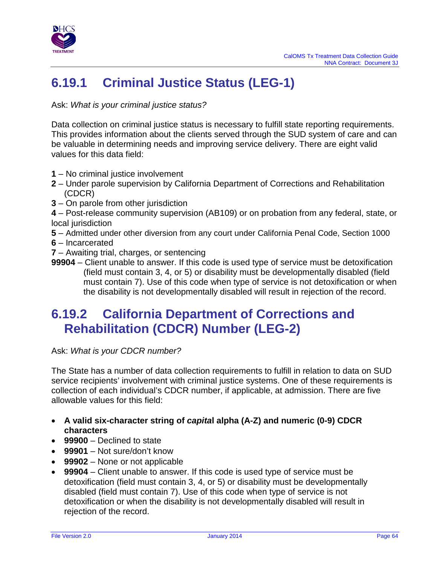



# **6.19.1 Criminal Justice Status (LEG-1)**

Ask: *What is your criminal justice status?*

Data collection on criminal justice status is necessary to fulfill state reporting requirements. This provides information about the clients served through the SUD system of care and can be valuable in determining needs and improving service delivery. There are eight valid values for this data field:

- **1** No criminal justice involvement
- **2**  Under parole supervision by California Department of Corrections and Rehabilitation (CDCR)
- **3** On parole from other jurisdiction

**4** – Post-release community supervision (AB109) or on probation from any federal, state, or local jurisdiction

- **5** Admitted under other diversion from any court under California Penal Code, Section 1000
- **6** Incarcerated
- **7** Awaiting trial, charges, or sentencing
- **99904** Client unable to answer. If this code is used type of service must be detoxification (field must contain 3, 4, or 5) or disability must be developmentally disabled (field must contain 7). Use of this code when type of service is not detoxification or when the disability is not developmentally disabled will result in rejection of the record.

## **6.19.2 California Department of Corrections and Rehabilitation (CDCR) Number (LEG-2)**

Ask: *What is your CDCR number?*

The State has a number of data collection requirements to fulfill in relation to data on SUD service recipients' involvement with criminal justice systems. One of these requirements is collection of each individual's CDCR number, if applicable, at admission. There are five allowable values for this field:

- **A valid six-character string of** *capita***l alpha (A-Z) and numeric (0-9) CDCR characters**
- **99900**  Declined to state
- **99901** Not sure/don't know
- **99902** None or not applicable
- **99904**  Client unable to answer. If this code is used type of service must be detoxification (field must contain 3, 4, or 5) or disability must be developmentally disabled (field must contain 7). Use of this code when type of service is not detoxification or when the disability is not developmentally disabled will result in rejection of the record.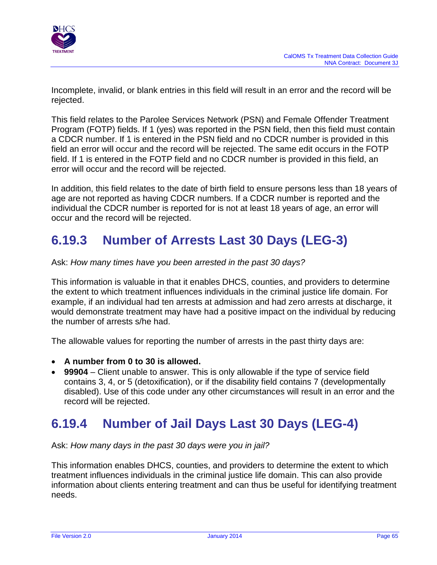

Incomplete, invalid, or blank entries in this field will result in an error and the record will be rejected.

This field relates to the Parolee Services Network (PSN) and Female Offender Treatment Program (FOTP) fields. If 1 (yes) was reported in the PSN field, then this field must contain a CDCR number. If 1 is entered in the PSN field and no CDCR number is provided in this field an error will occur and the record will be rejected. The same edit occurs in the FOTP field. If 1 is entered in the FOTP field and no CDCR number is provided in this field, an error will occur and the record will be rejected.

In addition, this field relates to the date of birth field to ensure persons less than 18 years of age are not reported as having CDCR numbers. If a CDCR number is reported and the individual the CDCR number is reported for is not at least 18 years of age, an error will occur and the record will be rejected.

## **6.19.3 Number of Arrests Last 30 Days (LEG-3)**

Ask: *How many times have you been arrested in the past 30 days?*

This information is valuable in that it enables DHCS, counties, and providers to determine the extent to which treatment influences individuals in the criminal justice life domain. For example, if an individual had ten arrests at admission and had zero arrests at discharge, it would demonstrate treatment may have had a positive impact on the individual by reducing the number of arrests s/he had.

The allowable values for reporting the number of arrests in the past thirty days are:

- **A number from 0 to 30 is allowed.**
- **99904**  Client unable to answer. This is only allowable if the type of service field contains 3, 4, or 5 (detoxification), or if the disability field contains 7 (developmentally disabled). Use of this code under any other circumstances will result in an error and the record will be rejected.

## **6.19.4 Number of Jail Days Last 30 Days (LEG-4)**

Ask: *How many days in the past 30 days were you in jail?*

This information enables DHCS, counties, and providers to determine the extent to which treatment influences individuals in the criminal justice life domain. This can also provide information about clients entering treatment and can thus be useful for identifying treatment needs.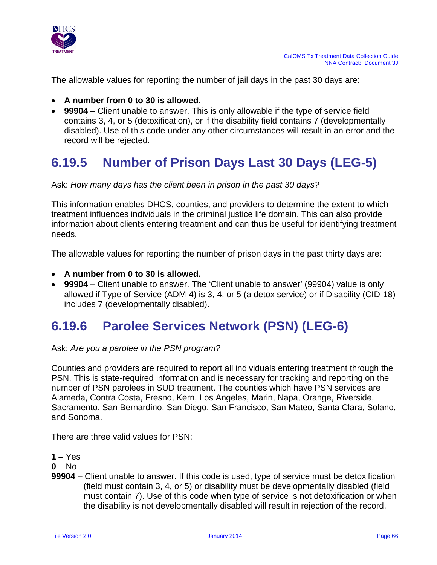

The allowable values for reporting the number of jail days in the past 30 days are:

- **A number from 0 to 30 is allowed.**
- **99904** Client unable to answer. This is only allowable if the type of service field contains 3, 4, or 5 (detoxification), or if the disability field contains 7 (developmentally disabled). Use of this code under any other circumstances will result in an error and the record will be rejected.

## **6.19.5 Number of Prison Days Last 30 Days (LEG-5)**

Ask: *How many days has the client been in prison in the past 30 days?*

This information enables DHCS, counties, and providers to determine the extent to which treatment influences individuals in the criminal justice life domain. This can also provide information about clients entering treatment and can thus be useful for identifying treatment needs.

The allowable values for reporting the number of prison days in the past thirty days are:

- **A number from 0 to 30 is allowed.**
- **99904**  Client unable to answer. The 'Client unable to answer' (99904) value is only allowed if Type of Service (ADM-4) is 3, 4, or 5 (a detox service) or if Disability (CID-18) includes 7 (developmentally disabled).

#### **6.19.6 Parolee Services Network (PSN) (LEG-6)**

Ask: *Are you a parolee in the PSN program?*

Counties and providers are required to report all individuals entering treatment through the PSN. This is state-required information and is necessary for tracking and reporting on the number of PSN parolees in SUD treatment. The counties which have PSN services are Alameda, Contra Costa, Fresno, Kern, Los Angeles, Marin, Napa, Orange, Riverside, Sacramento, San Bernardino, San Diego, San Francisco, San Mateo, Santa Clara, Solano, and Sonoma.

There are three valid values for PSN:

- **1** Yes
- **0** No
- **99904** Client unable to answer. If this code is used, type of service must be detoxification (field must contain 3, 4, or 5) or disability must be developmentally disabled (field must contain 7). Use of this code when type of service is not detoxification or when the disability is not developmentally disabled will result in rejection of the record.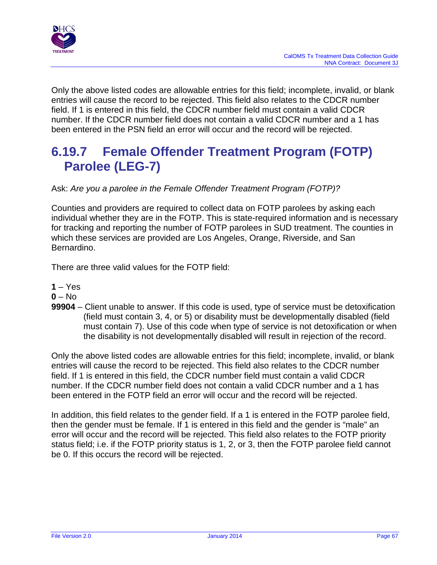

Only the above listed codes are allowable entries for this field; incomplete, invalid, or blank entries will cause the record to be rejected. This field also relates to the CDCR number field. If 1 is entered in this field, the CDCR number field must contain a valid CDCR number. If the CDCR number field does not contain a valid CDCR number and a 1 has been entered in the PSN field an error will occur and the record will be rejected.

## **6.19.7 Female Offender Treatment Program (FOTP) Parolee (LEG-7)**

Ask: *Are you a parolee in the Female Offender Treatment Program (FOTP)?*

Counties and providers are required to collect data on FOTP parolees by asking each individual whether they are in the FOTP. This is state-required information and is necessary for tracking and reporting the number of FOTP parolees in SUD treatment. The counties in which these services are provided are Los Angeles, Orange, Riverside, and San Bernardino.

There are three valid values for the FOTP field:

- **1** Yes
- **0** No
- **99904** Client unable to answer. If this code is used, type of service must be detoxification (field must contain 3, 4, or 5) or disability must be developmentally disabled (field must contain 7). Use of this code when type of service is not detoxification or when the disability is not developmentally disabled will result in rejection of the record.

Only the above listed codes are allowable entries for this field; incomplete, invalid, or blank entries will cause the record to be rejected. This field also relates to the CDCR number field. If 1 is entered in this field, the CDCR number field must contain a valid CDCR number. If the CDCR number field does not contain a valid CDCR number and a 1 has been entered in the FOTP field an error will occur and the record will be rejected.

In addition, this field relates to the gender field. If a 1 is entered in the FOTP parolee field, then the gender must be female. If 1 is entered in this field and the gender is "male" an error will occur and the record will be rejected. This field also relates to the FOTP priority status field; i.e. if the FOTP priority status is 1, 2, or 3, then the FOTP parolee field cannot be 0. If this occurs the record will be rejected.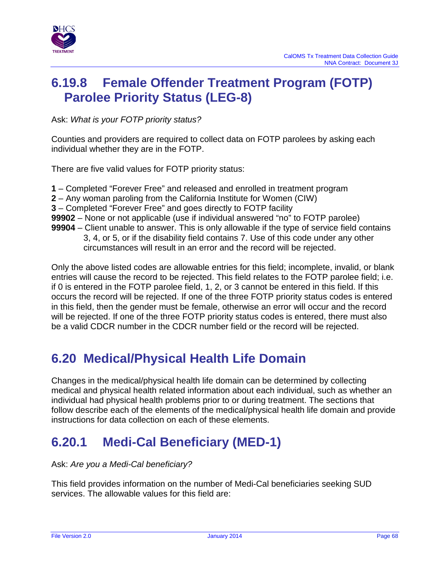

# **6.19.8 Female Offender Treatment Program (FOTP) Parolee Priority Status (LEG-8)**

Ask: *What is your FOTP priority status?*

Counties and providers are required to collect data on FOTP parolees by asking each individual whether they are in the FOTP.

There are five valid values for FOTP priority status:

- **1** Completed "Forever Free" and released and enrolled in treatment program
- **2** Any woman paroling from the California Institute for Women (CIW)
- **3** Completed "Forever Free" and goes directly to FOTP facility
- **99902** None or not applicable (use if individual answered "no" to FOTP parolee)
- **99904** Client unable to answer. This is only allowable if the type of service field contains 3, 4, or 5, or if the disability field contains 7. Use of this code under any other circumstances will result in an error and the record will be rejected.

Only the above listed codes are allowable entries for this field; incomplete, invalid, or blank entries will cause the record to be rejected. This field relates to the FOTP parolee field; i.e. if 0 is entered in the FOTP parolee field, 1, 2, or 3 cannot be entered in this field. If this occurs the record will be rejected. If one of the three FOTP priority status codes is entered in this field, then the gender must be female, otherwise an error will occur and the record will be rejected. If one of the three FOTP priority status codes is entered, there must also be a valid CDCR number in the CDCR number field or the record will be rejected.

#### **6.20 Medical/Physical Health Life Domain**

Changes in the medical/physical health life domain can be determined by collecting medical and physical health related information about each individual, such as whether an individual had physical health problems prior to or during treatment. The sections that follow describe each of the elements of the medical/physical health life domain and provide instructions for data collection on each of these elements.

#### **6.20.1 Medi-Cal Beneficiary (MED-1)**

Ask: *Are you a Medi-Cal beneficiary?*

This field provides information on the number of Medi-Cal beneficiaries seeking SUD services. The allowable values for this field are: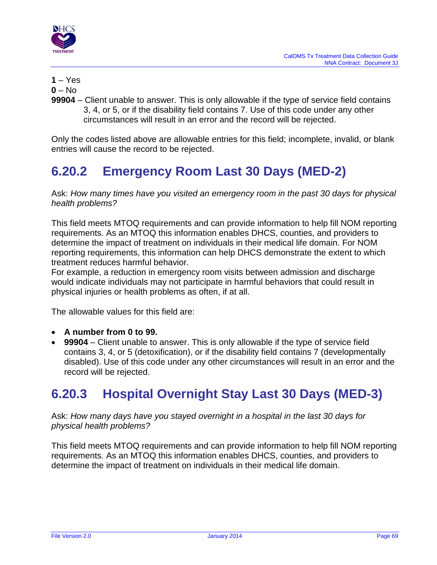

#### **1** – Yes

- **0** No
- **99904** Client unable to answer. This is only allowable if the type of service field contains 3, 4, or 5, or if the disability field contains 7. Use of this code under any other circumstances will result in an error and the record will be rejected.

Only the codes listed above are allowable entries for this field; incomplete, invalid, or blank entries will cause the record to be rejected.

# **6.20.2 Emergency Room Last 30 Days (MED-2)**

Ask: *How many times have you visited an emergency room in the past 30 days for physical health problems?*

This field meets MTOQ requirements and can provide information to help fill NOM reporting requirements. As an MTOQ this information enables DHCS, counties, and providers to determine the impact of treatment on individuals in their medical life domain. For NOM reporting requirements, this information can help DHCS demonstrate the extent to which treatment reduces harmful behavior.

For example, a reduction in emergency room visits between admission and discharge would indicate individuals may not participate in harmful behaviors that could result in physical injuries or health problems as often, if at all.

The allowable values for this field are:

- **A number from 0 to 99.**
- **99904** Client unable to answer. This is only allowable if the type of service field contains 3, 4, or 5 (detoxification), or if the disability field contains 7 (developmentally disabled). Use of this code under any other circumstances will result in an error and the record will be rejected.

# **6.20.3 Hospital Overnight Stay Last 30 Days (MED-3)**

Ask: *How many days have you stayed overnight in a hospital in the last 30 days for physical health problems?*

This field meets MTOQ requirements and can provide information to help fill NOM reporting requirements. As an MTOQ this information enables DHCS, counties, and providers to determine the impact of treatment on individuals in their medical life domain.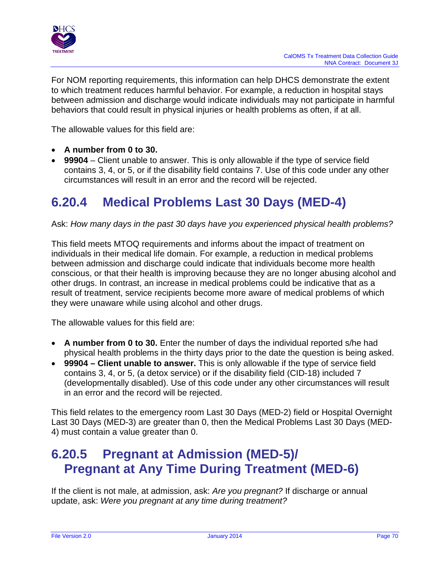

For NOM reporting requirements, this information can help DHCS demonstrate the extent to which treatment reduces harmful behavior. For example, a reduction in hospital stays between admission and discharge would indicate individuals may not participate in harmful behaviors that could result in physical injuries or health problems as often, if at all.

The allowable values for this field are:

- **A number from 0 to 30.**
- **99904**  Client unable to answer. This is only allowable if the type of service field contains 3, 4, or 5, or if the disability field contains 7. Use of this code under any other circumstances will result in an error and the record will be rejected.

#### **6.20.4 Medical Problems Last 30 Days (MED-4)**

Ask: *How many days in the past 30 days have you experienced physical health problems?* 

This field meets MTOQ requirements and informs about the impact of treatment on individuals in their medical life domain. For example, a reduction in medical problems between admission and discharge could indicate that individuals become more health conscious, or that their health is improving because they are no longer abusing alcohol and other drugs. In contrast, an increase in medical problems could be indicative that as a result of treatment, service recipients become more aware of medical problems of which they were unaware while using alcohol and other drugs.

The allowable values for this field are:

- **A number from 0 to 30.** Enter the number of days the individual reported s/he had physical health problems in the thirty days prior to the date the question is being asked.
- **99904 – Client unable to answer.** This is only allowable if the type of service field contains 3, 4, or 5, (a detox service) or if the disability field (CID-18) included 7 (developmentally disabled). Use of this code under any other circumstances will result in an error and the record will be rejected.

This field relates to the emergency room Last 30 Days (MED-2) field or Hospital Overnight Last 30 Days (MED-3) are greater than 0, then the Medical Problems Last 30 Days (MED-4) must contain a value greater than 0.

#### **6.20.5 Pregnant at Admission (MED-5)/ Pregnant at Any Time During Treatment (MED-6)**

If the client is not male, at admission, ask: *Are you pregnant?* If discharge or annual update, ask: *Were you pregnant at any time during treatment?*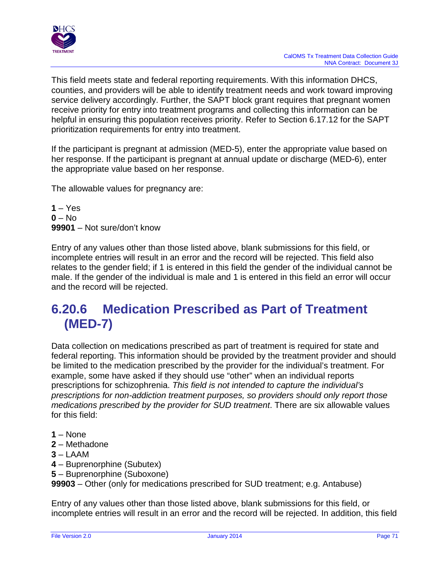

This field meets state and federal reporting requirements. With this information DHCS, counties, and providers will be able to identify treatment needs and work toward improving service delivery accordingly. Further, the SAPT block grant requires that pregnant women receive priority for entry into treatment programs and collecting this information can be helpful in ensuring this population receives priority. Refer to Section 6.17.12 for the SAPT prioritization requirements for entry into treatment.

If the participant is pregnant at admission (MED-5), enter the appropriate value based on her response. If the participant is pregnant at annual update or discharge (MED-6), enter the appropriate value based on her response.

The allowable values for pregnancy are:

**1** – Yes **0** – No **99901** – Not sure/don't know

Entry of any values other than those listed above, blank submissions for this field, or incomplete entries will result in an error and the record will be rejected. This field also relates to the gender field; if 1 is entered in this field the gender of the individual cannot be male. If the gender of the individual is male and 1 is entered in this field an error will occur and the record will be rejected.

#### **6.20.6 Medication Prescribed as Part of Treatment (MED-7)**

Data collection on medications prescribed as part of treatment is required for state and federal reporting. This information should be provided by the treatment provider and should be limited to the medication prescribed by the provider for the individual's treatment. For example, some have asked if they should use "other" when an individual reports prescriptions for schizophrenia. *This field is not intended to capture the individual's prescriptions for non-addiction treatment purposes, so providers should only report those medications prescribed by the provider for SUD treatment*. There are six allowable values for this field:

- **1** None
- **2** Methadone
- **3** LAAM
- **4** Buprenorphine (Subutex)
- **5** Buprenorphine (Suboxone)

**99903** – Other (only for medications prescribed for SUD treatment; e.g. Antabuse)

Entry of any values other than those listed above, blank submissions for this field, or incomplete entries will result in an error and the record will be rejected. In addition, this field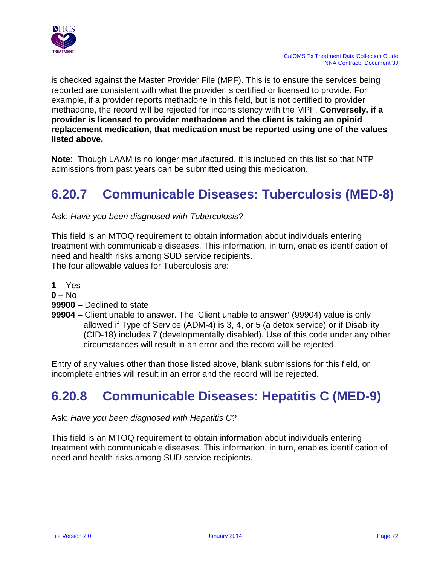

is checked against the Master Provider File (MPF). This is to ensure the services being reported are consistent with what the provider is certified or licensed to provide. For example, if a provider reports methadone in this field, but is not certified to provider methadone, the record will be rejected for inconsistency with the MPF. **Conversely, if a provider is licensed to provider methadone and the client is taking an opioid replacement medication, that medication must be reported using one of the values listed above.**

**Note**: Though LAAM is no longer manufactured, it is included on this list so that NTP admissions from past years can be submitted using this medication.

# **6.20.7 Communicable Diseases: Tuberculosis (MED-8)**

Ask: *Have you been diagnosed with Tuberculosis?*

This field is an MTOQ requirement to obtain information about individuals entering treatment with communicable diseases. This information, in turn, enables identification of need and health risks among SUD service recipients. The four allowable values for Tuberculosis are:

- **1** Yes
- **0** No
- **99900** Declined to state
- **99904** Client unable to answer. The 'Client unable to answer' (99904) value is only allowed if Type of Service (ADM-4) is 3, 4, or 5 (a detox service) or if Disability (CID-18) includes 7 (developmentally disabled). Use of this code under any other circumstances will result in an error and the record will be rejected.

Entry of any values other than those listed above, blank submissions for this field, or incomplete entries will result in an error and the record will be rejected.

## **6.20.8 Communicable Diseases: Hepatitis C (MED-9)**

Ask: *Have you been diagnosed with Hepatitis C?*

This field is an MTOQ requirement to obtain information about individuals entering treatment with communicable diseases. This information, in turn, enables identification of need and health risks among SUD service recipients.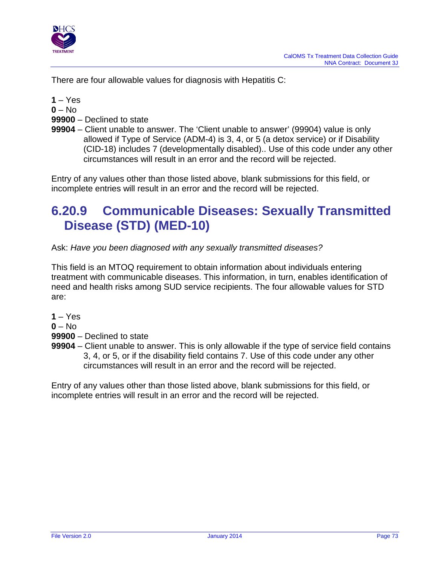

There are four allowable values for diagnosis with Hepatitis C:

**1** – Yes

**0** – No

- **99900** Declined to state
- **99904** Client unable to answer. The 'Client unable to answer' (99904) value is only allowed if Type of Service (ADM-4) is 3, 4, or 5 (a detox service) or if Disability (CID-18) includes 7 (developmentally disabled).. Use of this code under any other circumstances will result in an error and the record will be rejected.

Entry of any values other than those listed above, blank submissions for this field, or incomplete entries will result in an error and the record will be rejected.

#### **6.20.9 Communicable Diseases: Sexually Transmitted Disease (STD) (MED-10)**

Ask: *Have you been diagnosed with any sexually transmitted diseases?*

This field is an MTOQ requirement to obtain information about individuals entering treatment with communicable diseases. This information, in turn, enables identification of need and health risks among SUD service recipients. The four allowable values for STD are:

**1** – Yes

- **0** No
- **99900** Declined to state
- **99904** Client unable to answer. This is only allowable if the type of service field contains 3, 4, or 5, or if the disability field contains 7. Use of this code under any other circumstances will result in an error and the record will be rejected.

Entry of any values other than those listed above, blank submissions for this field, or incomplete entries will result in an error and the record will be rejected.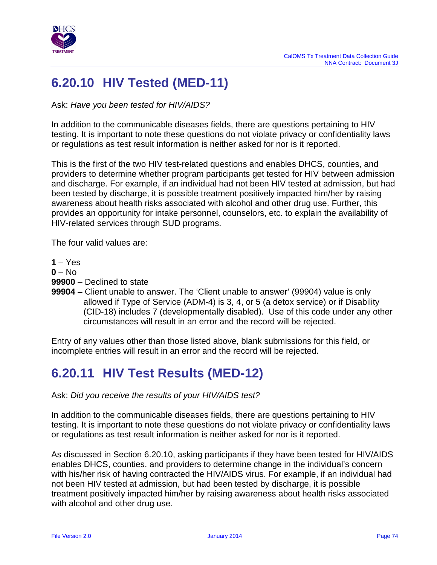

# **6.20.10 HIV Tested (MED-11)**

Ask: *Have you been tested for HIV/AIDS?*

In addition to the communicable diseases fields, there are questions pertaining to HIV testing. It is important to note these questions do not violate privacy or confidentiality laws or regulations as test result information is neither asked for nor is it reported.

This is the first of the two HIV test-related questions and enables DHCS, counties, and providers to determine whether program participants get tested for HIV between admission and discharge. For example, if an individual had not been HIV tested at admission, but had been tested by discharge, it is possible treatment positively impacted him/her by raising awareness about health risks associated with alcohol and other drug use. Further, this provides an opportunity for intake personnel, counselors, etc. to explain the availability of HIV-related services through SUD programs.

The four valid values are:

- **1** Yes
- **0** No
- **99900** Declined to state
- **99904** Client unable to answer. The 'Client unable to answer' (99904) value is only allowed if Type of Service (ADM-4) is 3, 4, or 5 (a detox service) or if Disability (CID-18) includes 7 (developmentally disabled). Use of this code under any other circumstances will result in an error and the record will be rejected.

Entry of any values other than those listed above, blank submissions for this field, or incomplete entries will result in an error and the record will be rejected.

## **6.20.11 HIV Test Results (MED-12)**

Ask: *Did you receive the results of your HIV/AIDS test?*

In addition to the communicable diseases fields, there are questions pertaining to HIV testing. It is important to note these questions do not violate privacy or confidentiality laws or regulations as test result information is neither asked for nor is it reported.

As discussed in Section 6.20.10, asking participants if they have been tested for HIV/AIDS enables DHCS, counties, and providers to determine change in the individual's concern with his/her risk of having contracted the HIV/AIDS virus. For example, if an individual had not been HIV tested at admission, but had been tested by discharge, it is possible treatment positively impacted him/her by raising awareness about health risks associated with alcohol and other drug use.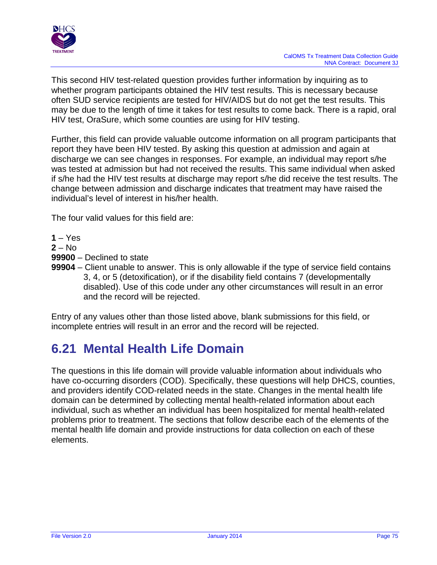

This second HIV test-related question provides further information by inquiring as to whether program participants obtained the HIV test results. This is necessary because often SUD service recipients are tested for HIV/AIDS but do not get the test results. This may be due to the length of time it takes for test results to come back. There is a rapid, oral HIV test, OraSure, which some counties are using for HIV testing.

Further, this field can provide valuable outcome information on all program participants that report they have been HIV tested. By asking this question at admission and again at discharge we can see changes in responses. For example, an individual may report s/he was tested at admission but had not received the results. This same individual when asked if s/he had the HIV test results at discharge may report s/he did receive the test results. The change between admission and discharge indicates that treatment may have raised the individual's level of interest in his/her health.

The four valid values for this field are:

- **1** Yes
- $2 No$
- **99900** Declined to state
- **99904** Client unable to answer. This is only allowable if the type of service field contains 3, 4, or 5 (detoxification), or if the disability field contains 7 (developmentally disabled). Use of this code under any other circumstances will result in an error and the record will be rejected.

Entry of any values other than those listed above, blank submissions for this field, or incomplete entries will result in an error and the record will be rejected.

## **6.21 Mental Health Life Domain**

The questions in this life domain will provide valuable information about individuals who have co-occurring disorders (COD). Specifically, these questions will help DHCS, counties, and providers identify COD-related needs in the state. Changes in the mental health life domain can be determined by collecting mental health-related information about each individual, such as whether an individual has been hospitalized for mental health-related problems prior to treatment. The sections that follow describe each of the elements of the mental health life domain and provide instructions for data collection on each of these elements.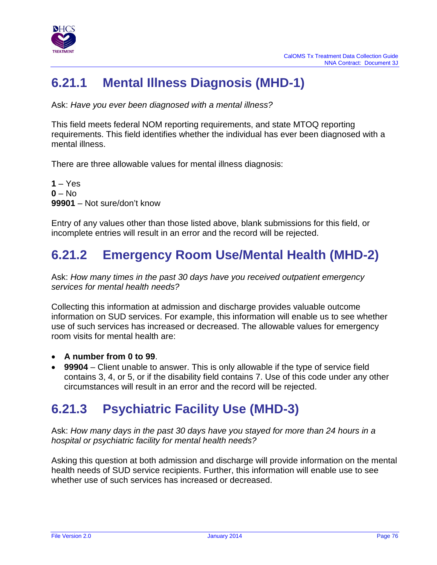

# **6.21.1 Mental Illness Diagnosis (MHD-1)**

Ask: *Have you ever been diagnosed with a mental illness?*

This field meets federal NOM reporting requirements, and state MTOQ reporting requirements. This field identifies whether the individual has ever been diagnosed with a mental illness.

There are three allowable values for mental illness diagnosis:

**1** – Yes **0** – No **99901** – Not sure/don't know

Entry of any values other than those listed above, blank submissions for this field, or incomplete entries will result in an error and the record will be rejected.

## **6.21.2 Emergency Room Use/Mental Health (MHD-2)**

Ask: *How many times in the past 30 days have you received outpatient emergency services for mental health needs?*

Collecting this information at admission and discharge provides valuable outcome information on SUD services. For example, this information will enable us to see whether use of such services has increased or decreased. The allowable values for emergency room visits for mental health are:

- **A number from 0 to 99**.
- **99904** Client unable to answer. This is only allowable if the type of service field contains 3, 4, or 5, or if the disability field contains 7. Use of this code under any other circumstances will result in an error and the record will be rejected.

#### **6.21.3 Psychiatric Facility Use (MHD-3)**

Ask: *How many days in the past 30 days have you stayed for more than 24 hours in a hospital or psychiatric facility for mental health needs?*

Asking this question at both admission and discharge will provide information on the mental health needs of SUD service recipients. Further, this information will enable use to see whether use of such services has increased or decreased.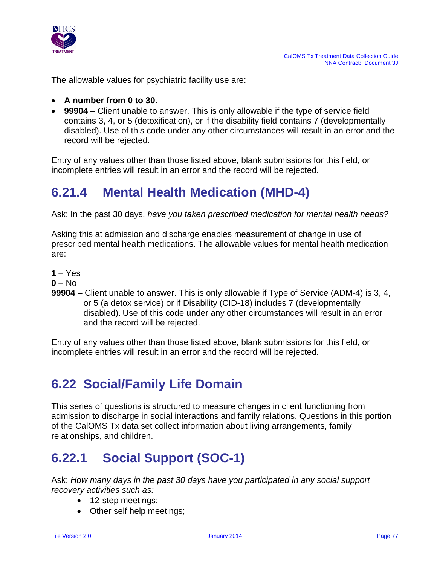

The allowable values for psychiatric facility use are:

- **A number from 0 to 30.**
- **99904**  Client unable to answer. This is only allowable if the type of service field contains 3, 4, or 5 (detoxification), or if the disability field contains 7 (developmentally disabled). Use of this code under any other circumstances will result in an error and the record will be rejected.

Entry of any values other than those listed above, blank submissions for this field, or incomplete entries will result in an error and the record will be rejected.

# **6.21.4 Mental Health Medication (MHD-4)**

Ask: In the past 30 days, *have you taken prescribed medication for mental health needs?*

Asking this at admission and discharge enables measurement of change in use of prescribed mental health medications. The allowable values for mental health medication are:

 $1 - Yes$ 

**0** – No

**99904** – Client unable to answer. This is only allowable if Type of Service (ADM-4) is 3, 4, or 5 (a detox service) or if Disability (CID-18) includes 7 (developmentally disabled). Use of this code under any other circumstances will result in an error and the record will be rejected.

Entry of any values other than those listed above, blank submissions for this field, or incomplete entries will result in an error and the record will be rejected.

#### **6.22 Social/Family Life Domain**

This series of questions is structured to measure changes in client functioning from admission to discharge in social interactions and family relations. Questions in this portion of the CalOMS Tx data set collect information about living arrangements, family relationships, and children.

#### **6.22.1 Social Support (SOC-1)**

Ask: *How many days in the past 30 days have you participated in any social support recovery activities such as:* 

- 12-step meetings;
- Other self help meetings;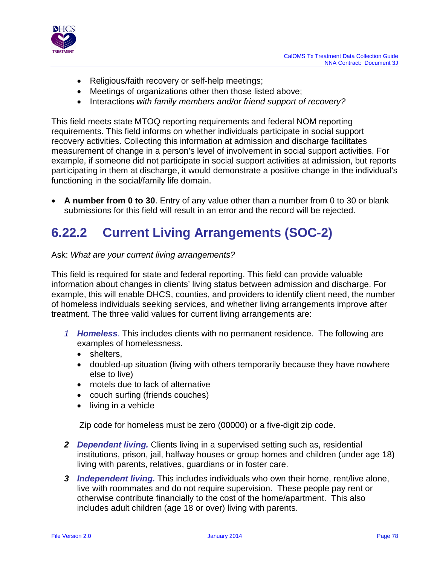

- Religious/faith recovery or self-help meetings;
- Meetings of organizations other then those listed above;
- Interactions *with family members and/or friend support of recovery?*

This field meets state MTOQ reporting requirements and federal NOM reporting requirements. This field informs on whether individuals participate in social support recovery activities. Collecting this information at admission and discharge facilitates measurement of change in a person's level of involvement in social support activities. For example, if someone did not participate in social support activities at admission, but reports participating in them at discharge, it would demonstrate a positive change in the individual's functioning in the social/family life domain.

• **A number from 0 to 30**. Entry of any value other than a number from 0 to 30 or blank submissions for this field will result in an error and the record will be rejected.

## **6.22.2 Current Living Arrangements (SOC-2)**

Ask: *What are your current living arrangements?*

This field is required for state and federal reporting. This field can provide valuable information about changes in clients' living status between admission and discharge. For example, this will enable DHCS, counties, and providers to identify client need, the number of homeless individuals seeking services, and whether living arrangements improve after treatment. The three valid values for current living arrangements are:

- *1 Homeless*. This includes clients with no permanent residence. The following are examples of homelessness.
	- shelters,
	- doubled-up situation (living with others temporarily because they have nowhere else to live)
	- motels due to lack of alternative
	- couch surfing (friends couches)
	- living in a vehicle

Zip code for homeless must be zero (00000) or a five-digit zip code.

- *2 Dependent living.* Clients living in a supervised setting such as, residential institutions, prison, jail, halfway houses or group homes and children (under age 18) living with parents, relatives, guardians or in foster care.
- *3 Independent living.* This includes individuals who own their home, rent/live alone, live with roommates and do not require supervision. These people pay rent or otherwise contribute financially to the cost of the home/apartment. This also includes adult children (age 18 or over) living with parents.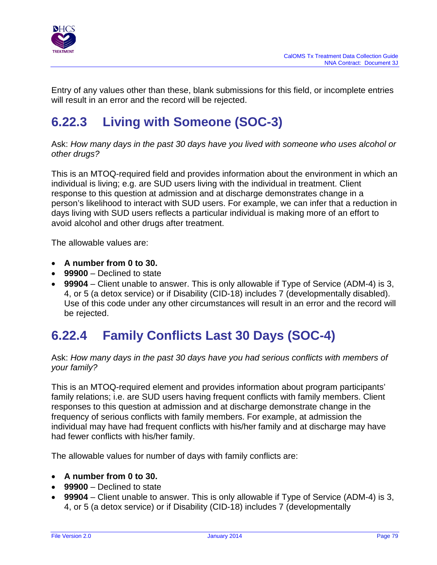

Entry of any values other than these, blank submissions for this field, or incomplete entries will result in an error and the record will be rejected.

# **6.22.3 Living with Someone (SOC-3)**

Ask: *How many days in the past 30 days have you lived with someone who uses alcohol or other drugs?*

This is an MTOQ-required field and provides information about the environment in which an individual is living; e.g. are SUD users living with the individual in treatment. Client response to this question at admission and at discharge demonstrates change in a person's likelihood to interact with SUD users. For example, we can infer that a reduction in days living with SUD users reflects a particular individual is making more of an effort to avoid alcohol and other drugs after treatment.

The allowable values are:

- **A number from 0 to 30.**
- **99900**  Declined to state
- **99904**  Client unable to answer. This is only allowable if Type of Service (ADM-4) is 3, 4, or 5 (a detox service) or if Disability (CID-18) includes 7 (developmentally disabled). Use of this code under any other circumstances will result in an error and the record will be rejected.

## **6.22.4 Family Conflicts Last 30 Days (SOC-4)**

#### Ask: *How many days in the past 30 days have you had serious conflicts with members of your family?*

This is an MTOQ-required element and provides information about program participants' family relations; i.e. are SUD users having frequent conflicts with family members. Client responses to this question at admission and at discharge demonstrate change in the frequency of serious conflicts with family members. For example, at admission the individual may have had frequent conflicts with his/her family and at discharge may have had fewer conflicts with his/her family.

The allowable values for number of days with family conflicts are:

- **A number from 0 to 30.**
- **99900** Declined to state
- **99904**  Client unable to answer. This is only allowable if Type of Service (ADM-4) is 3, 4, or 5 (a detox service) or if Disability (CID-18) includes 7 (developmentally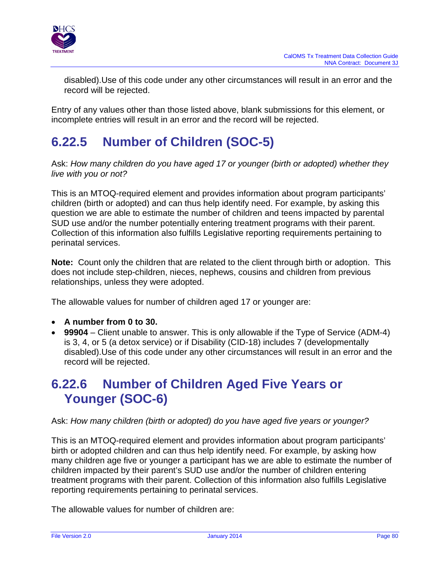

disabled).Use of this code under any other circumstances will result in an error and the record will be rejected.

Entry of any values other than those listed above, blank submissions for this element, or incomplete entries will result in an error and the record will be rejected.

# **6.22.5 Number of Children (SOC-5)**

Ask: *How many children do you have aged 17 or younger (birth or adopted) whether they live with you or not?*

This is an MTOQ-required element and provides information about program participants' children (birth or adopted) and can thus help identify need. For example, by asking this question we are able to estimate the number of children and teens impacted by parental SUD use and/or the number potentially entering treatment programs with their parent. Collection of this information also fulfills Legislative reporting requirements pertaining to perinatal services.

**Note:** Count only the children that are related to the client through birth or adoption. This does not include step-children, nieces, nephews, cousins and children from previous relationships, unless they were adopted.

The allowable values for number of children aged 17 or younger are:

- **A number from 0 to 30.**
- **99904**  Client unable to answer. This is only allowable if the Type of Service (ADM-4) is 3, 4, or 5 (a detox service) or if Disability (CID-18) includes 7 (developmentally disabled).Use of this code under any other circumstances will result in an error and the record will be rejected.

#### **6.22.6 Number of Children Aged Five Years or Younger (SOC-6)**

#### Ask: *How many children (birth or adopted) do you have aged five years or younger?*

This is an MTOQ-required element and provides information about program participants' birth or adopted children and can thus help identify need. For example, by asking how many children age five or younger a participant has we are able to estimate the number of children impacted by their parent's SUD use and/or the number of children entering treatment programs with their parent. Collection of this information also fulfills Legislative reporting requirements pertaining to perinatal services.

The allowable values for number of children are: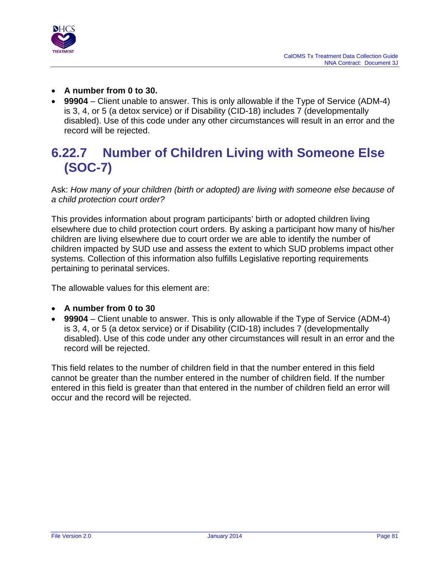



- **A number from 0 to 30.**
- **99904** Client unable to answer. This is only allowable if the Type of Service (ADM-4) is 3, 4, or 5 (a detox service) or if Disability (CID-18) includes 7 (developmentally disabled). Use of this code under any other circumstances will result in an error and the record will be rejected.

# **6.22.7 Number of Children Living with Someone Else (SOC-7)**

Ask: *How many of your children (birth or adopted) are living with someone else because of a child protection court order?*

This provides information about program participants' birth or adopted children living elsewhere due to child protection court orders. By asking a participant how many of his/her children are living elsewhere due to court order we are able to identify the number of children impacted by SUD use and assess the extent to which SUD problems impact other systems. Collection of this information also fulfills Legislative reporting requirements pertaining to perinatal services.

The allowable values for this element are:

- **A number from 0 to 30**
- **99904** Client unable to answer. This is only allowable if the Type of Service (ADM-4) is 3, 4, or 5 (a detox service) or if Disability (CID-18) includes 7 (developmentally disabled). Use of this code under any other circumstances will result in an error and the record will be rejected.

This field relates to the number of children field in that the number entered in this field cannot be greater than the number entered in the number of children field. If the number entered in this field is greater than that entered in the number of children field an error will occur and the record will be rejected.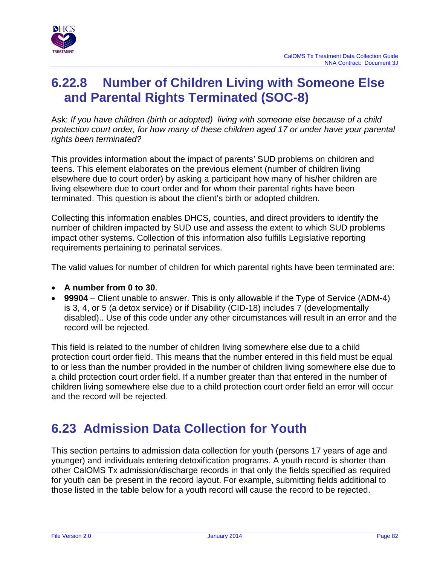

# **6.22.8 Number of Children Living with Someone Else and Parental Rights Terminated (SOC-8)**

Ask: *If you have children (birth or adopted) living with someone else because of a child protection court order, for how many of these children aged 17 or under have your parental rights been terminated?*

This provides information about the impact of parents' SUD problems on children and teens. This element elaborates on the previous element (number of children living elsewhere due to court order) by asking a participant how many of his/her children are living elsewhere due to court order and for whom their parental rights have been terminated. This question is about the client's birth or adopted children.

Collecting this information enables DHCS, counties, and direct providers to identify the number of children impacted by SUD use and assess the extent to which SUD problems impact other systems. Collection of this information also fulfills Legislative reporting requirements pertaining to perinatal services.

The valid values for number of children for which parental rights have been terminated are:

- **A number from 0 to 30**.
- **99904** Client unable to answer. This is only allowable if the Type of Service (ADM-4) is 3, 4, or 5 (a detox service) or if Disability (CID-18) includes 7 (developmentally disabled).. Use of this code under any other circumstances will result in an error and the record will be rejected.

This field is related to the number of children living somewhere else due to a child protection court order field. This means that the number entered in this field must be equal to or less than the number provided in the number of children living somewhere else due to a child protection court order field. If a number greater than that entered in the number of children living somewhere else due to a child protection court order field an error will occur and the record will be rejected.

## **6.23 Admission Data Collection for Youth**

This section pertains to admission data collection for youth (persons 17 years of age and younger) and individuals entering detoxification programs. A youth record is shorter than other CalOMS Tx admission/discharge records in that only the fields specified as required for youth can be present in the record layout. For example, submitting fields additional to those listed in the table below for a youth record will cause the record to be rejected.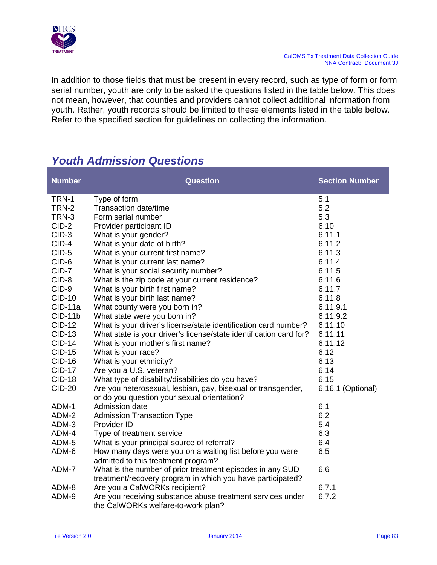

In addition to those fields that must be present in every record, such as type of form or form serial number, youth are only to be asked the questions listed in the table below. This does not mean, however, that counties and providers cannot collect additional information from youth. Rather, youth records should be limited to these elements listed in the table below. Refer to the specified section for guidelines on collecting the information.

#### *Youth Admission Questions*

| <b>Number</b> | <b>Question</b>                                                                                                         | <b>Section Number</b> |
|---------------|-------------------------------------------------------------------------------------------------------------------------|-----------------------|
| TRN-1         | Type of form                                                                                                            | 5.1                   |
| TRN-2         | Transaction date/time                                                                                                   | 5.2                   |
| TRN-3         | Form serial number                                                                                                      | 5.3                   |
| $CID-2$       | Provider participant ID                                                                                                 | 6.10                  |
| $CID-3$       | What is your gender?                                                                                                    | 6.11.1                |
| $CID-4$       | What is your date of birth?                                                                                             | 6.11.2                |
| $CID-5$       | What is your current first name?                                                                                        | 6.11.3                |
| CID-6         | What is your current last name?                                                                                         | 6.11.4                |
| CID-7         | What is your social security number?                                                                                    | 6.11.5                |
| CID-8         | What is the zip code at your current residence?                                                                         | 6.11.6                |
| CID-9         | What is your birth first name?                                                                                          | 6.11.7                |
| <b>CID-10</b> | What is your birth last name?                                                                                           | 6.11.8                |
| CID-11a       | What county were you born in?                                                                                           | 6.11.9.1              |
| CID-11b       | What state were you born in?                                                                                            | 6.11.9.2              |
| <b>CID-12</b> | What is your driver's license/state identification card number?                                                         | 6.11.10               |
| <b>CID-13</b> | What state is your driver's license/state identification card for?                                                      | 6.11.11               |
| <b>CID-14</b> | What is your mother's first name?                                                                                       | 6.11.12               |
| <b>CID-15</b> | What is your race?                                                                                                      | 6.12                  |
| <b>CID-16</b> | What is your ethnicity?                                                                                                 | 6.13                  |
| <b>CID-17</b> | Are you a U.S. veteran?                                                                                                 | 6.14                  |
| <b>CID-18</b> | What type of disability/disabilities do you have?                                                                       | 6.15                  |
| <b>CID-20</b> | Are you heterosexual, lesbian, gay, bisexual or transgender,                                                            | 6.16.1 (Optional)     |
|               | or do you question your sexual orientation?                                                                             |                       |
| ADM-1         | Admission date                                                                                                          | 6.1                   |
| ADM-2         | <b>Admission Transaction Type</b>                                                                                       | 6.2                   |
| ADM-3         | Provider ID                                                                                                             | 5.4                   |
| ADM-4         | Type of treatment service                                                                                               | 6.3                   |
| ADM-5         | What is your principal source of referral?                                                                              | 6.4                   |
| ADM-6         | How many days were you on a waiting list before you were<br>admitted to this treatment program?                         | 6.5                   |
| ADM-7         | What is the number of prior treatment episodes in any SUD<br>treatment/recovery program in which you have participated? | 6.6                   |
| ADM-8         | Are you a CalWORKs recipient?                                                                                           | 6.7.1                 |
| ADM-9         | Are you receiving substance abuse treatment services under<br>the CalWORKs welfare-to-work plan?                        | 6.7.2                 |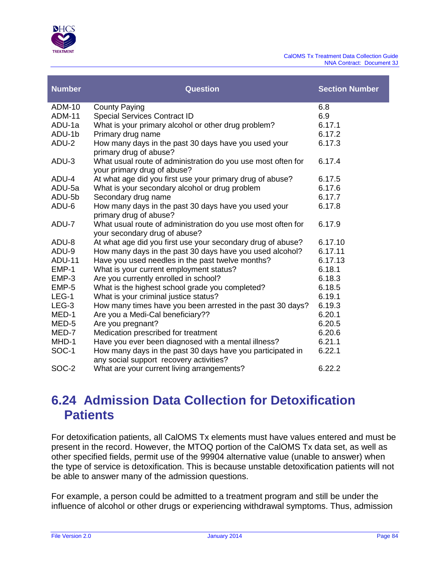

| <b>Number</b> | <b>Question</b>                                                                                       | <b>Section Number</b> |
|---------------|-------------------------------------------------------------------------------------------------------|-----------------------|
| <b>ADM-10</b> | <b>County Paying</b>                                                                                  | 6.8                   |
| <b>ADM-11</b> | <b>Special Services Contract ID</b>                                                                   | 6.9                   |
| ADU-1a        | What is your primary alcohol or other drug problem?                                                   | 6.17.1                |
| ADU-1b        | Primary drug name                                                                                     | 6.17.2                |
| ADU-2         | How many days in the past 30 days have you used your<br>primary drug of abuse?                        | 6.17.3                |
| ADU-3         | What usual route of administration do you use most often for<br>your primary drug of abuse?           | 6.17.4                |
| ADU-4         | At what age did you first use your primary drug of abuse?                                             | 6.17.5                |
| ADU-5a        | What is your secondary alcohol or drug problem                                                        | 6.17.6                |
| ADU-5b        | Secondary drug name                                                                                   | 6.17.7                |
| ADU-6         | How many days in the past 30 days have you used your<br>primary drug of abuse?                        | 6.17.8                |
| ADU-7         | What usual route of administration do you use most often for<br>your secondary drug of abuse?         | 6.17.9                |
| ADU-8         | At what age did you first use your secondary drug of abuse?                                           | 6.17.10               |
| ADU-9         | How many days in the past 30 days have you used alcohol?                                              | 6.17.11               |
| <b>ADU-11</b> | Have you used needles in the past twelve months?                                                      | 6.17.13               |
| EMP-1         | What is your current employment status?                                                               | 6.18.1                |
| EMP-3         | Are you currently enrolled in school?                                                                 | 6.18.3                |
| EMP-5         | What is the highest school grade you completed?                                                       | 6.18.5                |
| $LEG-1$       | What is your criminal justice status?                                                                 | 6.19.1                |
| $LEG-3$       | How many times have you been arrested in the past 30 days?                                            | 6.19.3                |
| MED-1         | Are you a Medi-Cal beneficiary??                                                                      | 6.20.1                |
| MED-5         | Are you pregnant?                                                                                     | 6.20.5                |
| MED-7         | Medication prescribed for treatment                                                                   | 6.20.6                |
| MHD-1         | Have you ever been diagnosed with a mental illness?                                                   | 6.21.1                |
| <b>SOC-1</b>  | How many days in the past 30 days have you participated in<br>any social support recovery activities? | 6.22.1                |
| SOC-2         | What are your current living arrangements?                                                            | 6.22.2                |

#### **6.24 Admission Data Collection for Detoxification Patients**

For detoxification patients, all CalOMS Tx elements must have values entered and must be present in the record. However, the MTOQ portion of the CalOMS Tx data set, as well as other specified fields, permit use of the 99904 alternative value (unable to answer) when the type of service is detoxification. This is because unstable detoxification patients will not be able to answer many of the admission questions.

For example, a person could be admitted to a treatment program and still be under the influence of alcohol or other drugs or experiencing withdrawal symptoms. Thus, admission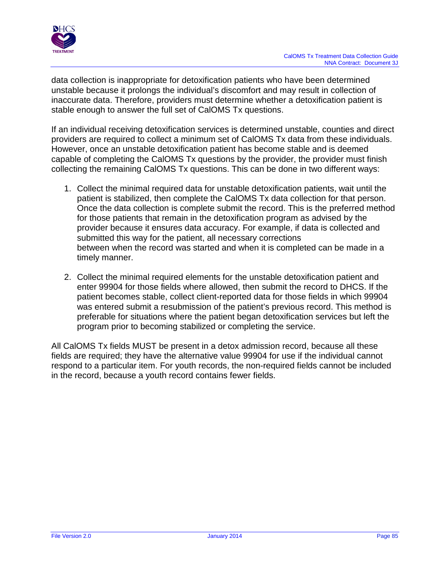

data collection is inappropriate for detoxification patients who have been determined unstable because it prolongs the individual's discomfort and may result in collection of inaccurate data. Therefore, providers must determine whether a detoxification patient is stable enough to answer the full set of CalOMS Tx questions.

If an individual receiving detoxification services is determined unstable, counties and direct providers are required to collect a minimum set of CalOMS Tx data from these individuals. However, once an unstable detoxification patient has become stable and is deemed capable of completing the CalOMS Tx questions by the provider, the provider must finish collecting the remaining CalOMS Tx questions. This can be done in two different ways:

- 1. Collect the minimal required data for unstable detoxification patients, wait until the patient is stabilized, then complete the CalOMS Tx data collection for that person. Once the data collection is complete submit the record. This is the preferred method for those patients that remain in the detoxification program as advised by the provider because it ensures data accuracy. For example, if data is collected and submitted this way for the patient, all necessary corrections between when the record was started and when it is completed can be made in a timely manner.
- 2. Collect the minimal required elements for the unstable detoxification patient and enter 99904 for those fields where allowed, then submit the record to DHCS. If the patient becomes stable, collect client-reported data for those fields in which 99904 was entered submit a resubmission of the patient's previous record. This method is preferable for situations where the patient began detoxification services but left the program prior to becoming stabilized or completing the service.

All CalOMS Tx fields MUST be present in a detox admission record, because all these fields are required; they have the alternative value 99904 for use if the individual cannot respond to a particular item. For youth records, the non-required fields cannot be included in the record, because a youth record contains fewer fields.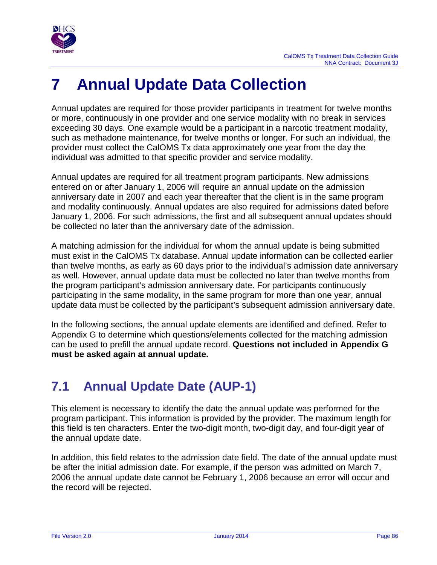

# **7 Annual Update Data Collection**

Annual updates are required for those provider participants in treatment for twelve months or more, continuously in one provider and one service modality with no break in services exceeding 30 days. One example would be a participant in a narcotic treatment modality, such as methadone maintenance, for twelve months or longer. For such an individual, the provider must collect the CalOMS Tx data approximately one year from the day the individual was admitted to that specific provider and service modality.

Annual updates are required for all treatment program participants. New admissions entered on or after January 1, 2006 will require an annual update on the admission anniversary date in 2007 and each year thereafter that the client is in the same program and modality continuously. Annual updates are also required for admissions dated before January 1, 2006. For such admissions, the first and all subsequent annual updates should be collected no later than the anniversary date of the admission.

A matching admission for the individual for whom the annual update is being submitted must exist in the CalOMS Tx database. Annual update information can be collected earlier than twelve months, as early as 60 days prior to the individual's admission date anniversary as well. However, annual update data must be collected no later than twelve months from the program participant's admission anniversary date. For participants continuously participating in the same modality, in the same program for more than one year, annual update data must be collected by the participant's subsequent admission anniversary date.

In the following sections, the annual update elements are identified and defined. Refer to Appendix G to determine which questions/elements collected for the matching admission can be used to prefill the annual update record. **Questions not included in Appendix G must be asked again at annual update.**

# **7.1 Annual Update Date (AUP-1)**

This element is necessary to identify the date the annual update was performed for the program participant. This information is provided by the provider. The maximum length for this field is ten characters. Enter the two-digit month, two-digit day, and four-digit year of the annual update date.

In addition, this field relates to the admission date field. The date of the annual update must be after the initial admission date. For example, if the person was admitted on March 7, 2006 the annual update date cannot be February 1, 2006 because an error will occur and the record will be rejected.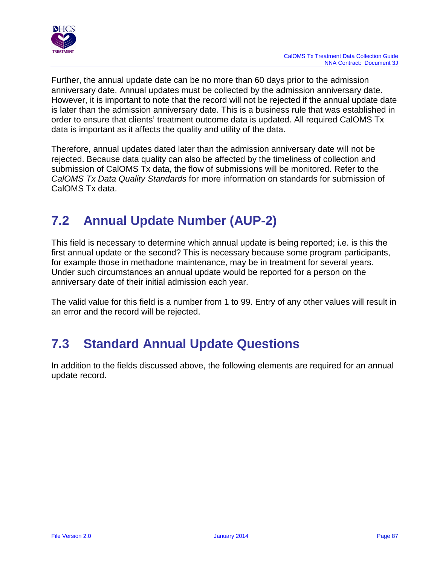

Further, the annual update date can be no more than 60 days prior to the admission anniversary date. Annual updates must be collected by the admission anniversary date. However, it is important to note that the record will not be rejected if the annual update date is later than the admission anniversary date. This is a business rule that was established in order to ensure that clients' treatment outcome data is updated. All required CalOMS Tx data is important as it affects the quality and utility of the data.

Therefore, annual updates dated later than the admission anniversary date will not be rejected. Because data quality can also be affected by the timeliness of collection and submission of CalOMS Tx data, the flow of submissions will be monitored. Refer to the *CalOMS Tx Data Quality Standards* for more information on standards for submission of CalOMS Tx data.

# **7.2 Annual Update Number (AUP-2)**

This field is necessary to determine which annual update is being reported; i.e. is this the first annual update or the second? This is necessary because some program participants, for example those in methadone maintenance, may be in treatment for several years. Under such circumstances an annual update would be reported for a person on the anniversary date of their initial admission each year.

The valid value for this field is a number from 1 to 99. Entry of any other values will result in an error and the record will be rejected.

# **7.3 Standard Annual Update Questions**

In addition to the fields discussed above, the following elements are required for an annual update record.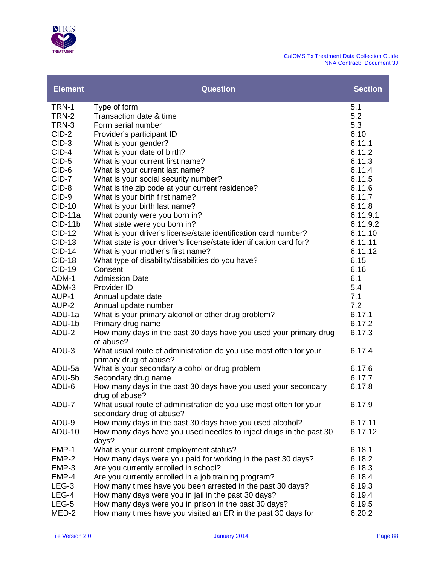

| <b>Element</b>                 | <b>Question</b>                                                                                                        | <b>Section</b>   |
|--------------------------------|------------------------------------------------------------------------------------------------------------------------|------------------|
| TRN-1                          | Type of form                                                                                                           | 5.1              |
| TRN-2                          | Transaction date & time                                                                                                | 5.2              |
| TRN-3<br>CID-2                 | Form serial number                                                                                                     | 5.3<br>6.10      |
| $CID-3$                        | Provider's participant ID                                                                                              | 6.11.1           |
| CID-4                          | What is your gender?<br>What is your date of birth?                                                                    | 6.11.2           |
| CID-5                          | What is your current first name?                                                                                       | 6.11.3           |
| CID-6                          | What is your current last name?                                                                                        | 6.11.4           |
| CID-7                          | What is your social security number?                                                                                   | 6.11.5           |
| CID-8                          | What is the zip code at your current residence?                                                                        | 6.11.6           |
| CID-9                          | What is your birth first name?                                                                                         | 6.11.7           |
| <b>CID-10</b>                  | What is your birth last name?                                                                                          | 6.11.8           |
| CID-11a                        | What county were you born in?                                                                                          | 6.11.9.1         |
| $CID-11b$                      | What state were you born in?                                                                                           | 6.11.9.2         |
| <b>CID-12</b>                  | What is your driver's license/state identification card number?                                                        | 6.11.10          |
| <b>CID-13</b>                  | What state is your driver's license/state identification card for?                                                     | 6.11.11          |
| <b>CID-14</b>                  | What is your mother's first name?                                                                                      | 6.11.12          |
| <b>CID-18</b><br><b>CID-19</b> | What type of disability/disabilities do you have?<br>Consent                                                           | 6.15<br>6.16     |
| ADM-1                          | <b>Admission Date</b>                                                                                                  | 6.1              |
| ADM-3                          | Provider ID                                                                                                            | 5.4              |
| AUP-1                          | Annual update date                                                                                                     | 7.1              |
| AUP-2                          | Annual update number                                                                                                   | 7.2              |
| ADU-1a                         | What is your primary alcohol or other drug problem?                                                                    | 6.17.1           |
| ADU-1b                         | Primary drug name                                                                                                      | 6.17.2           |
| ADU-2                          | How many days in the past 30 days have you used your primary drug<br>of abuse?                                         | 6.17.3           |
| ADU-3                          | What usual route of administration do you use most often for your<br>primary drug of abuse?                            | 6.17.4           |
| ADU-5a                         | What is your secondary alcohol or drug problem                                                                         | 6.17.6           |
| ADU-5b                         | Secondary drug name                                                                                                    | 6.17.7           |
| ADU-6                          | How many days in the past 30 days have you used your secondary<br>drug of abuse?                                       | 6.17.8           |
| ADU-7                          | What usual route of administration do you use most often for your<br>secondary drug of abuse?                          | 6.17.9           |
| ADU-9                          | How many days in the past 30 days have you used alcohol?                                                               | 6.17.11          |
| <b>ADU-10</b>                  | How many days have you used needles to inject drugs in the past 30<br>days?                                            | 6.17.12          |
| EMP-1                          | What is your current employment status?                                                                                | 6.18.1           |
| EMP-2                          | How many days were you paid for working in the past 30 days?                                                           | 6.18.2           |
| EMP-3                          | Are you currently enrolled in school?                                                                                  | 6.18.3           |
| EMP-4                          | Are you currently enrolled in a job training program?                                                                  | 6.18.4           |
| $LEG-3$                        | How many times have you been arrested in the past 30 days?                                                             | 6.19.3           |
| LEG-4                          | How many days were you in jail in the past 30 days?                                                                    | 6.19.4           |
| LEG-5<br>MED-2                 | How many days were you in prison in the past 30 days?<br>How many times have you visited an ER in the past 30 days for | 6.19.5<br>6.20.2 |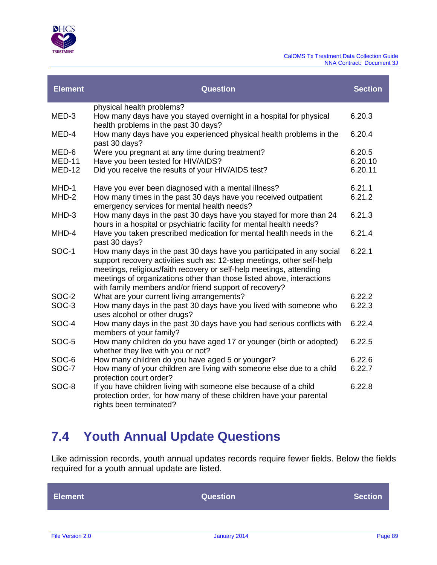

| <b>Element</b>                          | <b>Question</b>                                                                                                                                                                                                                                                                                                                                           | <b>Section</b>               |
|-----------------------------------------|-----------------------------------------------------------------------------------------------------------------------------------------------------------------------------------------------------------------------------------------------------------------------------------------------------------------------------------------------------------|------------------------------|
| MED-3                                   | physical health problems?<br>How many days have you stayed overnight in a hospital for physical<br>health problems in the past 30 days?                                                                                                                                                                                                                   | 6.20.3                       |
| MED-4                                   | How many days have you experienced physical health problems in the<br>past 30 days?                                                                                                                                                                                                                                                                       | 6.20.4                       |
| MED-6<br><b>MED-11</b><br><b>MED-12</b> | Were you pregnant at any time during treatment?<br>Have you been tested for HIV/AIDS?<br>Did you receive the results of your HIV/AIDS test?                                                                                                                                                                                                               | 6.20.5<br>6.20.10<br>6.20.11 |
| MHD-1<br>MHD-2                          | Have you ever been diagnosed with a mental illness?<br>How many times in the past 30 days have you received outpatient<br>emergency services for mental health needs?                                                                                                                                                                                     | 6.21.1<br>6.21.2             |
| MHD-3                                   | How many days in the past 30 days have you stayed for more than 24<br>hours in a hospital or psychiatric facility for mental health needs?                                                                                                                                                                                                                | 6.21.3                       |
| MHD-4                                   | Have you taken prescribed medication for mental health needs in the<br>past 30 days?                                                                                                                                                                                                                                                                      | 6.21.4                       |
| SOC-1                                   | How many days in the past 30 days have you participated in any social<br>support recovery activities such as: 12-step meetings, other self-help<br>meetings, religious/faith recovery or self-help meetings, attending<br>meetings of organizations other than those listed above, interactions<br>with family members and/or friend support of recovery? | 6.22.1                       |
| <b>SOC-2</b>                            | What are your current living arrangements?                                                                                                                                                                                                                                                                                                                | 6.22.2                       |
| SOC-3                                   | How many days in the past 30 days have you lived with someone who<br>uses alcohol or other drugs?                                                                                                                                                                                                                                                         | 6.22.3                       |
| SOC-4                                   | How many days in the past 30 days have you had serious conflicts with<br>members of your family?                                                                                                                                                                                                                                                          | 6.22.4                       |
| SOC-5                                   | How many children do you have aged 17 or younger (birth or adopted)<br>whether they live with you or not?                                                                                                                                                                                                                                                 | 6.22.5                       |
| SOC-6                                   | How many children do you have aged 5 or younger?                                                                                                                                                                                                                                                                                                          | 6.22.6                       |
| SOC-7                                   | How many of your children are living with someone else due to a child<br>protection court order?                                                                                                                                                                                                                                                          | 6.22.7                       |
| SOC-8                                   | If you have children living with someone else because of a child<br>protection order, for how many of these children have your parental<br>rights been terminated?                                                                                                                                                                                        | 6.22.8                       |

# **7.4 Youth Annual Update Questions**

Like admission records, youth annual updates records require fewer fields. Below the fields required for a youth annual update are listed.

| <b>Element</b>   | <b>Question</b> | <b>Section</b> |
|------------------|-----------------|----------------|
|                  |                 |                |
| File Version 2.0 | January 2014    | Page 89        |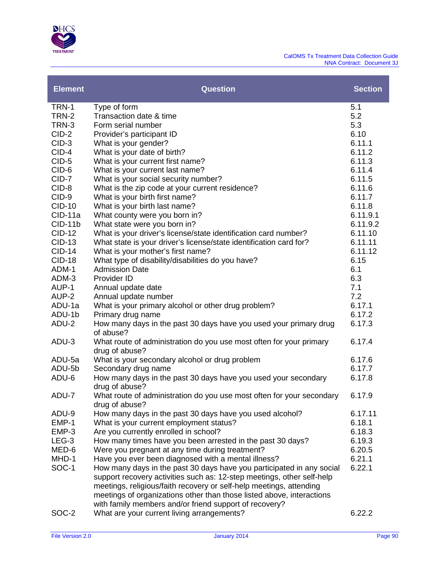

| <b>Element</b> | <b>Question</b>                                                                                                                                                                                                                                                                                 | <b>Section</b> |
|----------------|-------------------------------------------------------------------------------------------------------------------------------------------------------------------------------------------------------------------------------------------------------------------------------------------------|----------------|
| TRN-1          | Type of form                                                                                                                                                                                                                                                                                    | 5.1            |
| TRN-2<br>TRN-3 | Transaction date & time                                                                                                                                                                                                                                                                         | 5.2            |
| $CID-2$        | Form serial number                                                                                                                                                                                                                                                                              | 5.3<br>6.10    |
| $CID-3$        | Provider's participant ID<br>What is your gender?                                                                                                                                                                                                                                               | 6.11.1         |
| $CID-4$        | What is your date of birth?                                                                                                                                                                                                                                                                     | 6.11.2         |
| CID-5          | What is your current first name?                                                                                                                                                                                                                                                                | 6.11.3         |
| CID-6          | What is your current last name?                                                                                                                                                                                                                                                                 | 6.11.4         |
| CID-7          | What is your social security number?                                                                                                                                                                                                                                                            | 6.11.5         |
| CID-8          | What is the zip code at your current residence?                                                                                                                                                                                                                                                 | 6.11.6         |
| CID-9          | What is your birth first name?                                                                                                                                                                                                                                                                  | 6.11.7         |
| <b>CID-10</b>  | What is your birth last name?                                                                                                                                                                                                                                                                   | 6.11.8         |
| CID-11a        | What county were you born in?                                                                                                                                                                                                                                                                   | 6.11.9.1       |
| $CID-11b$      | What state were you born in?                                                                                                                                                                                                                                                                    | 6.11.9.2       |
| <b>CID-12</b>  | What is your driver's license/state identification card number?                                                                                                                                                                                                                                 | 6.11.10        |
| <b>CID-13</b>  | What state is your driver's license/state identification card for?                                                                                                                                                                                                                              | 6.11.11        |
| <b>CID-14</b>  | What is your mother's first name?                                                                                                                                                                                                                                                               | 6.11.12        |
| <b>CID-18</b>  | What type of disability/disabilities do you have?                                                                                                                                                                                                                                               | 6.15           |
| ADM-1          | <b>Admission Date</b><br>Provider ID                                                                                                                                                                                                                                                            | 6.1            |
| ADM-3<br>AUP-1 |                                                                                                                                                                                                                                                                                                 | 6.3<br>7.1     |
| AUP-2          | Annual update date<br>Annual update number                                                                                                                                                                                                                                                      | 7.2            |
| ADU-1a         | What is your primary alcohol or other drug problem?                                                                                                                                                                                                                                             | 6.17.1         |
| ADU-1b         | Primary drug name                                                                                                                                                                                                                                                                               | 6.17.2         |
| ADU-2          | How many days in the past 30 days have you used your primary drug<br>of abuse?                                                                                                                                                                                                                  | 6.17.3         |
| ADU-3          | What route of administration do you use most often for your primary<br>drug of abuse?                                                                                                                                                                                                           | 6.17.4         |
| ADU-5a         | What is your secondary alcohol or drug problem                                                                                                                                                                                                                                                  | 6.17.6         |
| ADU-5b         | Secondary drug name                                                                                                                                                                                                                                                                             | 6.17.7         |
| ADU-6          | How many days in the past 30 days have you used your secondary<br>drug of abuse?                                                                                                                                                                                                                | 6.17.8         |
| ADU-7          | What route of administration do you use most often for your secondary<br>drug of abuse?                                                                                                                                                                                                         | 6.17.9         |
| ADU-9          | How many days in the past 30 days have you used alcohol?                                                                                                                                                                                                                                        | 6.17.11        |
| EMP-1          | What is your current employment status?                                                                                                                                                                                                                                                         | 6.18.1         |
| EMP-3          | Are you currently enrolled in school?                                                                                                                                                                                                                                                           | 6.18.3         |
| LEG-3          | How many times have you been arrested in the past 30 days?                                                                                                                                                                                                                                      | 6.19.3         |
| MED-6          | Were you pregnant at any time during treatment?                                                                                                                                                                                                                                                 | 6.20.5         |
| MHD-1          | Have you ever been diagnosed with a mental illness?                                                                                                                                                                                                                                             | 6.21.1         |
| <b>SOC-1</b>   | How many days in the past 30 days have you participated in any social<br>support recovery activities such as: 12-step meetings, other self-help<br>meetings, religious/faith recovery or self-help meetings, attending<br>meetings of organizations other than those listed above, interactions | 6.22.1         |
|                | with family members and/or friend support of recovery?                                                                                                                                                                                                                                          |                |
| SOC-2          | What are your current living arrangements?                                                                                                                                                                                                                                                      | 6.22.2         |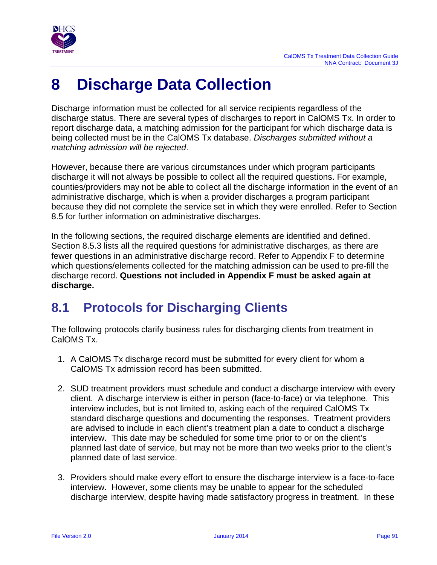

# **8 Discharge Data Collection**

Discharge information must be collected for all service recipients regardless of the discharge status. There are several types of discharges to report in CalOMS Tx. In order to report discharge data, a matching admission for the participant for which discharge data is being collected must be in the CalOMS Tx database. *Discharges submitted without a matching admission will be rejected*.

However, because there are various circumstances under which program participants discharge it will not always be possible to collect all the required questions. For example, counties/providers may not be able to collect all the discharge information in the event of an administrative discharge, which is when a provider discharges a program participant because they did not complete the service set in which they were enrolled. Refer to Section 8.5 for further information on administrative discharges.

In the following sections, the required discharge elements are identified and defined. Section 8.5.3 lists all the required questions for administrative discharges, as there are fewer questions in an administrative discharge record. Refer to Appendix F to determine which questions/elements collected for the matching admission can be used to pre-fill the discharge record. **Questions not included in Appendix F must be asked again at discharge.** 

## **8.1 Protocols for Discharging Clients**

The following protocols clarify business rules for discharging clients from treatment in CalOMS Tx.

- 1. A CalOMS Tx discharge record must be submitted for every client for whom a CalOMS Tx admission record has been submitted.
- 2. SUD treatment providers must schedule and conduct a discharge interview with every client. A discharge interview is either in person (face-to-face) or via telephone. This interview includes, but is not limited to, asking each of the required CalOMS Tx standard discharge questions and documenting the responses. Treatment providers are advised to include in each client's treatment plan a date to conduct a discharge interview. This date may be scheduled for some time prior to or on the client's planned last date of service, but may not be more than two weeks prior to the client's planned date of last service.
- 3. Providers should make every effort to ensure the discharge interview is a face-to-face interview. However, some clients may be unable to appear for the scheduled discharge interview, despite having made satisfactory progress in treatment. In these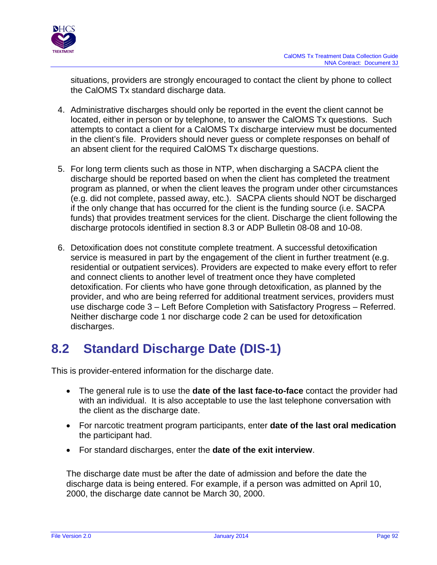

situations, providers are strongly encouraged to contact the client by phone to collect the CalOMS Tx standard discharge data.

- 4. Administrative discharges should only be reported in the event the client cannot be located, either in person or by telephone, to answer the CalOMS Tx questions. Such attempts to contact a client for a CalOMS Tx discharge interview must be documented in the client's file. Providers should never guess or complete responses on behalf of an absent client for the required CalOMS Tx discharge questions.
- 5. For long term clients such as those in NTP, when discharging a SACPA client the discharge should be reported based on when the client has completed the treatment program as planned, or when the client leaves the program under other circumstances (e.g. did not complete, passed away, etc.). SACPA clients should NOT be discharged if the only change that has occurred for the client is the funding source (i.e. SACPA funds) that provides treatment services for the client. Discharge the client following the discharge protocols identified in section 8.3 or ADP Bulletin 08-08 and 10-08.
- 6. Detoxification does not constitute complete treatment. A successful detoxification service is measured in part by the engagement of the client in further treatment (e.g. residential or outpatient services). Providers are expected to make every effort to refer and connect clients to another level of treatment once they have completed detoxification. For clients who have gone through detoxification, as planned by the provider, and who are being referred for additional treatment services, providers must use discharge code 3 – Left Before Completion with Satisfactory Progress – Referred. Neither discharge code 1 nor discharge code 2 can be used for detoxification discharges.

## **8.2 Standard Discharge Date (DIS-1)**

This is provider-entered information for the discharge date.

- The general rule is to use the **date of the last face-to-face** contact the provider had with an individual. It is also acceptable to use the last telephone conversation with the client as the discharge date.
- For narcotic treatment program participants, enter **date of the last oral medication** the participant had.
- For standard discharges, enter the **date of the exit interview**.

The discharge date must be after the date of admission and before the date the discharge data is being entered. For example, if a person was admitted on April 10, 2000, the discharge date cannot be March 30, 2000.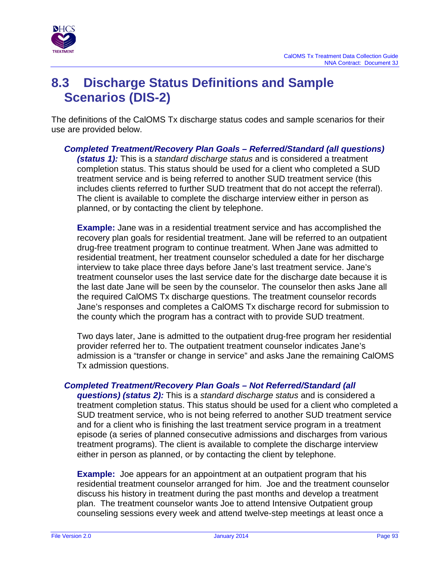

# **8.3 Discharge Status Definitions and Sample Scenarios (DIS-2)**

The definitions of the CalOMS Tx discharge status codes and sample scenarios for their use are provided below.

*Completed Treatment/Recovery Plan Goals – Referred/Standard (all questions) (status 1):* This is a *standard discharge status* and is considered a treatment completion status. This status should be used for a client who completed a SUD treatment service and is being referred to another SUD treatment service (this includes clients referred to further SUD treatment that do not accept the referral). The client is available to complete the discharge interview either in person as planned, or by contacting the client by telephone.

**Example:** Jane was in a residential treatment service and has accomplished the recovery plan goals for residential treatment. Jane will be referred to an outpatient drug-free treatment program to continue treatment. When Jane was admitted to residential treatment, her treatment counselor scheduled a date for her discharge interview to take place three days before Jane's last treatment service. Jane's treatment counselor uses the last service date for the discharge date because it is the last date Jane will be seen by the counselor. The counselor then asks Jane all the required CalOMS Tx discharge questions. The treatment counselor records Jane's responses and completes a CalOMS Tx discharge record for submission to the county which the program has a contract with to provide SUD treatment.

Two days later, Jane is admitted to the outpatient drug-free program her residential provider referred her to. The outpatient treatment counselor indicates Jane's admission is a "transfer or change in service" and asks Jane the remaining CalOMS Tx admission questions.

#### *Completed Treatment/Recovery Plan Goals – Not Referred/Standard (all*

*questions) (status 2):* This is a *standard discharge status* and is considered a treatment completion status. This status should be used for a client who completed a SUD treatment service, who is not being referred to another SUD treatment service and for a client who is finishing the last treatment service program in a treatment episode (a series of planned consecutive admissions and discharges from various treatment programs). The client is available to complete the discharge interview either in person as planned, or by contacting the client by telephone.

**Example:** Joe appears for an appointment at an outpatient program that his residential treatment counselor arranged for him. Joe and the treatment counselor discuss his history in treatment during the past months and develop a treatment plan. The treatment counselor wants Joe to attend Intensive Outpatient group counseling sessions every week and attend twelve-step meetings at least once a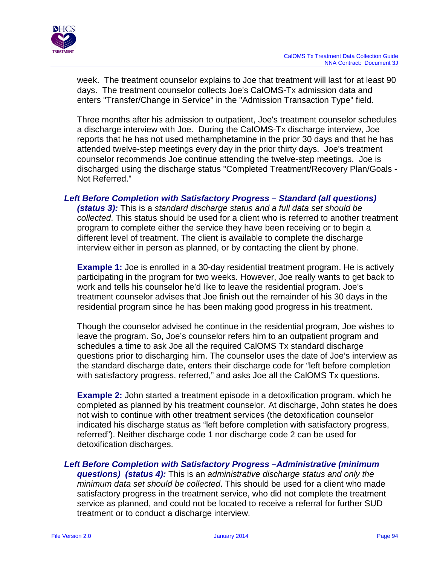

week. The treatment counselor explains to Joe that treatment will last for at least 90 days. The treatment counselor collects Joe's CaIOMS-Tx admission data and enters "Transfer/Change in Service" in the "Admission Transaction Type" field.

Three months after his admission to outpatient, Joe's treatment counselor schedules a discharge interview with Joe. During the CaIOMS-Tx discharge interview, Joe reports that he has not used methamphetamine in the prior 30 days and that he has attended twelve-step meetings every day in the prior thirty days. Joe's treatment counselor recommends Joe continue attending the twelve-step meetings. Joe is discharged using the discharge status "Completed Treatment/Recovery Plan/Goals - Not Referred."

#### *Left Before Completion with Satisfactory Progress – Standard (all questions)*

*(status 3):* This is a *standard discharge status and a full data set should be collected*. This status should be used for a client who is referred to another treatment program to complete either the service they have been receiving or to begin a different level of treatment. The client is available to complete the discharge interview either in person as planned, or by contacting the client by phone.

**Example 1:** Joe is enrolled in a 30-day residential treatment program. He is actively participating in the program for two weeks. However, Joe really wants to get back to work and tells his counselor he'd like to leave the residential program. Joe's treatment counselor advises that Joe finish out the remainder of his 30 days in the residential program since he has been making good progress in his treatment.

Though the counselor advised he continue in the residential program, Joe wishes to leave the program. So, Joe's counselor refers him to an outpatient program and schedules a time to ask Joe all the required CalOMS Tx standard discharge questions prior to discharging him. The counselor uses the date of Joe's interview as the standard discharge date, enters their discharge code for "left before completion with satisfactory progress, referred," and asks Joe all the CalOMS Tx questions.

**Example 2:** John started a treatment episode in a detoxification program, which he completed as planned by his treatment counselor. At discharge, John states he does not wish to continue with other treatment services (the detoxification counselor indicated his discharge status as "left before completion with satisfactory progress, referred"). Neither discharge code 1 nor discharge code 2 can be used for detoxification discharges.

#### *Left Before Completion with Satisfactory Progress –Administrative (minimum*

*questions) (status 4):* This is an *administrative discharge status and only the minimum data set should be collected*. This should be used for a client who made satisfactory progress in the treatment service, who did not complete the treatment service as planned, and could not be located to receive a referral for further SUD treatment or to conduct a discharge interview.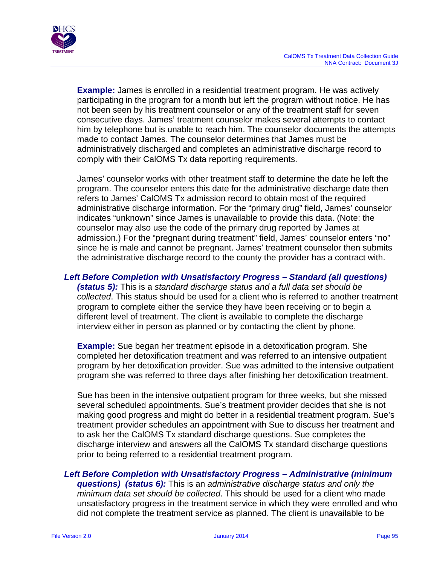

**Example:** James is enrolled in a residential treatment program. He was actively participating in the program for a month but left the program without notice. He has not been seen by his treatment counselor or any of the treatment staff for seven consecutive days. James' treatment counselor makes several attempts to contact him by telephone but is unable to reach him. The counselor documents the attempts made to contact James. The counselor determines that James must be administratively discharged and completes an administrative discharge record to comply with their CalOMS Tx data reporting requirements.

James' counselor works with other treatment staff to determine the date he left the program. The counselor enters this date for the administrative discharge date then refers to James' CalOMS Tx admission record to obtain most of the required administrative discharge information. For the "primary drug" field, James' counselor indicates "unknown" since James is unavailable to provide this data. (Note: the counselor may also use the code of the primary drug reported by James at admission.) For the "pregnant during treatment" field, James' counselor enters "no" since he is male and cannot be pregnant. James' treatment counselor then submits the administrative discharge record to the county the provider has a contract with.

*Left Before Completion with Unsatisfactory Progress – Standard (all questions) (status 5):* This is a *standard discharge status and a full data set should be collected*. This status should be used for a client who is referred to another treatment program to complete either the service they have been receiving or to begin a different level of treatment. The client is available to complete the discharge interview either in person as planned or by contacting the client by phone.

**Example:** Sue began her treatment episode in a detoxification program. She completed her detoxification treatment and was referred to an intensive outpatient program by her detoxification provider. Sue was admitted to the intensive outpatient program she was referred to three days after finishing her detoxification treatment.

Sue has been in the intensive outpatient program for three weeks, but she missed several scheduled appointments. Sue's treatment provider decides that she is not making good progress and might do better in a residential treatment program. Sue's treatment provider schedules an appointment with Sue to discuss her treatment and to ask her the CalOMS Tx standard discharge questions. Sue completes the discharge interview and answers all the CalOMS Tx standard discharge questions prior to being referred to a residential treatment program.

#### *Left Before Completion with Unsatisfactory Progress – Administrative (minimum*

*questions) (status 6):* This is an *administrative discharge status and only the minimum data set should be collected*. This should be used for a client who made unsatisfactory progress in the treatment service in which they were enrolled and who did not complete the treatment service as planned. The client is unavailable to be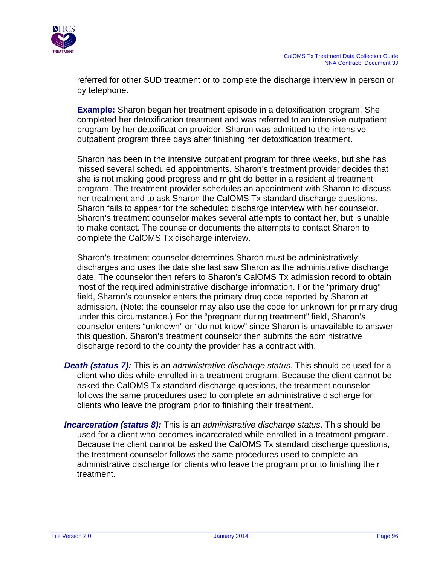

referred for other SUD treatment or to complete the discharge interview in person or by telephone.

**Example:** Sharon began her treatment episode in a detoxification program. She completed her detoxification treatment and was referred to an intensive outpatient program by her detoxification provider. Sharon was admitted to the intensive outpatient program three days after finishing her detoxification treatment.

Sharon has been in the intensive outpatient program for three weeks, but she has missed several scheduled appointments. Sharon's treatment provider decides that she is not making good progress and might do better in a residential treatment program. The treatment provider schedules an appointment with Sharon to discuss her treatment and to ask Sharon the CalOMS Tx standard discharge questions. Sharon fails to appear for the scheduled discharge interview with her counselor. Sharon's treatment counselor makes several attempts to contact her, but is unable to make contact. The counselor documents the attempts to contact Sharon to complete the CalOMS Tx discharge interview.

Sharon's treatment counselor determines Sharon must be administratively discharges and uses the date she last saw Sharon as the administrative discharge date. The counselor then refers to Sharon's CalOMS Tx admission record to obtain most of the required administrative discharge information. For the "primary drug" field, Sharon's counselor enters the primary drug code reported by Sharon at admission. (Note: the counselor may also use the code for unknown for primary drug under this circumstance.) For the "pregnant during treatment" field, Sharon's counselor enters "unknown" or "do not know" since Sharon is unavailable to answer this question. Sharon's treatment counselor then submits the administrative discharge record to the county the provider has a contract with.

*Death (status 7):* This is an *administrative discharge status*. This should be used for a client who dies while enrolled in a treatment program. Because the client cannot be asked the CalOMS Tx standard discharge questions, the treatment counselor follows the same procedures used to complete an administrative discharge for clients who leave the program prior to finishing their treatment.

*Incarceration (status 8):* This is an *administrative discharge status*. This should be used for a client who becomes incarcerated while enrolled in a treatment program. Because the client cannot be asked the CalOMS Tx standard discharge questions, the treatment counselor follows the same procedures used to complete an administrative discharge for clients who leave the program prior to finishing their treatment.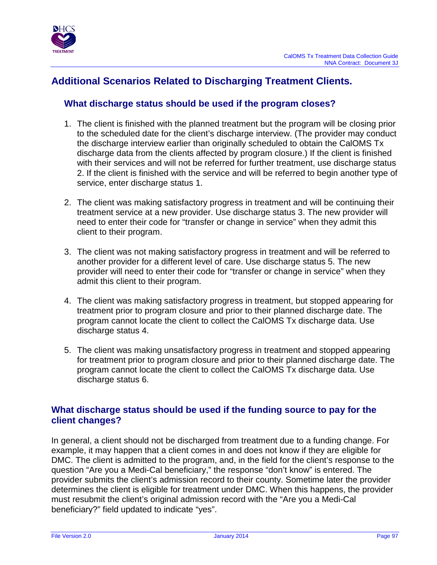

#### **Additional Scenarios Related to Discharging Treatment Clients.**

#### **What discharge status should be used if the program closes?**

- 1. The client is finished with the planned treatment but the program will be closing prior to the scheduled date for the client's discharge interview. (The provider may conduct the discharge interview earlier than originally scheduled to obtain the CalOMS Tx discharge data from the clients affected by program closure.) If the client is finished with their services and will not be referred for further treatment, use discharge status 2. If the client is finished with the service and will be referred to begin another type of service, enter discharge status 1.
- 2. The client was making satisfactory progress in treatment and will be continuing their treatment service at a new provider. Use discharge status 3. The new provider will need to enter their code for "transfer or change in service" when they admit this client to their program.
- 3. The client was not making satisfactory progress in treatment and will be referred to another provider for a different level of care. Use discharge status 5. The new provider will need to enter their code for "transfer or change in service" when they admit this client to their program.
- 4. The client was making satisfactory progress in treatment, but stopped appearing for treatment prior to program closure and prior to their planned discharge date. The program cannot locate the client to collect the CalOMS Tx discharge data. Use discharge status 4.
- 5. The client was making unsatisfactory progress in treatment and stopped appearing for treatment prior to program closure and prior to their planned discharge date. The program cannot locate the client to collect the CalOMS Tx discharge data. Use discharge status 6.

#### **What discharge status should be used if the funding source to pay for the client changes?**

In general, a client should not be discharged from treatment due to a funding change. For example, it may happen that a client comes in and does not know if they are eligible for DMC. The client is admitted to the program, and, in the field for the client's response to the question "Are you a Medi-Cal beneficiary," the response "don't know" is entered. The provider submits the client's admission record to their county. Sometime later the provider determines the client is eligible for treatment under DMC. When this happens, the provider must resubmit the client's original admission record with the "Are you a Medi-Cal beneficiary?" field updated to indicate "yes".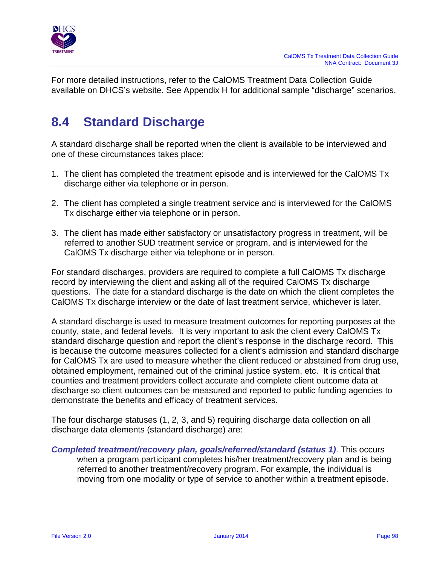

For more detailed instructions, refer to the CalOMS Treatment Data Collection Guide available on DHCS's website. See Appendix H for additional sample "discharge" scenarios.

# **8.4 Standard Discharge**

A standard discharge shall be reported when the client is available to be interviewed and one of these circumstances takes place:

- 1. The client has completed the treatment episode and is interviewed for the CalOMS Tx discharge either via telephone or in person.
- 2. The client has completed a single treatment service and is interviewed for the CalOMS Tx discharge either via telephone or in person.
- 3. The client has made either satisfactory or unsatisfactory progress in treatment, will be referred to another SUD treatment service or program, and is interviewed for the CalOMS Tx discharge either via telephone or in person.

For standard discharges, providers are required to complete a full CalOMS Tx discharge record by interviewing the client and asking all of the required CalOMS Tx discharge questions. The date for a standard discharge is the date on which the client completes the CalOMS Tx discharge interview or the date of last treatment service, whichever is later.

A standard discharge is used to measure treatment outcomes for reporting purposes at the county, state, and federal levels. It is very important to ask the client every CalOMS Tx standard discharge question and report the client's response in the discharge record. This is because the outcome measures collected for a client's admission and standard discharge for CalOMS Tx are used to measure whether the client reduced or abstained from drug use, obtained employment, remained out of the criminal justice system, etc. It is critical that counties and treatment providers collect accurate and complete client outcome data at discharge so client outcomes can be measured and reported to public funding agencies to demonstrate the benefits and efficacy of treatment services.

The four discharge statuses (1, 2, 3, and 5) requiring discharge data collection on all discharge data elements (standard discharge) are:

*Completed treatment/recovery plan, goals/referred/standard (status 1)*. This occurs when a program participant completes his/her treatment/recovery plan and is being referred to another treatment/recovery program. For example, the individual is moving from one modality or type of service to another within a treatment episode.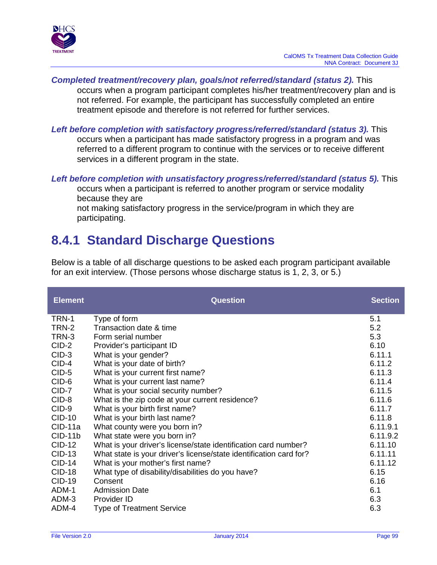

*Completed treatment/recovery plan, goals/not referred/standard (status 2).* This occurs when a program participant completes his/her treatment/recovery plan and is not referred. For example, the participant has successfully completed an entire treatment episode and therefore is not referred for further services.

*Left before completion with satisfactory progress/referred/standard (status 3).* This

occurs when a participant has made satisfactory progress in a program and was referred to a different program to continue with the services or to receive different services in a different program in the state.

#### *Left before completion with unsatisfactory progress/referred/standard (status 5).* This

occurs when a participant is referred to another program or service modality because they are

not making satisfactory progress in the service/program in which they are participating.

#### **8.4.1 Standard Discharge Questions**

Below is a table of all discharge questions to be asked each program participant available for an exit interview. (Those persons whose discharge status is 1, 2, 3, or 5.)

| <b>Element</b> | <b>Question</b>                                                    | <b>Section</b> |
|----------------|--------------------------------------------------------------------|----------------|
| TRN-1          | Type of form                                                       | 5.1            |
| TRN-2          | Transaction date & time                                            | 5.2            |
| TRN-3          | Form serial number                                                 | 5.3            |
| $CID-2$        | Provider's participant ID                                          | 6.10           |
| $CID-3$        | What is your gender?                                               | 6.11.1         |
| CID-4          | What is your date of birth?                                        | 6.11.2         |
| CID-5          | What is your current first name?                                   | 6.11.3         |
| CID-6          | What is your current last name?                                    | 6.11.4         |
| CID-7          | What is your social security number?                               | 6.11.5         |
| CID-8          | What is the zip code at your current residence?                    | 6.11.6         |
| CID-9          | What is your birth first name?                                     | 6.11.7         |
| $CID-10$       | What is your birth last name?                                      | 6.11.8         |
| $CID-11a$      | What county were you born in?                                      | 6.11.9.1       |
| $CID-11b$      | What state were you born in?                                       | 6.11.9.2       |
| CID-12         | What is your driver's license/state identification card number?    | 6.11.10        |
| <b>CID-13</b>  | What state is your driver's license/state identification card for? | 6.11.11        |
| $CID-14$       | What is your mother's first name?                                  | 6.11.12        |
| <b>CID-18</b>  | What type of disability/disabilities do you have?                  | 6.15           |
| CID-19         | Consent                                                            | 6.16           |
| ADM-1          | <b>Admission Date</b>                                              | 6.1            |
| ADM-3          | Provider ID                                                        | 6.3            |
| ADM-4          | <b>Type of Treatment Service</b>                                   | 6.3            |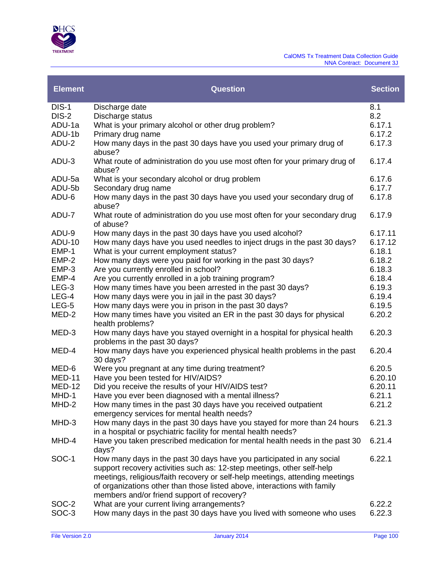

| <b>Element</b> | <b>Question</b>                                                                                                                                                                                                                                                                                                                                                    | <b>Section</b> |
|----------------|--------------------------------------------------------------------------------------------------------------------------------------------------------------------------------------------------------------------------------------------------------------------------------------------------------------------------------------------------------------------|----------------|
| <b>DIS-1</b>   | Discharge date                                                                                                                                                                                                                                                                                                                                                     | 8.1            |
| DIS-2          | Discharge status                                                                                                                                                                                                                                                                                                                                                   | 8.2            |
| ADU-1a         | What is your primary alcohol or other drug problem?                                                                                                                                                                                                                                                                                                                | 6.17.1         |
| ADU-1b         | Primary drug name                                                                                                                                                                                                                                                                                                                                                  | 6.17.2         |
| ADU-2          | How many days in the past 30 days have you used your primary drug of<br>abuse?                                                                                                                                                                                                                                                                                     | 6.17.3         |
| ADU-3          | What route of administration do you use most often for your primary drug of<br>abuse?                                                                                                                                                                                                                                                                              | 6.17.4         |
| ADU-5a         | What is your secondary alcohol or drug problem                                                                                                                                                                                                                                                                                                                     | 6.17.6         |
| ADU-5b         | Secondary drug name                                                                                                                                                                                                                                                                                                                                                | 6.17.7         |
| ADU-6          | How many days in the past 30 days have you used your secondary drug of<br>abuse?                                                                                                                                                                                                                                                                                   | 6.17.8         |
| ADU-7          | What route of administration do you use most often for your secondary drug<br>of abuse?                                                                                                                                                                                                                                                                            | 6.17.9         |
| ADU-9          | How many days in the past 30 days have you used alcohol?                                                                                                                                                                                                                                                                                                           | 6.17.11        |
| <b>ADU-10</b>  | How many days have you used needles to inject drugs in the past 30 days?                                                                                                                                                                                                                                                                                           | 6.17.12        |
| EMP-1          | What is your current employment status?                                                                                                                                                                                                                                                                                                                            | 6.18.1         |
| EMP-2          | How many days were you paid for working in the past 30 days?                                                                                                                                                                                                                                                                                                       | 6.18.2         |
| EMP-3          | Are you currently enrolled in school?                                                                                                                                                                                                                                                                                                                              | 6.18.3         |
| EMP-4          | Are you currently enrolled in a job training program?                                                                                                                                                                                                                                                                                                              | 6.18.4         |
| $LEG-3$        | How many times have you been arrested in the past 30 days?                                                                                                                                                                                                                                                                                                         | 6.19.3         |
| LEG-4          | How many days were you in jail in the past 30 days?                                                                                                                                                                                                                                                                                                                | 6.19.4         |
| LEG-5          | How many days were you in prison in the past 30 days?                                                                                                                                                                                                                                                                                                              | 6.19.5         |
| MED-2          | How many times have you visited an ER in the past 30 days for physical                                                                                                                                                                                                                                                                                             | 6.20.2         |
|                | health problems?                                                                                                                                                                                                                                                                                                                                                   |                |
| MED-3          | How many days have you stayed overnight in a hospital for physical health<br>problems in the past 30 days?                                                                                                                                                                                                                                                         | 6.20.3         |
| MED-4          | How many days have you experienced physical health problems in the past<br>30 days?                                                                                                                                                                                                                                                                                | 6.20.4         |
| MED-6          | Were you pregnant at any time during treatment?                                                                                                                                                                                                                                                                                                                    | 6.20.5         |
| <b>MED-11</b>  | Have you been tested for HIV/AIDS?                                                                                                                                                                                                                                                                                                                                 | 6.20.10        |
| MED-12         | Did you receive the results of your HIV/AIDS test?                                                                                                                                                                                                                                                                                                                 | 6.20.11        |
| MHD-1          | Have you ever been diagnosed with a mental illness?                                                                                                                                                                                                                                                                                                                | 6.21.1         |
| MHD-2          | How many times in the past 30 days have you received outpatient<br>emergency services for mental health needs?                                                                                                                                                                                                                                                     | 6.21.2         |
| MHD-3          | How many days in the past 30 days have you stayed for more than 24 hours<br>in a hospital or psychiatric facility for mental health needs?                                                                                                                                                                                                                         | 6.21.3         |
| MHD-4          | Have you taken prescribed medication for mental health needs in the past 30                                                                                                                                                                                                                                                                                        | 6.21.4         |
| SOC-1          | days?<br>How many days in the past 30 days have you participated in any social<br>support recovery activities such as: 12-step meetings, other self-help<br>meetings, religious/faith recovery or self-help meetings, attending meetings<br>of organizations other than those listed above, interactions with family<br>members and/or friend support of recovery? | 6.22.1         |
| SOC-2          | What are your current living arrangements?                                                                                                                                                                                                                                                                                                                         | 6.22.2         |
| SOC-3          | How many days in the past 30 days have you lived with someone who uses                                                                                                                                                                                                                                                                                             | 6.22.3         |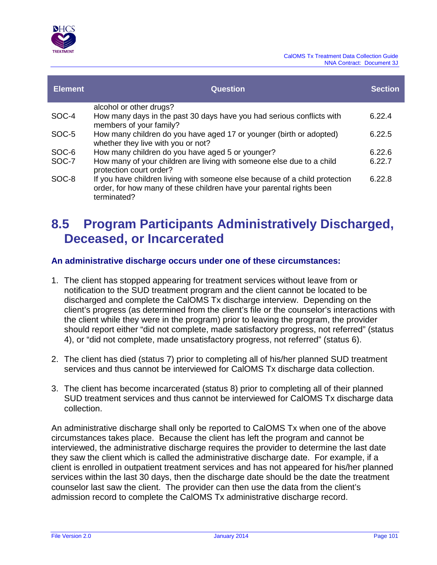

| <b>Element</b> | <b>Question</b>                                                                                                                                                    | <b>Section</b> |
|----------------|--------------------------------------------------------------------------------------------------------------------------------------------------------------------|----------------|
| SOC-4          | alcohol or other drugs?<br>How many days in the past 30 days have you had serious conflicts with                                                                   | 6.22.4         |
| SOC-5          | members of your family?<br>How many children do you have aged 17 or younger (birth or adopted)                                                                     | 6.22.5         |
|                | whether they live with you or not?                                                                                                                                 |                |
| SOC-6          | How many children do you have aged 5 or younger?                                                                                                                   | 6.22.6         |
| SOC-7          | How many of your children are living with someone else due to a child<br>protection court order?                                                                   | 6.22.7         |
| SOC-8          | If you have children living with someone else because of a child protection<br>order, for how many of these children have your parental rights been<br>terminated? | 6.22.8         |

#### **8.5 Program Participants Administratively Discharged, Deceased, or Incarcerated**

#### **An administrative discharge occurs under one of these circumstances:**

- 1. The client has stopped appearing for treatment services without leave from or notification to the SUD treatment program and the client cannot be located to be discharged and complete the CalOMS Tx discharge interview. Depending on the client's progress (as determined from the client's file or the counselor's interactions with the client while they were in the program) prior to leaving the program, the provider should report either "did not complete, made satisfactory progress, not referred" (status 4), or "did not complete, made unsatisfactory progress, not referred" (status 6).
- 2. The client has died (status 7) prior to completing all of his/her planned SUD treatment services and thus cannot be interviewed for CalOMS Tx discharge data collection.
- 3. The client has become incarcerated (status 8) prior to completing all of their planned SUD treatment services and thus cannot be interviewed for CalOMS Tx discharge data collection.

An administrative discharge shall only be reported to CalOMS Tx when one of the above circumstances takes place. Because the client has left the program and cannot be interviewed, the administrative discharge requires the provider to determine the last date they saw the client which is called the administrative discharge date. For example, if a client is enrolled in outpatient treatment services and has not appeared for his/her planned services within the last 30 days, then the discharge date should be the date the treatment counselor last saw the client. The provider can then use the data from the client's admission record to complete the CalOMS Tx administrative discharge record.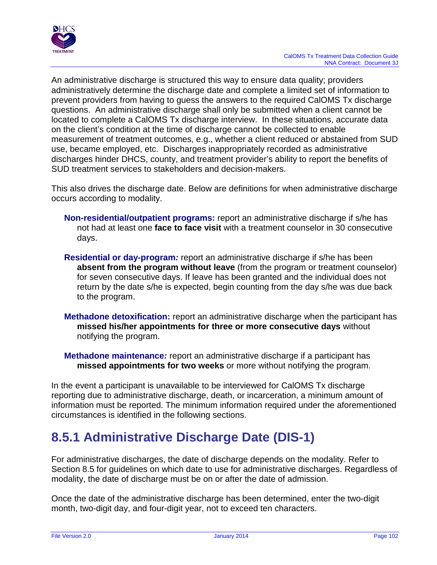

An administrative discharge is structured this way to ensure data quality; providers administratively determine the discharge date and complete a limited set of information to prevent providers from having to guess the answers to the required CalOMS Tx discharge questions. An administrative discharge shall only be submitted when a client cannot be located to complete a CalOMS Tx discharge interview. In these situations, accurate data on the client's condition at the time of discharge cannot be collected to enable measurement of treatment outcomes, e.g., whether a client reduced or abstained from SUD use, became employed, etc. Discharges inappropriately recorded as administrative discharges hinder DHCS, county, and treatment provider's ability to report the benefits of SUD treatment services to stakeholders and decision-makers.

This also drives the discharge date. Below are definitions for when administrative discharge occurs according to modality.

- **Non-residential/outpatient programs:** report an administrative discharge if s/he has not had at least one **face to face visit** with a treatment counselor in 30 consecutive days.
- **Residential or day-program***:* report an administrative discharge if s/he has been **absent from the program without leave** (from the program or treatment counselor) for seven consecutive days. If leave has been granted and the individual does not return by the date s/he is expected, begin counting from the day s/he was due back to the program.
- **Methadone detoxification:** report an administrative discharge when the participant has **missed his/her appointments for three or more consecutive days** without notifying the program.
- **Methadone maintenance***:* report an administrative discharge if a participant has **missed appointments for two weeks** or more without notifying the program.

In the event a participant is unavailable to be interviewed for CalOMS Tx discharge reporting due to administrative discharge, death, or incarceration, a minimum amount of information must be reported. The minimum information required under the aforementioned circumstances is identified in the following sections.

### **8.5.1 Administrative Discharge Date (DIS-1)**

For administrative discharges, the date of discharge depends on the modality. Refer to Section 8.5 for guidelines on which date to use for administrative discharges. Regardless of modality, the date of discharge must be on or after the date of admission.

Once the date of the administrative discharge has been determined, enter the two-digit month, two-digit day, and four-digit year, not to exceed ten characters.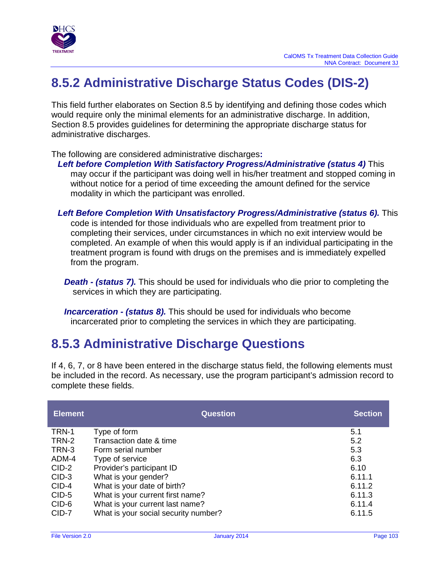

### **8.5.2 Administrative Discharge Status Codes (DIS-2)**

This field further elaborates on Section 8.5 by identifying and defining those codes which would require only the minimal elements for an administrative discharge. In addition, Section 8.5 provides guidelines for determining the appropriate discharge status for administrative discharges.

The following are considered administrative discharges**:**

*Left before Completion With Satisfactory Progress/Administrative (status 4)* This may occur if the participant was doing well in his/her treatment and stopped coming in without notice for a period of time exceeding the amount defined for the service modality in which the participant was enrolled.

*Left Before Completion With Unsatisfactory Progress/Administrative (status 6).* This

code is intended for those individuals who are expelled from treatment prior to completing their services, under circumstances in which no exit interview would be completed. An example of when this would apply is if an individual participating in the treatment program is found with drugs on the premises and is immediately expelled from the program.

*Death - (status 7).* This should be used for individuals who die prior to completing the services in which they are participating.

*Incarceration - (status 8).* This should be used for individuals who become incarcerated prior to completing the services in which they are participating.

### **8.5.3 Administrative Discharge Questions**

If 4, 6, 7, or 8 have been entered in the discharge status field, the following elements must be included in the record. As necessary, use the program participant's admission record to complete these fields.

| <b>Element</b> | <b>Question</b>                      | <b>Section</b> |
|----------------|--------------------------------------|----------------|
| TRN-1          | Type of form                         | 5.1            |
| TRN-2          | Transaction date & time              | 5.2            |
| TRN-3          | Form serial number                   | 5.3            |
| ADM-4          | Type of service                      | 6.3            |
| CID-2          | Provider's participant ID            | 6.10           |
| $CID-3$        | What is your gender?                 | 6.11.1         |
| CID-4          | What is your date of birth?          | 6.11.2         |
| CID-5          | What is your current first name?     | 6.11.3         |
| CID-6          | What is your current last name?      | 6.11.4         |
| CID-7          | What is your social security number? | 6.11.5         |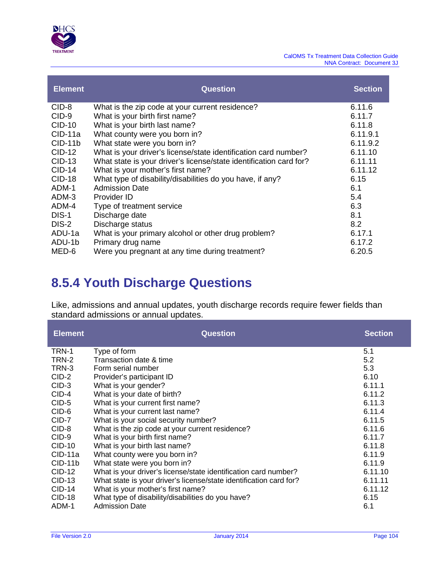

| <b>Element</b> | <b>Question</b>                                                    | <b>Section</b> |
|----------------|--------------------------------------------------------------------|----------------|
| CID-8          | What is the zip code at your current residence?                    | 6.11.6         |
| CID-9          | What is your birth first name?                                     | 6.11.7         |
| $CID-10$       | What is your birth last name?                                      | 6.11.8         |
| CID-11a        | What county were you born in?                                      | 6.11.9.1       |
| $CID-11b$      | What state were you born in?                                       | 6.11.9.2       |
| CID-12         | What is your driver's license/state identification card number?    | 6.11.10        |
| <b>CID-13</b>  | What state is your driver's license/state identification card for? | 6.11.11        |
| $CID-14$       | What is your mother's first name?                                  | 6.11.12        |
| $CID-18$       | What type of disability/disabilities do you have, if any?          | 6.15           |
| ADM-1          | <b>Admission Date</b>                                              | 6.1            |
| ADM-3          | Provider ID                                                        | 5.4            |
| ADM-4          | Type of treatment service                                          | 6.3            |
| <b>DIS-1</b>   | Discharge date                                                     | 8.1            |
| DIS-2          | Discharge status                                                   | 8.2            |
| ADU-1a         | What is your primary alcohol or other drug problem?                | 6.17.1         |
| ADU-1b         | Primary drug name                                                  | 6.17.2         |
| MED-6          | Were you pregnant at any time during treatment?                    | 6.20.5         |

### **8.5.4 Youth Discharge Questions**

Like, admissions and annual updates, youth discharge records require fewer fields than standard admissions or annual updates.

| <b>Element</b> | <b>Question</b>                                                    | <b>Section</b> |
|----------------|--------------------------------------------------------------------|----------------|
| TRN-1          | Type of form                                                       | 5.1            |
| TRN-2          | Transaction date & time                                            | 5.2            |
| TRN-3          | Form serial number                                                 | 5.3            |
| $CID-2$        | Provider's participant ID                                          | 6.10           |
| $CID-3$        | What is your gender?                                               | 6.11.1         |
| $CID-4$        | What is your date of birth?                                        | 6.11.2         |
| $CID-5$        | What is your current first name?                                   | 6.11.3         |
| CID-6          | What is your current last name?                                    | 6.11.4         |
| CID-7          | What is your social security number?                               | 6.11.5         |
| CID-8          | What is the zip code at your current residence?                    | 6.11.6         |
| CID-9          | What is your birth first name?                                     | 6.11.7         |
| CID-10         | What is your birth last name?                                      | 6.11.8         |
| $CID-11a$      | What county were you born in?                                      | 6.11.9         |
| $CID-11b$      | What state were you born in?                                       | 6.11.9         |
| CID-12         | What is your driver's license/state identification card number?    | 6.11.10        |
| <b>CID-13</b>  | What state is your driver's license/state identification card for? | 6.11.11        |
| $CID-14$       | What is your mother's first name?                                  | 6.11.12        |
| $CID-18$       | What type of disability/disabilities do you have?                  | 6.15           |
| ADM-1          | <b>Admission Date</b>                                              | 6.1            |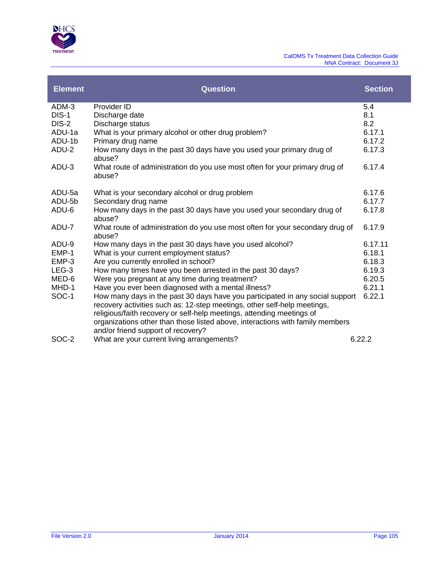

| <b>Element</b> | <b>Question</b>                                                                                                                                                                                                                                                                                                                                                     | <b>Section</b> |  |  |  |  |  |
|----------------|---------------------------------------------------------------------------------------------------------------------------------------------------------------------------------------------------------------------------------------------------------------------------------------------------------------------------------------------------------------------|----------------|--|--|--|--|--|
| ADM-3          | Provider ID                                                                                                                                                                                                                                                                                                                                                         | 5.4            |  |  |  |  |  |
| <b>DIS-1</b>   | Discharge date                                                                                                                                                                                                                                                                                                                                                      | 8.1            |  |  |  |  |  |
| DIS-2          | Discharge status                                                                                                                                                                                                                                                                                                                                                    | 8.2            |  |  |  |  |  |
| ADU-1a         | What is your primary alcohol or other drug problem?                                                                                                                                                                                                                                                                                                                 | 6.17.1         |  |  |  |  |  |
| ADU-1b         | Primary drug name                                                                                                                                                                                                                                                                                                                                                   | 6.17.2         |  |  |  |  |  |
| ADU-2          | How many days in the past 30 days have you used your primary drug of<br>abuse?                                                                                                                                                                                                                                                                                      | 6.17.3         |  |  |  |  |  |
| ADU-3          | What route of administration do you use most often for your primary drug of<br>abuse?                                                                                                                                                                                                                                                                               | 6.17.4         |  |  |  |  |  |
| ADU-5a         | What is your secondary alcohol or drug problem                                                                                                                                                                                                                                                                                                                      | 6.17.6         |  |  |  |  |  |
| ADU-5b         | Secondary drug name                                                                                                                                                                                                                                                                                                                                                 | 6.17.7         |  |  |  |  |  |
| ADU-6          | How many days in the past 30 days have you used your secondary drug of<br>abuse?                                                                                                                                                                                                                                                                                    | 6.17.8         |  |  |  |  |  |
| ADU-7          | What route of administration do you use most often for your secondary drug of<br>abuse?                                                                                                                                                                                                                                                                             | 6.17.9         |  |  |  |  |  |
| ADU-9          | How many days in the past 30 days have you used alcohol?                                                                                                                                                                                                                                                                                                            | 6.17.11        |  |  |  |  |  |
| EMP-1          | What is your current employment status?                                                                                                                                                                                                                                                                                                                             | 6.18.1         |  |  |  |  |  |
| EMP-3          | Are you currently enrolled in school?                                                                                                                                                                                                                                                                                                                               | 6.18.3         |  |  |  |  |  |
| LEG-3          | How many times have you been arrested in the past 30 days?                                                                                                                                                                                                                                                                                                          | 6.19.3         |  |  |  |  |  |
| MED-6          | Were you pregnant at any time during treatment?                                                                                                                                                                                                                                                                                                                     | 6.20.5         |  |  |  |  |  |
| MHD-1          | Have you ever been diagnosed with a mental illness?                                                                                                                                                                                                                                                                                                                 | 6.21.1         |  |  |  |  |  |
| SOC-1          | How many days in the past 30 days have you participated in any social support<br>6.22.1<br>recovery activities such as: 12-step meetings, other self-help meetings,<br>religious/faith recovery or self-help meetings, attending meetings of<br>organizations other than those listed above, interactions with family members<br>and/or friend support of recovery? |                |  |  |  |  |  |
| SOC-2          | 6.22.2<br>What are your current living arrangements?                                                                                                                                                                                                                                                                                                                |                |  |  |  |  |  |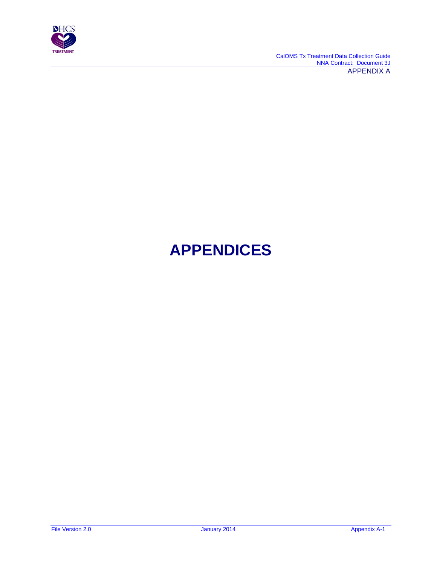

CalOMS Tx Treatment Data Collection Guide NNA Contract: Document 3J

APPENDIX A

# **APPENDICES**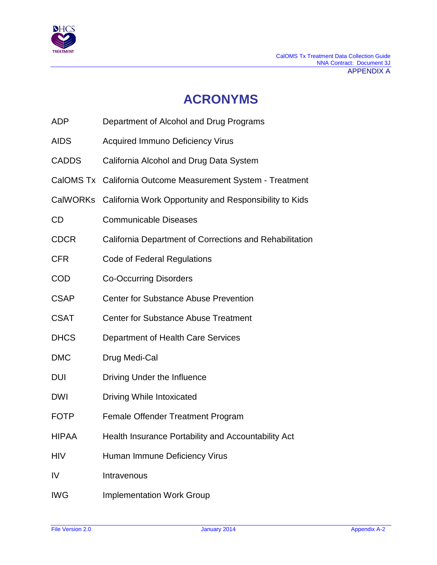

### **ACRONYMS**

| ADP | Department of Alcohol and Drug Programs |
|-----|-----------------------------------------|
|     |                                         |

- AIDS Acquired Immuno Deficiency Virus
- CADDS California Alcohol and Drug Data System
- CalOMS Tx California Outcome Measurement System Treatment
- CalWORKs California Work Opportunity and Responsibility to Kids
- CD Communicable Diseases
- CDCR California Department of Corrections and Rehabilitation
- CFR Code of Federal Regulations
- COD Co-Occurring Disorders
- CSAP Center for Substance Abuse Prevention
- CSAT Center for Substance Abuse Treatment
- DHCS Department of Health Care Services
- DMC Drug Medi-Cal
- DUI Driving Under the Influence
- DWI Driving While Intoxicated
- FOTP Female Offender Treatment Program
- HIPAA Health Insurance Portability and Accountability Act
- HIV Human Immune Deficiency Virus
- IV Intravenous
- IWG Implementation Work Group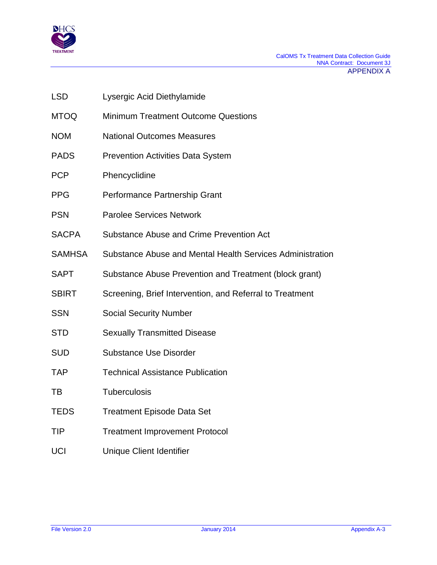

| <b>LSD</b>    | Lysergic Acid Diethylamide                                |
|---------------|-----------------------------------------------------------|
| <b>MTOQ</b>   | <b>Minimum Treatment Outcome Questions</b>                |
| <b>NOM</b>    | <b>National Outcomes Measures</b>                         |
| <b>PADS</b>   | <b>Prevention Activities Data System</b>                  |
| <b>PCP</b>    | Phencyclidine                                             |
| <b>PPG</b>    | Performance Partnership Grant                             |
| <b>PSN</b>    | <b>Parolee Services Network</b>                           |
| <b>SACPA</b>  | <b>Substance Abuse and Crime Prevention Act</b>           |
| <b>SAMHSA</b> | Substance Abuse and Mental Health Services Administration |
| <b>SAPT</b>   | Substance Abuse Prevention and Treatment (block grant)    |
| <b>SBIRT</b>  | Screening, Brief Intervention, and Referral to Treatment  |
| <b>SSN</b>    | <b>Social Security Number</b>                             |
| <b>STD</b>    | <b>Sexually Transmitted Disease</b>                       |
| <b>SUD</b>    | <b>Substance Use Disorder</b>                             |
| <b>TAP</b>    | <b>Technical Assistance Publication</b>                   |
| TB            | <b>Tuberculosis</b>                                       |
| <b>TEDS</b>   | <b>Treatment Episode Data Set</b>                         |
| <b>TIP</b>    | <b>Treatment Improvement Protocol</b>                     |
| <b>UCI</b>    | <b>Unique Client Identifier</b>                           |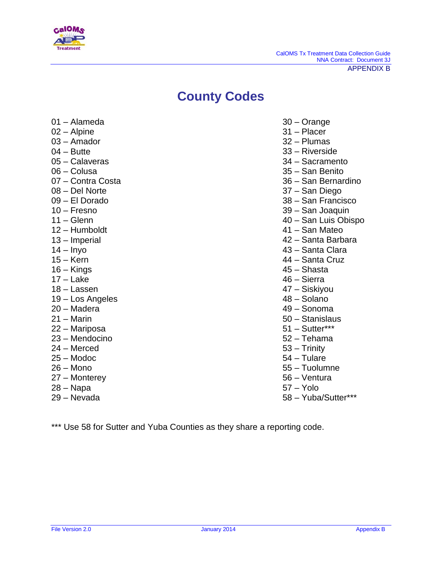

## **County Codes**

- 01 Alameda
- 02 Alpine
- 03 Amador
- 04 Butte
- 05 Calaveras
- 06 Colusa
- 07 Contra Costa
- 08 Del Norte
- 09 El Dorado
- 10 Fresno
- 11 Glenn
- 12 Humboldt
- 13 Imperial
- $14 -$  Inyo
- 15 Kern
- $16 -$ Kings
- $17 -$ Lake
- 18 Lassen
- 19 Los Angeles
- 20 Madera
- 21 Marin
- 22 Mariposa
- 23 Mendocino
- 24 Merced
- 25 Modoc
- 26 Mono
- 27 Monterey
- 28 Napa
- 29 Nevada
- 30 Orange
- 31 Placer
- 32 Plumas
- 33 Riverside
- 34 Sacramento
- 35 San Benito
- 36 San Bernardino
- 37 San Diego
- 38 San Francisco
- 39 San Joaquin
- 40 San Luis Obispo
- 41 San Mateo
- 42 Santa Barbara
- 43 Santa Clara
- 44 Santa Cruz
- 45 Shasta
- 46 Sierra
- 47 Siskiyou
- 48 Solano
- 49 Sonoma
- 50 Stanislaus
- 51 Sutter\*\*\*
- 52 Tehama
- 53 Trinity
- 54 Tulare
- 55 Tuolumne
- 56 Ventura
- 57 Yolo
- 58 Yuba/Sutter\*\*\*

\*\*\* Use 58 for Sutter and Yuba Counties as they share a reporting code.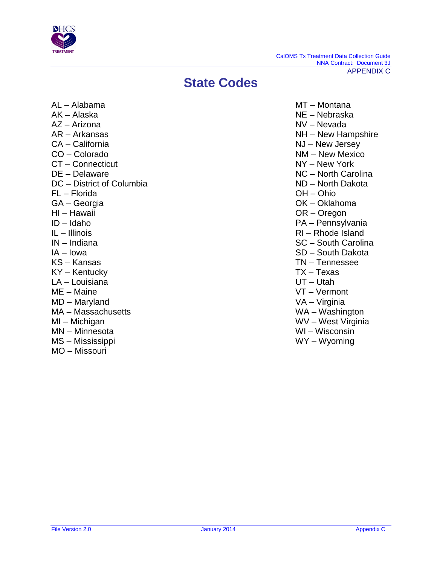

APPENDIX C

### **State Codes**

AL – Alabama AK – Alaska AZ – Arizona AR – Arkansas CA – California CO – Colorado CT – Connecticut DE – Delaware DC – District of Columbia FL – Florida GA – Georgia HI – Hawaii ID – Idaho IL – Illinois IN – Indiana IA – Iowa KS – Kansas KY – Kentucky LA – Louisiana ME – Maine MD – Maryland MA – Massachusetts MI – Michigan MN – Minnesota MS – Mississippi MO – Missouri

MT – Montana NE – Nebraska NV – Nevada NH – New Hampshire NJ – New Jersey NM – New Mexico NY – New York NC – North Carolina ND – North Dakota OH – Ohio OK – Oklahoma OR – Oregon PA – Pennsylvania RI – Rhode Island SC – South Carolina SD – South Dakota TN – Tennessee TX – Texas UT – Utah VT – Vermont VA – Virginia WA – Washington WV – West Virginia WI – Wisconsin

WY – Wyoming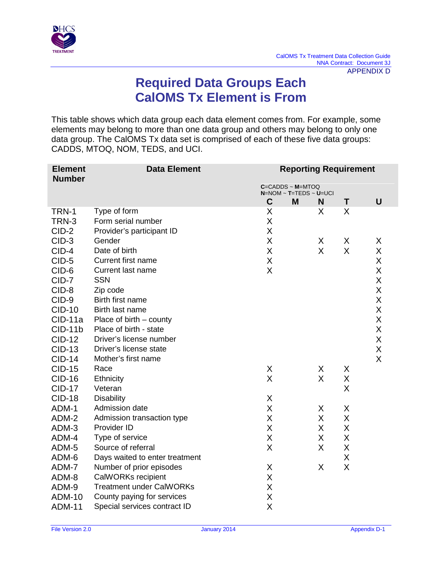

APPENDIX D

### **Required Data Groups Each CalOMS Tx Element is From**

This table shows which data group each data element comes from. For example, some elements may belong to more than one data group and others may belong to only one data group. The CalOMS Tx data set is comprised of each of these five data groups: CADDS, MTOQ, NOM, TEDS, and UCI.

| <b>Element</b><br><b>Number</b> | <b>Data Element</b>             | <b>Reporting Requirement</b>                       |   |   |   |                         |  |  |
|---------------------------------|---------------------------------|----------------------------------------------------|---|---|---|-------------------------|--|--|
|                                 |                                 | $C = C$ ADDS ~ M=MTOQ<br>$N=$ NOM ~ T=TEDS ~ U=UCI |   |   |   |                         |  |  |
|                                 |                                 | C                                                  | M | N | T | U                       |  |  |
| TRN-1                           | Type of form                    | X                                                  |   | X | X |                         |  |  |
| TRN-3                           | Form serial number              | X                                                  |   |   |   |                         |  |  |
| CID-2                           | Provider's participant ID       | $\sf X$                                            |   |   |   |                         |  |  |
| $CID-3$                         | Gender                          | X                                                  |   | X | X | X                       |  |  |
| $CID-4$                         | Date of birth                   | X                                                  |   | X | X | X                       |  |  |
| CID-5                           | <b>Current first name</b>       | X                                                  |   |   |   | X                       |  |  |
| CID-6                           | <b>Current last name</b>        | X                                                  |   |   |   | X                       |  |  |
| CID-7                           | <b>SSN</b>                      |                                                    |   |   |   | X                       |  |  |
| CID-8                           | Zip code                        |                                                    |   |   |   | X                       |  |  |
| CID-9                           | Birth first name                |                                                    |   |   |   | X                       |  |  |
| <b>CID-10</b>                   | Birth last name                 |                                                    |   |   |   | X                       |  |  |
| CID-11a                         | Place of $birth$ – county       |                                                    |   |   |   | X                       |  |  |
| $CID-11b$                       | Place of birth - state          |                                                    |   |   |   | X                       |  |  |
| <b>CID-12</b>                   | Driver's license number         |                                                    |   |   |   | X                       |  |  |
| <b>CID-13</b>                   | Driver's license state          |                                                    |   |   |   | X                       |  |  |
| <b>CID-14</b>                   | Mother's first name             |                                                    |   |   |   | $\overline{\mathsf{X}}$ |  |  |
| <b>CID-15</b>                   | Race                            | X                                                  |   | X | X |                         |  |  |
| <b>CID-16</b>                   | Ethnicity                       | X                                                  |   | X | X |                         |  |  |
| <b>CID-17</b>                   | Veteran                         |                                                    |   |   | X |                         |  |  |
| <b>CID-18</b>                   | <b>Disability</b>               | X                                                  |   |   |   |                         |  |  |
| ADM-1                           | Admission date                  | X                                                  |   | X | X |                         |  |  |
| ADM-2                           | Admission transaction type      | X                                                  |   | X | X |                         |  |  |
| ADM-3                           | Provider ID                     | X                                                  |   | X | X |                         |  |  |
| ADM-4                           | Type of service                 | X                                                  |   | X | X |                         |  |  |
| ADM-5                           | Source of referral              | X                                                  |   | X | X |                         |  |  |
| ADM-6                           | Days waited to enter treatment  |                                                    |   |   | X |                         |  |  |
| ADM-7                           | Number of prior episodes        | X                                                  |   | X | X |                         |  |  |
| ADM-8                           | CalWORKs recipient              | X                                                  |   |   |   |                         |  |  |
| ADM-9                           | <b>Treatment under CalWORKs</b> | X                                                  |   |   |   |                         |  |  |
| <b>ADM-10</b>                   | County paying for services      | X                                                  |   |   |   |                         |  |  |
| <b>ADM-11</b>                   | Special services contract ID    | X                                                  |   |   |   |                         |  |  |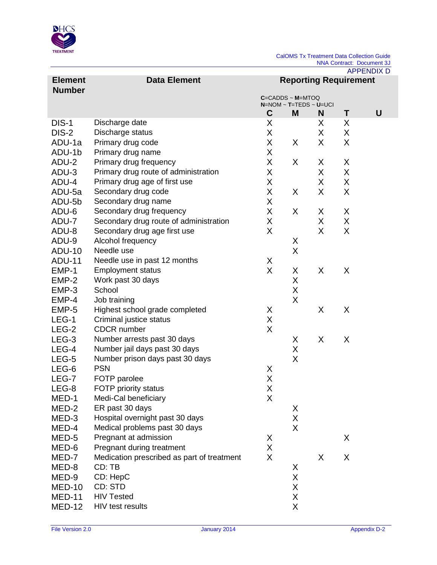

| <b>Element</b><br><b>Number</b> | <b>Data Element</b>                        | <b>Reporting Requirement</b>                            |             |   |    |   |  |  |
|---------------------------------|--------------------------------------------|---------------------------------------------------------|-------------|---|----|---|--|--|
|                                 |                                            | $C = C$ ADDS ~ M=MTOQ<br>$N=NOM \sim T=TEDS \sim U=UCI$ |             |   |    |   |  |  |
|                                 |                                            | C                                                       | M           | N | T. | U |  |  |
| DIS-1                           | Discharge date                             | Χ                                                       |             | X | X  |   |  |  |
| DIS-2                           | Discharge status                           | X                                                       |             | X | X  |   |  |  |
| ADU-1a                          | Primary drug code                          | $\sf X$                                                 | X           | X | X  |   |  |  |
| ADU-1b                          | Primary drug name                          | X                                                       |             |   |    |   |  |  |
| ADU-2                           | Primary drug frequency                     | $\sf X$                                                 | X           | X | Χ  |   |  |  |
| ADU-3                           | Primary drug route of administration       | $\sf X$                                                 |             | X | X  |   |  |  |
| ADU-4                           | Primary drug age of first use              | $\sf X$                                                 |             | X | X  |   |  |  |
| ADU-5a                          | Secondary drug code                        | $\pmb{\mathsf{X}}$                                      | X           | X | X  |   |  |  |
| ADU-5b                          | Secondary drug name                        | $\sf X$                                                 |             |   |    |   |  |  |
| ADU-6                           | Secondary drug frequency                   | X                                                       | X           | X | X  |   |  |  |
| ADU-7                           | Secondary drug route of administration     | X                                                       |             | X | X  |   |  |  |
| ADU-8                           | Secondary drug age first use               | X                                                       |             | X | X  |   |  |  |
| ADU-9                           | Alcohol frequency                          |                                                         | X           |   |    |   |  |  |
| ADU-10                          | Needle use                                 |                                                         | X           |   |    |   |  |  |
| <b>ADU-11</b>                   | Needle use in past 12 months               | X                                                       |             |   |    |   |  |  |
| EMP-1                           | <b>Employment status</b>                   | X                                                       | X           | X | X  |   |  |  |
| EMP-2                           | Work past 30 days                          |                                                         | $\mathsf X$ |   |    |   |  |  |
| EMP-3                           | School                                     |                                                         | $\mathsf X$ |   |    |   |  |  |
| EMP-4                           | Job training                               |                                                         | X           |   |    |   |  |  |
| EMP-5                           | Highest school grade completed             | X                                                       |             | X | X  |   |  |  |
| LEG-1                           | Criminal justice status                    | $\pmb{\mathsf{X}}$                                      |             |   |    |   |  |  |
| LEG-2                           | <b>CDCR</b> number                         | $\sf X$                                                 |             |   |    |   |  |  |
| $LEG-3$                         | Number arrests past 30 days                |                                                         | X           | X | X  |   |  |  |
| LEG-4                           | Number jail days past 30 days              |                                                         | X           |   |    |   |  |  |
| LEG-5                           | Number prison days past 30 days            |                                                         | X           |   |    |   |  |  |
| LEG-6                           | <b>PSN</b>                                 | X                                                       |             |   |    |   |  |  |
| LEG-7                           | FOTP parolee                               | X                                                       |             |   |    |   |  |  |
| LEG-8                           | FOTP priority status                       | X                                                       |             |   |    |   |  |  |
| MED-1                           | Medi-Cal beneficiary                       | X                                                       |             |   |    |   |  |  |
| MED-2                           | ER past 30 days                            |                                                         | X           |   |    |   |  |  |
| MED-3                           | Hospital overnight past 30 days            |                                                         | X           |   |    |   |  |  |
| MED-4                           | Medical problems past 30 days              |                                                         | X           |   |    |   |  |  |
| MED-5                           | Pregnant at admission                      | X                                                       |             |   | X  |   |  |  |
| MED-6                           | Pregnant during treatment                  | X                                                       |             |   |    |   |  |  |
| MED-7                           | Medication prescribed as part of treatment | X                                                       |             | X | X  |   |  |  |
| MED-8                           | CD: TB                                     |                                                         | X           |   |    |   |  |  |
| MED-9                           | CD: HepC                                   |                                                         | $\mathsf X$ |   |    |   |  |  |
| <b>MED-10</b>                   | CD: STD                                    |                                                         | X           |   |    |   |  |  |
| <b>MED-11</b>                   | <b>HIV Tested</b>                          |                                                         | $\mathsf X$ |   |    |   |  |  |
| <b>MED-12</b>                   | HIV test results                           |                                                         | X           |   |    |   |  |  |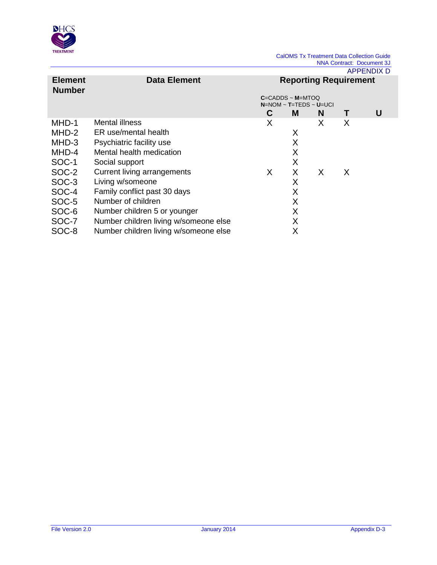

CalOMS Tx Treatment Data Collection Guide NNA Contract: Document 3J

APPENDIX D

| <b>Element</b><br><b>Number</b> | <b>Data Element</b>                   |   |                       |                                | <b>Reporting Requirement</b> |   |
|---------------------------------|---------------------------------------|---|-----------------------|--------------------------------|------------------------------|---|
|                                 |                                       |   | $C = C$ ADDS ~ M=MTOQ | $N=NOM \sim T=TEDS \sim U=UCI$ |                              |   |
|                                 |                                       | С | M                     | N                              | Т                            | U |
| MHD-1                           | Mental illness                        | X |                       | Х                              | X                            |   |
| MHD-2                           | ER use/mental health                  |   | X                     |                                |                              |   |
| MHD-3                           | Psychiatric facility use              |   | X                     |                                |                              |   |
| MHD-4                           | Mental health medication              |   | X                     |                                |                              |   |
| <b>SOC-1</b>                    | Social support                        |   | X                     |                                |                              |   |
| SOC-2                           | Current living arrangements           | X | X                     | X                              | X                            |   |
| SOC-3                           | Living w/someone                      |   | X                     |                                |                              |   |
| SOC-4                           | Family conflict past 30 days          |   | X                     |                                |                              |   |
| SOC-5                           | Number of children                    |   | X                     |                                |                              |   |
| SOC-6                           | Number children 5 or younger          |   | X                     |                                |                              |   |
| SOC-7                           | Number children living w/someone else |   | X                     |                                |                              |   |
| SOC-8                           | Number children living w/someone else |   | Χ                     |                                |                              |   |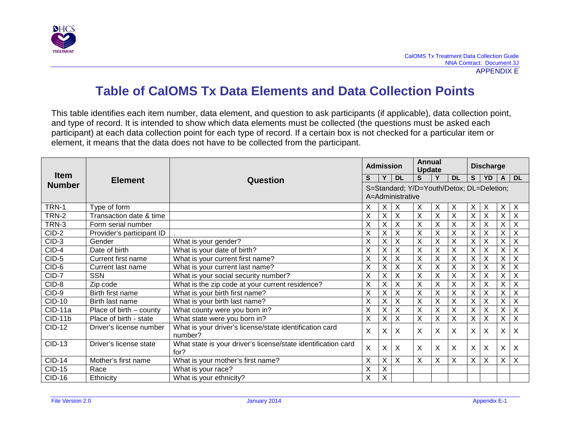

### **Table of CalOMS Tx Data Elements and Data Collection Points**

This table identifies each item number, data element, and question to ask participants (if applicable), data collection point, and type of record. It is intended to show which data elements must be collected (the questions must be asked each participant) at each data collection point for each type of record. If a certain box is not checked for a particular item or element, it means that the data does not have to be collected from the participant.

|               |                           |                                                                       |                                                               | <b>Admission</b> |                           |   | Annual<br><b>Update</b> |           |    | <b>Discharge</b>          |                |          |  |
|---------------|---------------------------|-----------------------------------------------------------------------|---------------------------------------------------------------|------------------|---------------------------|---|-------------------------|-----------|----|---------------------------|----------------|----------|--|
| <b>Item</b>   | <b>Element</b>            | Question                                                              | S                                                             | Y                | <b>DL</b>                 | S |                         | <b>DL</b> | S. | YD                        | $\overline{A}$ | DL       |  |
| <b>Number</b> |                           |                                                                       | S=Standard; Y/D=Youth/Detox; DL=Deletion;<br>A=Administrative |                  |                           |   |                         |           |    |                           |                |          |  |
| TRN-1         | Type of form              |                                                                       | X                                                             | X                | $\times$                  | Χ | Χ                       | Х         | X  | X                         | X              | $\times$ |  |
| TRN-2         | Transaction date & time   |                                                                       | X                                                             | X                | X                         | Χ | X                       | X         | Χ  | X                         | Χ              | X        |  |
| TRN-3         | Form serial number        |                                                                       | X                                                             | X                | X                         | X | Χ                       | X         | Χ  | X                         | Χ              | X        |  |
| CID-2         | Provider's participant ID |                                                                       | X                                                             | X                | X                         | Χ | X                       | Χ         | Χ  | X                         | Χ              | X        |  |
| $CID-3$       | Gender                    | What is your gender?                                                  | X                                                             | X                | $\times$                  | Χ | X                       | X         | X  | X                         | X              | X        |  |
| $CID-4$       | Date of birth             | What is your date of birth?                                           | X                                                             | X                | X                         | Х | X                       | Χ         | Х  | X                         | X              | X        |  |
| $CID-5$       | Current first name        | What is your current first name?                                      | X                                                             | X                | X                         | Χ | Χ                       | Χ         | Х  | X                         | Χ              | X        |  |
| CID-6         | Current last name         | What is your current last name?                                       | X                                                             | X                | X                         | Х | X                       | Χ         | Х  | X                         | X              | X        |  |
| CID-7         | <b>SSN</b>                | What is your social security number?                                  | X                                                             | X                | X                         | X | X                       | X         | Χ  | X                         | X              | X        |  |
| CID-8         | Zip code                  | What is the zip code at your current residence?                       | X                                                             | X                | X                         | Χ | Χ                       | X         | X  | X                         | Χ              | X        |  |
| CID-9         | Birth first name          | What is your birth first name?                                        | X                                                             | X                | X                         | X | X                       | X         | X  | X                         | X              | X        |  |
| CID-10        | Birth last name           | What is your birth last name?                                         | X                                                             | X                | X                         | Χ | Χ                       | Χ         | Χ  | X                         | Χ              | X        |  |
| CID-11a       | Place of birth $-$ county | What county were you born in?                                         | X                                                             | X                | X                         | X | X                       | Χ         | X  | X                         | Χ              | X        |  |
| $CID-11b$     | Place of birth - state    | What state were you born in?                                          | X                                                             | X                | X                         | Χ | Х                       | Χ         | X  | X                         | Χ              | X        |  |
| CID-12        | Driver's license number   | What is your driver's license/state identification card<br>number?    | $\sf X$                                                       | $\times$         | X                         | X | X                       | X         | X  | $\sf X$                   | X              | $\times$ |  |
| <b>CID-13</b> | Driver's license state    | What state is your driver's license/state identification card<br>for? | $\sf X$                                                       | X                | $\times$                  | X | X                       | X         | X  | $\sf X$                   | X              | $\sf X$  |  |
| <b>CID-14</b> | Mother's first name       | What is your mother's first name?                                     | X                                                             | X                | $\boldsymbol{\mathsf{X}}$ | X | X                       | X         | X  | $\boldsymbol{\mathsf{X}}$ | Χ              | $\times$ |  |
| <b>CID-15</b> | Race                      | What is your race?                                                    | X                                                             | X                |                           |   |                         |           |    |                           |                |          |  |
| <b>CID-16</b> | Ethnicity                 | What is your ethnicity?                                               | X                                                             | X                |                           |   |                         |           |    |                           |                |          |  |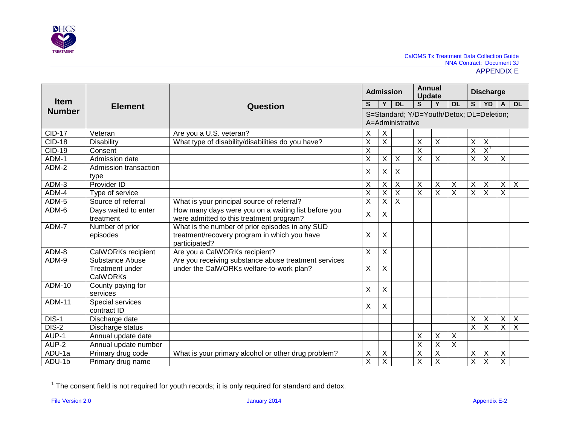<span id="page-121-0"></span>

|               |                                                              |                                                                                                                  | <b>Admission</b>                                              |                |                         | <b>Annual</b><br><b>Update</b> |                         | <b>Discharge</b>        |                         |                           |                |                  |  |  |  |
|---------------|--------------------------------------------------------------|------------------------------------------------------------------------------------------------------------------|---------------------------------------------------------------|----------------|-------------------------|--------------------------------|-------------------------|-------------------------|-------------------------|---------------------------|----------------|------------------|--|--|--|
| <b>Item</b>   | <b>Element</b>                                               | Question                                                                                                         | S                                                             |                | <b>DL</b>               | S                              | Υ                       | DL                      | $\overline{\mathbf{s}}$ | YD   A                    |                | <b>DL</b>        |  |  |  |
| <b>Number</b> |                                                              |                                                                                                                  | S=Standard; Y/D=Youth/Detox; DL=Deletion;<br>A=Administrative |                |                         |                                |                         |                         |                         |                           |                |                  |  |  |  |
| $CID-17$      | Veteran                                                      | Are you a U.S. veteran?                                                                                          | Х                                                             | Х              |                         |                                |                         |                         |                         |                           |                |                  |  |  |  |
| <b>CID-18</b> | Disability                                                   | What type of disability/disabilities do you have?                                                                | X                                                             | $\overline{X}$ |                         | Χ                              | X                       |                         | X                       | X                         |                |                  |  |  |  |
| $CID-19$      | Consent                                                      |                                                                                                                  | $\overline{\mathsf{x}}$                                       |                |                         | X                              |                         |                         | $\overline{\mathsf{x}}$ | $\overline{X}^1$          |                |                  |  |  |  |
| ADM-1         | Admission date                                               |                                                                                                                  | $\overline{\mathsf{x}}$                                       | $\overline{X}$ | $\overline{\mathsf{x}}$ | $\overline{\mathsf{x}}$        | Χ                       |                         | X                       | X                         | X              |                  |  |  |  |
| ADM-2         | Admission transaction                                        |                                                                                                                  | X                                                             | X              | X                       |                                |                         |                         |                         |                           |                |                  |  |  |  |
|               | type                                                         |                                                                                                                  |                                                               |                |                         |                                |                         |                         |                         |                           |                |                  |  |  |  |
| ADM-3         | Provider ID                                                  |                                                                                                                  | X                                                             | X              | $\sf X$                 | X                              | X                       | X                       | X                       | X                         | X              | $\boldsymbol{X}$ |  |  |  |
| ADM-4         | Type of service                                              |                                                                                                                  | $\overline{\mathsf{x}}$                                       | X              | $\overline{\mathsf{x}}$ | $\overline{\mathsf{x}}$        | X                       | $\overline{\mathsf{x}}$ | X                       | $\sf X$                   | $\overline{X}$ |                  |  |  |  |
| ADM-5         | Source of referral                                           | What is your principal source of referral?                                                                       | $\sf X$                                                       | X              | $\overline{\mathsf{x}}$ |                                |                         |                         |                         |                           |                |                  |  |  |  |
| ADM-6         | Days waited to enter<br>treatment                            | How many days were you on a waiting list before you<br>were admitted to this treatment program?                  | X                                                             | X              |                         |                                |                         |                         |                         |                           |                |                  |  |  |  |
| ADM-7         | Number of prior<br>episodes                                  | What is the number of prior episodes in any SUD<br>treatment/recovery program in which you have<br>participated? | X                                                             | X              |                         |                                |                         |                         |                         |                           |                |                  |  |  |  |
| ADM-8         | CalWORKs recipient                                           | Are you a CalWORKs recipient?                                                                                    | X                                                             | $\mathsf{X}$   |                         |                                |                         |                         |                         |                           |                |                  |  |  |  |
| ADM-9         | Substance Abuse<br><b>Treatment under</b><br><b>CalWORKs</b> | Are you receiving substance abuse treatment services<br>under the CalWORKs welfare-to-work plan?                 | X                                                             | X              |                         |                                |                         |                         |                         |                           |                |                  |  |  |  |
| ADM-10        | County paying for<br>services                                |                                                                                                                  | X                                                             | X              |                         |                                |                         |                         |                         |                           |                |                  |  |  |  |
| <b>ADM-11</b> | Special services<br>contract ID                              |                                                                                                                  | X                                                             | X              |                         |                                |                         |                         |                         |                           |                |                  |  |  |  |
| DIS-1         | Discharge date                                               |                                                                                                                  |                                                               |                |                         |                                |                         |                         | X                       | $\boldsymbol{\mathsf{X}}$ | X              | $\boldsymbol{X}$ |  |  |  |
| $DIS-2$       | Discharge status                                             |                                                                                                                  |                                                               |                |                         |                                |                         |                         | $\overline{\mathsf{x}}$ | $\overline{\mathsf{x}}$   | $\overline{X}$ | $\overline{X}$   |  |  |  |
| AUP-1         | Annual update date                                           |                                                                                                                  |                                                               |                |                         | X                              | X                       | $\overline{\mathsf{x}}$ |                         |                           |                |                  |  |  |  |
| AUP-2         | Annual update number                                         |                                                                                                                  |                                                               |                |                         | X                              | $\overline{\mathsf{X}}$ | $\overline{\mathsf{x}}$ |                         |                           |                |                  |  |  |  |
| ADU-1a        | Primary drug code                                            | What is your primary alcohol or other drug problem?                                                              | Χ                                                             | X              |                         | X                              | X                       |                         | X                       | X                         | Χ              |                  |  |  |  |
| ADU-1b        | Primary drug name                                            |                                                                                                                  | X                                                             | X              |                         | X                              | X                       |                         | $\overline{\mathsf{x}}$ | X                         | $\overline{X}$ |                  |  |  |  |

 $1$  The consent field is not required for youth records; it is only required for standard and detox.

 $\overline{\phantom{a}}$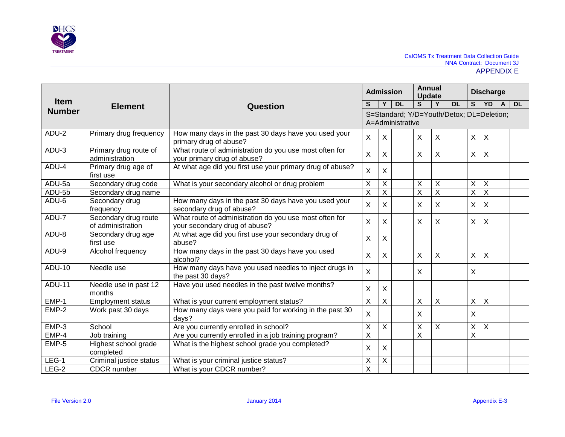

|               |                                           |                                                                                         |                         | <b>Annual</b><br><b>Admission</b><br><b>Discharge</b><br><b>Update</b> |                                                               |                         |                         |    |                         |                           |  |             |
|---------------|-------------------------------------------|-----------------------------------------------------------------------------------------|-------------------------|------------------------------------------------------------------------|---------------------------------------------------------------|-------------------------|-------------------------|----|-------------------------|---------------------------|--|-------------|
| <b>Item</b>   | <b>Element</b>                            | Question                                                                                | S                       | Y                                                                      | <b>DL</b>                                                     | S                       |                         | DL | S                       |                           |  | YD   A   DL |
| <b>Number</b> |                                           |                                                                                         |                         |                                                                        | S=Standard; Y/D=Youth/Detox; DL=Deletion;<br>A=Administrative |                         |                         |    |                         |                           |  |             |
| ADU-2         | Primary drug frequency                    | How many days in the past 30 days have you used your<br>primary drug of abuse?          | $\mathsf{X}$            | $\mathsf{X}$                                                           |                                                               | X                       | X                       |    | X                       | $\boldsymbol{\mathsf{X}}$ |  |             |
| ADU-3         | Primary drug route of<br>administration   | What route of administration do you use most often for<br>your primary drug of abuse?   | X                       | $\mathsf{X}$                                                           |                                                               | X                       | X                       |    | X                       | $\sf X$                   |  |             |
| ADU-4         | Primary drug age of<br>first use          | At what age did you first use your primary drug of abuse?                               | $\sf X$                 | $\mathsf{X}$                                                           |                                                               |                         |                         |    |                         |                           |  |             |
| ADU-5a        | Secondary drug code                       | What is your secondary alcohol or drug problem                                          | X                       | $\overline{X}$                                                         |                                                               | X                       | $\sf X$                 |    | X                       | $\overline{\mathsf{x}}$   |  |             |
| ADU-5b        | Secondary drug name                       |                                                                                         | $\overline{\mathsf{x}}$ | $\overline{X}$                                                         |                                                               | $\overline{\mathsf{x}}$ | $\overline{\mathsf{x}}$ |    | $\overline{\mathsf{x}}$ | $\overline{\mathsf{x}}$   |  |             |
| ADU-6         | Secondary drug<br>frequency               | How many days in the past 30 days have you used your<br>secondary drug of abuse?        | X                       | X                                                                      |                                                               | Χ                       | X                       |    | Χ                       | $\boldsymbol{\mathsf{X}}$ |  |             |
| ADU-7         | Secondary drug route<br>of administration | What route of administration do you use most often for<br>your secondary drug of abuse? | $\sf X$                 | $\mathsf{X}$                                                           |                                                               | X                       | X                       |    | $\mathsf{X}$            | $\times$                  |  |             |
| ADU-8         | Secondary drug age<br>first use           | At what age did you first use your secondary drug of<br>abuse?                          | X                       | X                                                                      |                                                               |                         |                         |    |                         |                           |  |             |
| ADU-9         | Alcohol frequency                         | How many days in the past 30 days have you used<br>alcohol?                             | $\mathsf{X}$            | $\mathsf{X}$                                                           |                                                               | X                       | X                       |    | X                       | $\boldsymbol{\mathsf{X}}$ |  |             |
| ADU-10        | Needle use                                | How many days have you used needles to inject drugs in<br>the past 30 days?             | $\sf X$                 |                                                                        |                                                               | X.                      |                         |    | X                       |                           |  |             |
| <b>ADU-11</b> | Needle use in past 12<br>months           | Have you used needles in the past twelve months?                                        | X                       | $\mathsf{X}$                                                           |                                                               |                         |                         |    |                         |                           |  |             |
| EMP-1         | <b>Employment status</b>                  | What is your current employment status?                                                 | X                       | X                                                                      |                                                               | X                       | Χ                       |    | X                       | $\overline{\mathsf{x}}$   |  |             |
| $EMP-2$       | Work past 30 days                         | How many days were you paid for working in the past 30<br>days?                         | X                       |                                                                        |                                                               | X                       |                         |    | Χ                       |                           |  |             |
| EMP-3         | School                                    | Are you currently enrolled in school?                                                   | X                       | $\overline{X}$                                                         |                                                               | X                       | X                       |    | X                       | $\boldsymbol{\mathsf{X}}$ |  |             |
| $EMP-4$       | Job training                              | Are you currently enrolled in a job training program?                                   | $\sf X$                 |                                                                        |                                                               | $\overline{\mathsf{x}}$ |                         |    | X                       |                           |  |             |
| EMP-5         | Highest school grade<br>completed         | What is the highest school grade you completed?                                         | X                       | $\mathsf{X}$                                                           |                                                               |                         |                         |    |                         |                           |  |             |
| LEG-1         | Criminal justice status                   | What is your criminal justice status?                                                   | Χ                       | X                                                                      |                                                               |                         |                         |    |                         |                           |  |             |
| LEG-2         | CDCR number                               | What is your CDCR number?                                                               | X                       |                                                                        |                                                               |                         |                         |    |                         |                           |  |             |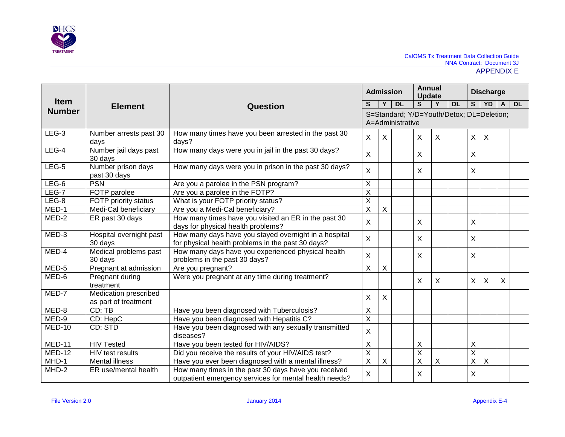

|               |                                               |                                                                                                                |                         | <b>Admission</b>          |           |                                           | <b>Annual</b><br><b>Update</b> |           |                | <b>Discharge</b>          |              |    |  |
|---------------|-----------------------------------------------|----------------------------------------------------------------------------------------------------------------|-------------------------|---------------------------|-----------|-------------------------------------------|--------------------------------|-----------|----------------|---------------------------|--------------|----|--|
| <b>Item</b>   | <b>Element</b>                                | Question                                                                                                       | S                       |                           | <b>DL</b> | S                                         |                                | <b>DL</b> | $S \mid$       | <b>YD</b>                 | $\mathbf{A}$ | DL |  |
| <b>Number</b> |                                               |                                                                                                                | A=Administrative        |                           |           | S=Standard; Y/D=Youth/Detox; DL=Deletion; |                                |           |                |                           |              |    |  |
| LEG-3         | Number arrests past 30<br>days                | How many times have you been arrested in the past 30<br>days?                                                  | X                       | X                         |           | X                                         | X                              |           | X              | $\boldsymbol{\mathsf{X}}$ |              |    |  |
| LEG-4         | Number jail days past<br>30 days              | How many days were you in jail in the past 30 days?                                                            | $\sf X$                 |                           |           | X                                         |                                |           | X              |                           |              |    |  |
| LEG-5         | Number prison days<br>past 30 days            | How many days were you in prison in the past 30 days?                                                          | X                       |                           |           | X                                         |                                |           | X              |                           |              |    |  |
| $LEG-6$       | <b>PSN</b>                                    | Are you a parolee in the PSN program?                                                                          | $\overline{X}$          |                           |           |                                           |                                |           |                |                           |              |    |  |
| LEG-7         | FOTP parolee                                  | Are you a parolee in the FOTP?                                                                                 | $\overline{\mathsf{x}}$ |                           |           |                                           |                                |           |                |                           |              |    |  |
| $LEG-8$       | FOTP priority status                          | What is your FOTP priority status?                                                                             | $\overline{\mathsf{x}}$ |                           |           |                                           |                                |           |                |                           |              |    |  |
| MED-1         | Medi-Cal beneficiary                          | Are you a Medi-Cal beneficiary?                                                                                | $\overline{\mathsf{x}}$ | $\sf X$                   |           |                                           |                                |           |                |                           |              |    |  |
| $MED-2$       | ER past 30 days                               | How many times have you visited an ER in the past 30<br>days for physical health problems?                     | $\sf X$                 |                           |           | X                                         |                                |           | $\sf X$        |                           |              |    |  |
| MED-3         | Hospital overnight past<br>30 days            | How many days have you stayed overnight in a hospital<br>for physical health problems in the past 30 days?     | X                       |                           |           | X                                         |                                |           | X              |                           |              |    |  |
| MED-4         | Medical problems past<br>30 days              | How many days have you experienced physical health<br>problems in the past 30 days?                            | X                       |                           |           | X                                         |                                |           | X              |                           |              |    |  |
| MED-5         | Pregnant at admission                         | Are you pregnant?                                                                                              | $\overline{\mathsf{x}}$ | $\sf X$                   |           |                                           |                                |           |                |                           |              |    |  |
| MED-6         | Pregnant during<br>treatment                  | Were you pregnant at any time during treatment?                                                                |                         |                           |           | Χ                                         | X                              |           | X              | $\boldsymbol{\mathsf{X}}$ | X            |    |  |
| MED-7         | Medication prescribed<br>as part of treatment |                                                                                                                | X                       | $\sf X$                   |           |                                           |                                |           |                |                           |              |    |  |
| MED-8         | CD:TB                                         | Have you been diagnosed with Tuberculosis?                                                                     | $\overline{\mathsf{x}}$ |                           |           |                                           |                                |           |                |                           |              |    |  |
| MED-9         | CD: HepC                                      | Have you been diagnosed with Hepatitis C?                                                                      | $\overline{\mathsf{x}}$ |                           |           |                                           |                                |           |                |                           |              |    |  |
| $MED-10$      | CD: STD                                       | Have you been diagnosed with any sexually transmitted<br>diseases?                                             | X                       |                           |           |                                           |                                |           |                |                           |              |    |  |
| <b>MED-11</b> | <b>HIV Tested</b>                             | Have you been tested for HIV/AIDS?                                                                             | $\overline{X}$          |                           |           | Χ                                         |                                |           | $\overline{X}$ |                           |              |    |  |
| $MED-12$      | HIV test results                              | Did you receive the results of your HIV/AIDS test?                                                             | $\overline{X}$          |                           |           | X                                         |                                |           | $\overline{X}$ |                           |              |    |  |
| MHD-1         | <b>Mental illness</b>                         | Have you ever been diagnosed with a mental illness?                                                            | $\overline{\mathsf{x}}$ | $\boldsymbol{\mathsf{X}}$ |           | X                                         | X                              |           | $\overline{X}$ | $\boldsymbol{\mathsf{X}}$ |              |    |  |
| MHD-2         | ER use/mental health                          | How many times in the past 30 days have you received<br>outpatient emergency services for mental health needs? | X                       |                           |           | X                                         |                                |           | X              |                           |              |    |  |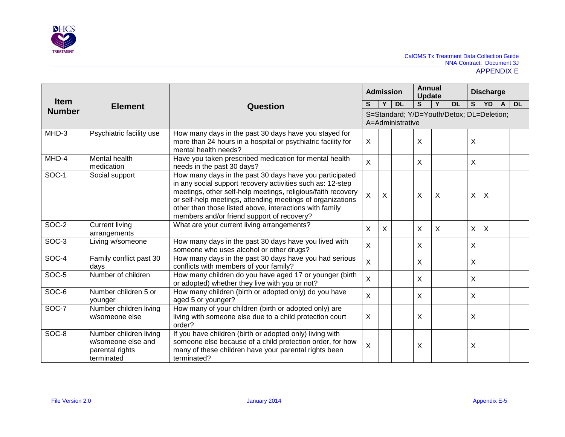

|               | <b>Element</b>                                                                |                                                                                                                                                                                                                                                                                                                                                              | <b>Admission</b>                                              |              |           | <b>Annual</b><br><b>Update</b> |                           |           | <b>Discharge</b> |                           |  |    |
|---------------|-------------------------------------------------------------------------------|--------------------------------------------------------------------------------------------------------------------------------------------------------------------------------------------------------------------------------------------------------------------------------------------------------------------------------------------------------------|---------------------------------------------------------------|--------------|-----------|--------------------------------|---------------------------|-----------|------------------|---------------------------|--|----|
| <b>Item</b>   |                                                                               | Question                                                                                                                                                                                                                                                                                                                                                     |                                                               | Y            | <b>DL</b> | S                              | Υ                         | <b>DL</b> | $S \mid$         | YD   A                    |  | DL |
| <b>Number</b> |                                                                               |                                                                                                                                                                                                                                                                                                                                                              | S=Standard; Y/D=Youth/Detox; DL=Deletion;<br>A=Administrative |              |           |                                |                           |           |                  |                           |  |    |
| MHD-3         | Psychiatric facility use                                                      | How many days in the past 30 days have you stayed for<br>more than 24 hours in a hospital or psychiatric facility for<br>mental health needs?                                                                                                                                                                                                                | X                                                             |              |           | X                              |                           |           | X                |                           |  |    |
| $MHD-4$       | Mental health<br>medication                                                   | Have you taken prescribed medication for mental health<br>needs in the past 30 days?                                                                                                                                                                                                                                                                         | $\mathsf{x}$                                                  |              |           | X                              |                           |           | X                |                           |  |    |
| SOC-1         | Social support                                                                | How many days in the past 30 days have you participated<br>in any social support recovery activities such as: 12-step<br>meetings, other self-help meetings, religious/faith recovery<br>or self-help meetings, attending meetings of organizations<br>other than those listed above, interactions with family<br>members and/or friend support of recovery? | $\overline{X}$                                                | $\sf X$      |           | Χ                              | $\boldsymbol{\mathsf{X}}$ |           | Χ                | $\boldsymbol{\mathsf{X}}$ |  |    |
| <b>SOC-2</b>  | <b>Current living</b><br>arrangements                                         | What are your current living arrangements?                                                                                                                                                                                                                                                                                                                   | X                                                             | $\mathsf{X}$ |           | X                              | X                         |           | X                | $\boldsymbol{\mathsf{X}}$ |  |    |
| SOC-3         | Living w/someone                                                              | How many days in the past 30 days have you lived with<br>someone who uses alcohol or other drugs?                                                                                                                                                                                                                                                            | $\sf X$                                                       |              |           | Χ                              |                           |           | X                |                           |  |    |
| SOC-4         | Family conflict past 30<br>days                                               | How many days in the past 30 days have you had serious<br>conflicts with members of your family?                                                                                                                                                                                                                                                             | X                                                             |              |           | Χ                              |                           |           | X                |                           |  |    |
| <b>SOC-5</b>  | Number of children                                                            | How many children do you have aged 17 or younger (birth<br>or adopted) whether they live with you or not?                                                                                                                                                                                                                                                    | $\overline{\mathsf{X}}$                                       |              |           | X                              |                           |           | X                |                           |  |    |
| $SOC-6$       | Number children 5 or<br>younger                                               | How many children (birth or adopted only) do you have<br>aged 5 or younger?                                                                                                                                                                                                                                                                                  | X                                                             |              |           | Χ                              |                           |           | X                |                           |  |    |
| SOC-7         | Number children living<br>w/someone else                                      | How many of your children (birth or adopted only) are<br>living with someone else due to a child protection court<br>order?                                                                                                                                                                                                                                  | X                                                             |              |           | X                              |                           |           | X                |                           |  |    |
| $SOC-8$       | Number children living<br>w/someone else and<br>parental rights<br>terminated | If you have children (birth or adopted only) living with<br>someone else because of a child protection order, for how<br>many of these children have your parental rights been<br>terminated?                                                                                                                                                                | X                                                             |              |           | Χ                              |                           |           | Χ                |                           |  |    |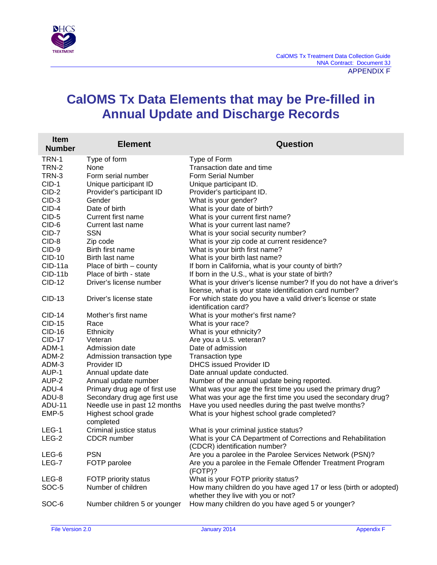

### **CalOMS Tx Data Elements that may be Pre-filled in Annual Update and Discharge Records**

| <b>Item</b><br><b>Number</b> | <b>Element</b>                       | Question                                                                                               |
|------------------------------|--------------------------------------|--------------------------------------------------------------------------------------------------------|
| TRN-1                        | Type of form                         | Type of Form                                                                                           |
| TRN-2                        | None                                 | Transaction date and time                                                                              |
| TRN-3                        | Form serial number                   | Form Serial Number                                                                                     |
| CID-1                        | Unique participant ID                | Unique participant ID.                                                                                 |
| CID-2                        | Provider's participant ID            | Provider's participant ID.                                                                             |
| $CID-3$                      | Gender                               | What is your gender?                                                                                   |
| CID-4                        | Date of birth                        | What is your date of birth?                                                                            |
| CID-5                        | <b>Current first name</b>            | What is your current first name?                                                                       |
| CID-6                        | Current last name                    | What is your current last name?                                                                        |
| CID-7                        | <b>SSN</b>                           | What is your social security number?                                                                   |
| CID-8                        | Zip code                             | What is your zip code at current residence?                                                            |
| CID-9                        | Birth first name                     | What is your birth first name?                                                                         |
| <b>CID-10</b>                | Birth last name                      | What is your birth last name?                                                                          |
| CID-11a                      | Place of birth $-$ county            | If born in California, what is your county of birth?                                                   |
| $CID-11b$                    | Place of birth - state               | If born in the U.S., what is your state of birth?                                                      |
| CID-12                       | Driver's license number              | What is your driver's license number? If you do not have a driver's                                    |
| CID-13                       | Driver's license state               | license, what is your state identification card number?                                                |
|                              |                                      | For which state do you have a valid driver's license or state<br>identification card?                  |
| CID-14                       | Mother's first name                  | What is your mother's first name?                                                                      |
| <b>CID-15</b>                | Race                                 | What is your race?                                                                                     |
| CID-16                       | Ethnicity                            | What is your ethnicity?                                                                                |
| CID-17                       | Veteran                              | Are you a U.S. veteran?                                                                                |
| ADM-1                        | Admission date                       | Date of admission                                                                                      |
| ADM-2                        | Admission transaction type           | <b>Transaction type</b>                                                                                |
| ADM-3                        | Provider ID                          | <b>DHCS issued Provider ID</b>                                                                         |
| AUP-1                        | Annual update date                   | Date annual update conducted.                                                                          |
| AUP-2                        | Annual update number                 | Number of the annual update being reported.                                                            |
| ADU-4                        | Primary drug age of first use        | What was your age the first time you used the primary drug?                                            |
| ADU-8                        | Secondary drug age first use         | What was your age the first time you used the secondary drug?                                          |
| <b>ADU-11</b>                | Needle use in past 12 months         | Have you used needles during the past twelve months?                                                   |
| EMP-5                        | Highest school grade                 | What is your highest school grade completed?                                                           |
| LEG-1                        | completed<br>Criminal justice status |                                                                                                        |
| LEG-2                        | <b>CDCR</b> number                   | What is your criminal justice status?<br>What is your CA Department of Corrections and Rehabilitation  |
|                              |                                      | (CDCR) identification number?                                                                          |
| LEG-6                        | <b>PSN</b>                           | Are you a parolee in the Parolee Services Network (PSN)?                                               |
| LEG-7                        | FOTP parolee                         | Are you a parolee in the Female Offender Treatment Program<br>(FOTP)?                                  |
| LEG-8                        | FOTP priority status                 | What is your FOTP priority status?                                                                     |
| SOC-5                        | Number of children                   | How many children do you have aged 17 or less (birth or adopted)<br>whether they live with you or not? |
| SOC-6                        | Number children 5 or younger         | How many children do you have aged 5 or younger?                                                       |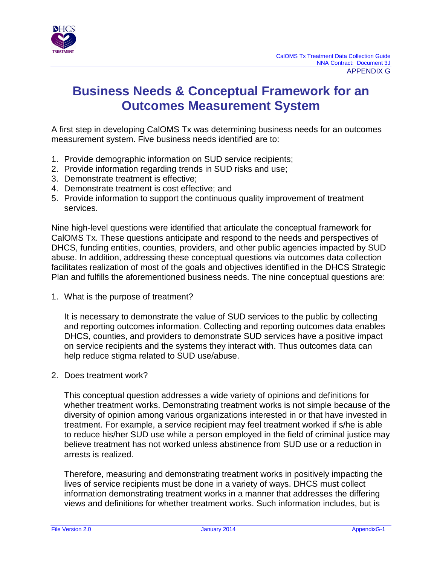

### **Business Needs & Conceptual Framework for an Outcomes Measurement System**

A first step in developing CalOMS Tx was determining business needs for an outcomes measurement system. Five business needs identified are to:

- 1. Provide demographic information on SUD service recipients;
- 2. Provide information regarding trends in SUD risks and use;
- 3. Demonstrate treatment is effective;
- 4. Demonstrate treatment is cost effective; and
- 5. Provide information to support the continuous quality improvement of treatment services.

Nine high-level questions were identified that articulate the conceptual framework for CalOMS Tx. These questions anticipate and respond to the needs and perspectives of DHCS, funding entities, counties, providers, and other public agencies impacted by SUD abuse. In addition, addressing these conceptual questions via outcomes data collection facilitates realization of most of the goals and objectives identified in the DHCS Strategic Plan and fulfills the aforementioned business needs. The nine conceptual questions are:

1. What is the purpose of treatment?

It is necessary to demonstrate the value of SUD services to the public by collecting and reporting outcomes information. Collecting and reporting outcomes data enables DHCS, counties, and providers to demonstrate SUD services have a positive impact on service recipients and the systems they interact with. Thus outcomes data can help reduce stigma related to SUD use/abuse.

2. Does treatment work?

This conceptual question addresses a wide variety of opinions and definitions for whether treatment works. Demonstrating treatment works is not simple because of the diversity of opinion among various organizations interested in or that have invested in treatment. For example, a service recipient may feel treatment worked if s/he is able to reduce his/her SUD use while a person employed in the field of criminal justice may believe treatment has not worked unless abstinence from SUD use or a reduction in arrests is realized.

Therefore, measuring and demonstrating treatment works in positively impacting the lives of service recipients must be done in a variety of ways. DHCS must collect information demonstrating treatment works in a manner that addresses the differing views and definitions for whether treatment works. Such information includes, but is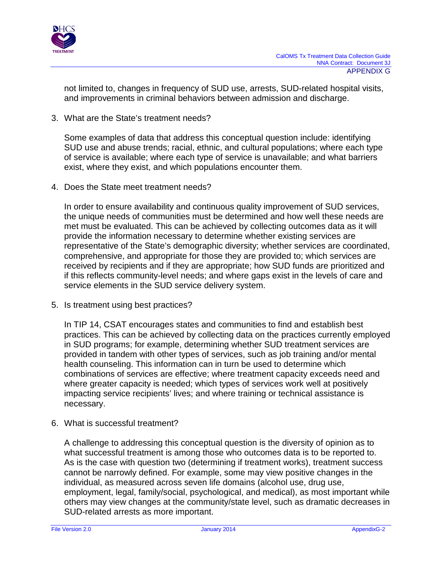

not limited to, changes in frequency of SUD use, arrests, SUD-related hospital visits, and improvements in criminal behaviors between admission and discharge.

3. What are the State's treatment needs?

Some examples of data that address this conceptual question include: identifying SUD use and abuse trends; racial, ethnic, and cultural populations; where each type of service is available; where each type of service is unavailable; and what barriers exist, where they exist, and which populations encounter them.

4. Does the State meet treatment needs?

In order to ensure availability and continuous quality improvement of SUD services, the unique needs of communities must be determined and how well these needs are met must be evaluated. This can be achieved by collecting outcomes data as it will provide the information necessary to determine whether existing services are representative of the State's demographic diversity; whether services are coordinated, comprehensive, and appropriate for those they are provided to; which services are received by recipients and if they are appropriate; how SUD funds are prioritized and if this reflects community-level needs; and where gaps exist in the levels of care and service elements in the SUD service delivery system.

5. Is treatment using best practices?

In TIP 14, CSAT encourages states and communities to find and establish best practices. This can be achieved by collecting data on the practices currently employed in SUD programs; for example, determining whether SUD treatment services are provided in tandem with other types of services, such as job training and/or mental health counseling. This information can in turn be used to determine which combinations of services are effective; where treatment capacity exceeds need and where greater capacity is needed; which types of services work well at positively impacting service recipients' lives; and where training or technical assistance is necessary.

6. What is successful treatment?

A challenge to addressing this conceptual question is the diversity of opinion as to what successful treatment is among those who outcomes data is to be reported to. As is the case with question two (determining if treatment works), treatment success cannot be narrowly defined. For example, some may view positive changes in the individual, as measured across seven life domains (alcohol use, drug use, employment, legal, family/social, psychological, and medical), as most important while others may view changes at the community/state level, such as dramatic decreases in SUD-related arrests as more important.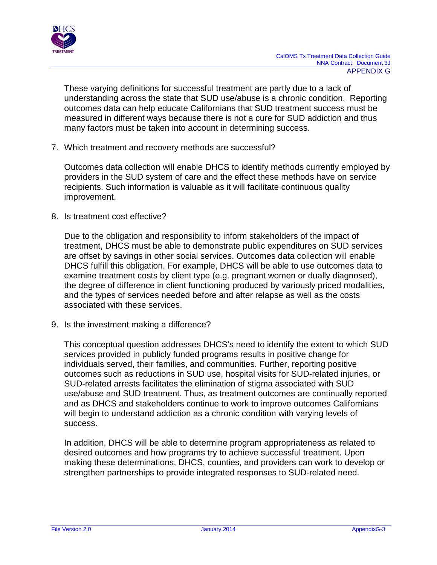

These varying definitions for successful treatment are partly due to a lack of understanding across the state that SUD use/abuse is a chronic condition. Reporting outcomes data can help educate Californians that SUD treatment success must be measured in different ways because there is not a cure for SUD addiction and thus many factors must be taken into account in determining success.

7. Which treatment and recovery methods are successful?

Outcomes data collection will enable DHCS to identify methods currently employed by providers in the SUD system of care and the effect these methods have on service recipients. Such information is valuable as it will facilitate continuous quality improvement.

8. Is treatment cost effective?

Due to the obligation and responsibility to inform stakeholders of the impact of treatment, DHCS must be able to demonstrate public expenditures on SUD services are offset by savings in other social services. Outcomes data collection will enable DHCS fulfill this obligation. For example, DHCS will be able to use outcomes data to examine treatment costs by client type (e.g. pregnant women or dually diagnosed), the degree of difference in client functioning produced by variously priced modalities, and the types of services needed before and after relapse as well as the costs associated with these services.

9. Is the investment making a difference?

This conceptual question addresses DHCS's need to identify the extent to which SUD services provided in publicly funded programs results in positive change for individuals served, their families, and communities. Further, reporting positive outcomes such as reductions in SUD use, hospital visits for SUD-related injuries, or SUD-related arrests facilitates the elimination of stigma associated with SUD use/abuse and SUD treatment. Thus, as treatment outcomes are continually reported and as DHCS and stakeholders continue to work to improve outcomes Californians will begin to understand addiction as a chronic condition with varying levels of success.

In addition, DHCS will be able to determine program appropriateness as related to desired outcomes and how programs try to achieve successful treatment. Upon making these determinations, DHCS, counties, and providers can work to develop or strengthen partnerships to provide integrated responses to SUD-related need.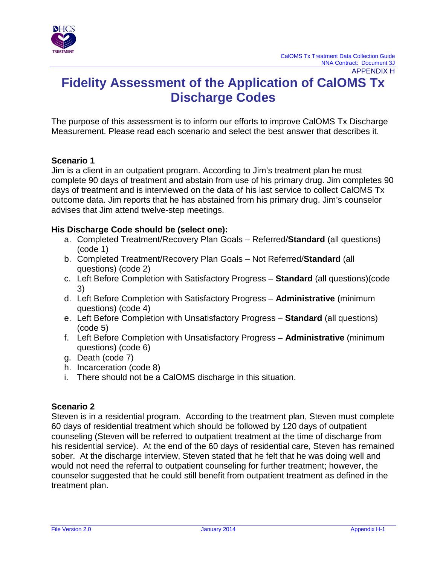

APPENDIX H

### **Fidelity Assessment of the Application of CalOMS Tx Discharge Codes**

The purpose of this assessment is to inform our efforts to improve CalOMS Tx Discharge Measurement. Please read each scenario and select the best answer that describes it.

#### **Scenario 1**

Jim is a client in an outpatient program. According to Jim's treatment plan he must complete 90 days of treatment and abstain from use of his primary drug. Jim completes 90 days of treatment and is interviewed on the data of his last service to collect CalOMS Tx outcome data. Jim reports that he has abstained from his primary drug. Jim's counselor advises that Jim attend twelve-step meetings.

#### **His Discharge Code should be (select one):**

- a. Completed Treatment/Recovery Plan Goals Referred/**Standard** (all questions) (code 1)
- b. Completed Treatment/Recovery Plan Goals Not Referred/**Standard** (all questions) (code 2)
- c. Left Before Completion with Satisfactory Progress **Standard** (all questions)(code 3)
- d. Left Before Completion with Satisfactory Progress **Administrative** (minimum questions) (code 4)
- e. Left Before Completion with Unsatisfactory Progress **Standard** (all questions) (code 5)
- f. Left Before Completion with Unsatisfactory Progress **Administrative** (minimum questions) (code 6)
- g. Death (code 7)
- h. Incarceration (code 8)
- i. There should not be a CalOMS discharge in this situation.

#### **Scenario 2**

Steven is in a residential program. According to the treatment plan, Steven must complete 60 days of residential treatment which should be followed by 120 days of outpatient counseling (Steven will be referred to outpatient treatment at the time of discharge from his residential service). At the end of the 60 days of residential care, Steven has remained sober. At the discharge interview, Steven stated that he felt that he was doing well and would not need the referral to outpatient counseling for further treatment; however, the counselor suggested that he could still benefit from outpatient treatment as defined in the treatment plan.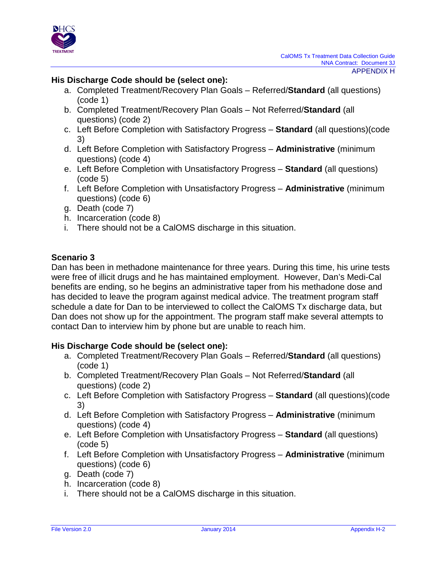

#### **His Discharge Code should be (select one):**

- a. Completed Treatment/Recovery Plan Goals Referred/**Standard** (all questions) (code 1)
- b. Completed Treatment/Recovery Plan Goals Not Referred/**Standard** (all questions) (code 2)
- c. Left Before Completion with Satisfactory Progress **Standard** (all questions)(code 3)
- d. Left Before Completion with Satisfactory Progress **Administrative** (minimum questions) (code 4)
- e. Left Before Completion with Unsatisfactory Progress **Standard** (all questions) (code 5)
- f. Left Before Completion with Unsatisfactory Progress **Administrative** (minimum questions) (code 6)
- g. Death (code 7)
- h. Incarceration (code 8)
- i. There should not be a CalOMS discharge in this situation.

#### **Scenario 3**

Dan has been in methadone maintenance for three years. During this time, his urine tests were free of illicit drugs and he has maintained employment. However, Dan's Medi-Cal benefits are ending, so he begins an administrative taper from his methadone dose and has decided to leave the program against medical advice. The treatment program staff schedule a date for Dan to be interviewed to collect the CalOMS Tx discharge data, but Dan does not show up for the appointment. The program staff make several attempts to contact Dan to interview him by phone but are unable to reach him.

#### **His Discharge Code should be (select one):**

- a. Completed Treatment/Recovery Plan Goals Referred/**Standard** (all questions) (code 1)
- b. Completed Treatment/Recovery Plan Goals Not Referred/**Standard** (all questions) (code 2)
- c. Left Before Completion with Satisfactory Progress **Standard** (all questions)(code 3)
- d. Left Before Completion with Satisfactory Progress **Administrative** (minimum questions) (code 4)
- e. Left Before Completion with Unsatisfactory Progress **Standard** (all questions) (code 5)
- f. Left Before Completion with Unsatisfactory Progress **Administrative** (minimum questions) (code 6)
- g. Death (code 7)
- h. Incarceration (code 8)
- i. There should not be a CalOMS discharge in this situation.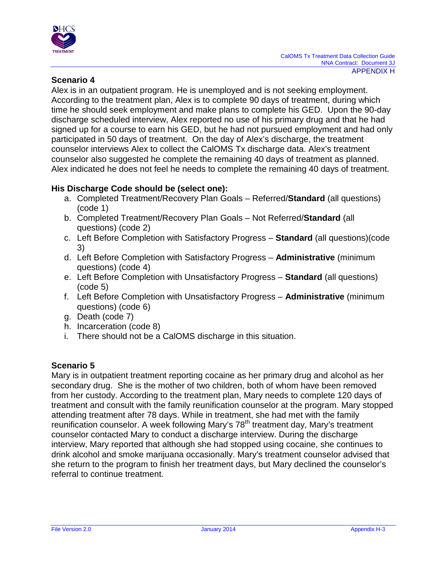

#### **Scenario 4**

Alex is in an outpatient program. He is unemployed and is not seeking employment. According to the treatment plan, Alex is to complete 90 days of treatment, during which time he should seek employment and make plans to complete his GED. Upon the 90-day discharge scheduled interview, Alex reported no use of his primary drug and that he had signed up for a course to earn his GED, but he had not pursued employment and had only participated in 50 days of treatment. On the day of Alex's discharge, the treatment counselor interviews Alex to collect the CalOMS Tx discharge data. Alex's treatment counselor also suggested he complete the remaining 40 days of treatment as planned. Alex indicated he does not feel he needs to complete the remaining 40 days of treatment.

#### **His Discharge Code should be (select one):**

- a. Completed Treatment/Recovery Plan Goals Referred/**Standard** (all questions) (code 1)
- b. Completed Treatment/Recovery Plan Goals Not Referred/**Standard** (all questions) (code 2)
- c. Left Before Completion with Satisfactory Progress **Standard** (all questions)(code 3)
- d. Left Before Completion with Satisfactory Progress **Administrative** (minimum questions) (code 4)
- e. Left Before Completion with Unsatisfactory Progress **Standard** (all questions) (code 5)
- f. Left Before Completion with Unsatisfactory Progress **Administrative** (minimum questions) (code 6)
- g. Death (code 7)
- h. Incarceration (code 8)
- i. There should not be a CalOMS discharge in this situation.

#### **Scenario 5**

Mary is in outpatient treatment reporting cocaine as her primary drug and alcohol as her secondary drug. She is the mother of two children, both of whom have been removed from her custody. According to the treatment plan, Mary needs to complete 120 days of treatment and consult with the family reunification counselor at the program. Mary stopped attending treatment after 78 days. While in treatment, she had met with the family reunification counselor. A week following Mary's 78<sup>th</sup> treatment day, Mary's treatment counselor contacted Mary to conduct a discharge interview. During the discharge interview, Mary reported that although she had stopped using cocaine, she continues to drink alcohol and smoke marijuana occasionally. Mary's treatment counselor advised that she return to the program to finish her treatment days, but Mary declined the counselor's referral to continue treatment.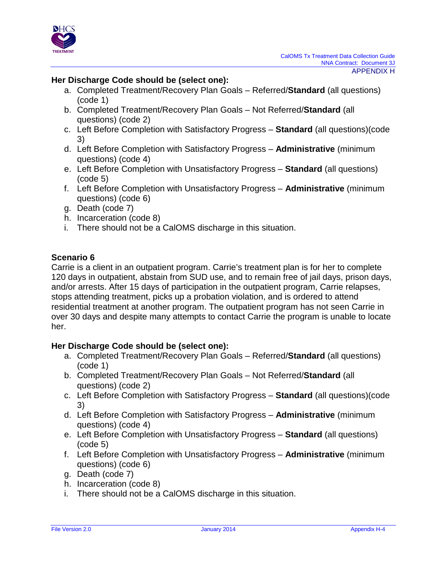

#### **Her Discharge Code should be (select one):**

- a. Completed Treatment/Recovery Plan Goals Referred/**Standard** (all questions) (code 1)
- b. Completed Treatment/Recovery Plan Goals Not Referred/**Standard** (all questions) (code 2)
- c. Left Before Completion with Satisfactory Progress **Standard** (all questions)(code 3)
- d. Left Before Completion with Satisfactory Progress **Administrative** (minimum questions) (code 4)
- e. Left Before Completion with Unsatisfactory Progress **Standard** (all questions) (code 5)
- f. Left Before Completion with Unsatisfactory Progress **Administrative** (minimum questions) (code 6)
- g. Death (code 7)
- h. Incarceration (code 8)
- i. There should not be a CalOMS discharge in this situation.

#### **Scenario 6**

Carrie is a client in an outpatient program. Carrie's treatment plan is for her to complete 120 days in outpatient, abstain from SUD use, and to remain free of jail days, prison days, and/or arrests. After 15 days of participation in the outpatient program, Carrie relapses, stops attending treatment, picks up a probation violation, and is ordered to attend residential treatment at another program. The outpatient program has not seen Carrie in over 30 days and despite many attempts to contact Carrie the program is unable to locate her.

#### **Her Discharge Code should be (select one):**

- a. Completed Treatment/Recovery Plan Goals Referred/**Standard** (all questions) (code 1)
- b. Completed Treatment/Recovery Plan Goals Not Referred/**Standard** (all questions) (code 2)
- c. Left Before Completion with Satisfactory Progress **Standard** (all questions)(code 3)
- d. Left Before Completion with Satisfactory Progress **Administrative** (minimum questions) (code 4)
- e. Left Before Completion with Unsatisfactory Progress **Standard** (all questions) (code 5)
- f. Left Before Completion with Unsatisfactory Progress **Administrative** (minimum questions) (code 6)
- g. Death (code 7)
- h. Incarceration (code 8)
- i. There should not be a CalOMS discharge in this situation.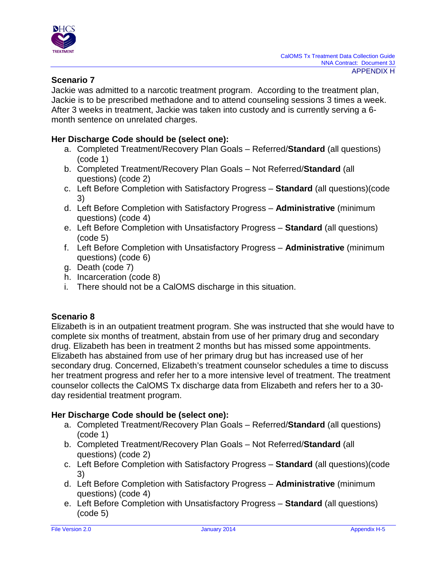

#### **Scenario 7**

Jackie was admitted to a narcotic treatment program. According to the treatment plan, Jackie is to be prescribed methadone and to attend counseling sessions 3 times a week. After 3 weeks in treatment, Jackie was taken into custody and is currently serving a 6 month sentence on unrelated charges.

#### **Her Discharge Code should be (select one):**

- a. Completed Treatment/Recovery Plan Goals Referred/**Standard** (all questions) (code 1)
- b. Completed Treatment/Recovery Plan Goals Not Referred/**Standard** (all questions) (code 2)
- c. Left Before Completion with Satisfactory Progress **Standard** (all questions)(code 3)
- d. Left Before Completion with Satisfactory Progress **Administrative** (minimum questions) (code 4)
- e. Left Before Completion with Unsatisfactory Progress **Standard** (all questions) (code 5)
- f. Left Before Completion with Unsatisfactory Progress **Administrative** (minimum questions) (code 6)
- g. Death (code 7)
- h. Incarceration (code 8)
- i. There should not be a CalOMS discharge in this situation.

#### **Scenario 8**

Elizabeth is in an outpatient treatment program. She was instructed that she would have to complete six months of treatment, abstain from use of her primary drug and secondary drug. Elizabeth has been in treatment 2 months but has missed some appointments. Elizabeth has abstained from use of her primary drug but has increased use of her secondary drug. Concerned, Elizabeth's treatment counselor schedules a time to discuss her treatment progress and refer her to a more intensive level of treatment. The treatment counselor collects the CalOMS Tx discharge data from Elizabeth and refers her to a 30 day residential treatment program.

#### **Her Discharge Code should be (select one):**

- a. Completed Treatment/Recovery Plan Goals Referred/**Standard** (all questions) (code 1)
- b. Completed Treatment/Recovery Plan Goals Not Referred/**Standard** (all questions) (code 2)
- c. Left Before Completion with Satisfactory Progress **Standard** (all questions)(code 3)
- d. Left Before Completion with Satisfactory Progress **Administrative** (minimum questions) (code 4)
- e. Left Before Completion with Unsatisfactory Progress **Standard** (all questions) (code 5)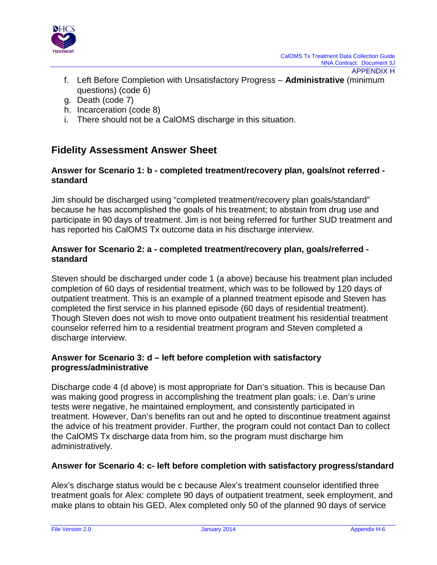

- f. Left Before Completion with Unsatisfactory Progress **Administrative** (minimum questions) (code 6)
- g. Death (code 7)
- h. Incarceration (code 8)
- i. There should not be a CalOMS discharge in this situation.

### **Fidelity Assessment Answer Sheet**

#### **Answer for Scenario 1: b - completed treatment/recovery plan, goals/not referred standard**

Jim should be discharged using "completed treatment/recovery plan goals/standard" because he has accomplished the goals of his treatment; to abstain from drug use and participate in 90 days of treatment. Jim is not being referred for further SUD treatment and has reported his CalOMS Tx outcome data in his discharge interview.

#### **Answer for Scenario 2: a - completed treatment/recovery plan, goals/referred standard**

Steven should be discharged under code 1 (a above) because his treatment plan included completion of 60 days of residential treatment, which was to be followed by 120 days of outpatient treatment. This is an example of a planned treatment episode and Steven has completed the first service in his planned episode (60 days of residential treatment). Though Steven does not wish to move onto outpatient treatment his residential treatment counselor referred him to a residential treatment program and Steven completed a discharge interview.

#### **Answer for Scenario 3: d – left before completion with satisfactory progress/administrative**

Discharge code 4 (d above) is most appropriate for Dan's situation. This is because Dan was making good progress in accomplishing the treatment plan goals; i.e. Dan's urine tests were negative, he maintained employment, and consistently participated in treatment. However, Dan's benefits ran out and he opted to discontinue treatment against the advice of his treatment provider. Further, the program could not contact Dan to collect the CalOMS Tx discharge data from him, so the program must discharge him administratively.

#### **Answer for Scenario 4: c- left before completion with satisfactory progress/standard**

Alex's discharge status would be c because Alex's treatment counselor identified three treatment goals for Alex: complete 90 days of outpatient treatment, seek employment, and make plans to obtain his GED. Alex completed only 50 of the planned 90 days of service